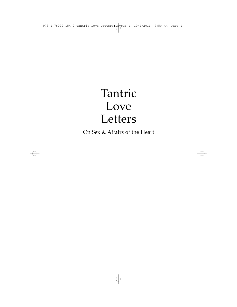# Tantric Love Letters

On Sex & Affairs of the Heart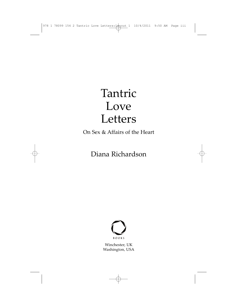# Tantric Love Letters

On Sex & Affairs of the Heart

Diana Richardson



Winchester, UK Washington, USA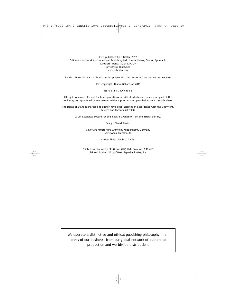#### First published by O-Books, 2012 O-Books is an imprint of John Hunt Publishing Ltd., Laurel House, Station Approach, Alresford, Hants, SO24 9JH, UK office1@o-books.net www.o-books.com

For distributor details and how to order please visit the 'Ordering' section on our website.

#### Text copyright: Diana Richardson 2011

#### ISBN: 978 1 78099 154 2

All rights reserved. Except for brief quotations in critical articles or reviews, no part of this book may be reproduced in any manner without prior written permission from the publishers.

The rights of Diana Richardson as author have been asserted in accordance with the Copyright, Designs and Patents Act 1988.

A CIP catalogue record for this book is available from the British Library.

Design: Stuart Davies

Cover Art Artist: Anna Amrhein, Kuppenheim, Germany www.Anna-Amrhein.de

Author Photo: Shobha, Sicily.

Printed and bound by CPI Group (UK) Ltd, Croydon, CR0 4YY Printed in the USA by Offset Paperback Mfrs, Inc

We operate a distinctive and ethical publishing philosophy in all areas of our business, from our global network of authors to production and worldwide distribution.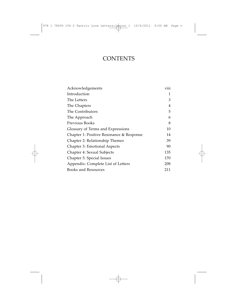# **CONTENTS**

| Acknowledgements                         | viii |
|------------------------------------------|------|
| Introduction                             | 1    |
| The Letters                              | 3    |
| The Chapters                             | 4    |
| The Contributors                         | 5    |
| The Approach                             | 6    |
| Previous Books                           | 8    |
| Glossary of Terms and Expressions        | 10   |
| Chapter 1: Positive Resonance & Response | 14   |
| Chapter 2: Relationship Themes           | 39   |
| Chapter 3: Emotional Aspects             | 90   |
| Chapter 4: Sexual Subjects               | 135  |
| Chapter 5: Special Issues                | 170  |
| Appendix: Complete List of Letters       | 208  |
| <b>Books and Resources</b>               | 211  |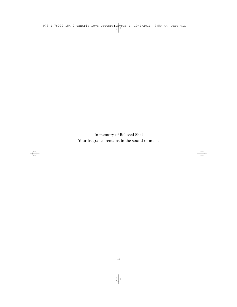In memory of Beloved Shai Your fragrance remains in the sound of music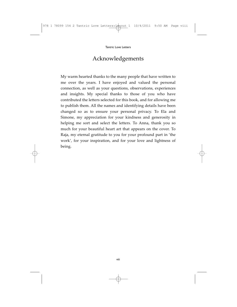## Acknowledgements

My warm hearted thanks to the many people that have written to me over the years. I have enjoyed and valued the personal connection, as well as your questions, observations, experiences and insights. My special thanks to those of you who have contributed the letters selected for this book, and for allowing me to publish them. All the names and identifying details have been changed so as to ensure your personal privacy. To Ela and Simone, my appreciation for your kindness and generosity in helping me sort and select the letters. To Anna, thank you so much for your beautiful heart art that appears on the cover. To Raja, my eternal gratitude to you for your profound part in 'the work', for your inspiration, and for your love and lightness of being.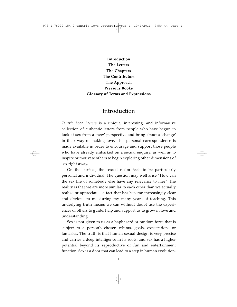## **Introduction The Letters The Chapters The Contributors The Approach Previous Books Glossary of Terms and Expressions**

## Introduction

*Tantric Love Letters* is a unique, interesting, and informative collection of authentic letters from people who have begun to look at sex from a 'new' perspective and bring about a 'change' in their way of making love. This personal correspondence is made available in order to encourage and support those people who have already embarked on a sexual enquiry, as well as to inspire or motivate others to begin exploring other dimensions of sex right away.

On the surface, the sexual realm feels to be particularly personal and individual. The question may well arise "How can the sex life of somebody else have any relevance to me?" The reality is that we are more similar to each other than we actually realize or appreciate - a fact that has become increasingly clear and obvious to me during my many years of teaching. This underlying truth means we can without doubt use the experiences of others to guide, help and support us to grow in love and understanding.

Sex is not given to us as a haphazard or random force that is subject to a person's chosen whims, goals, expectations or fantasies. The truth is that human sexual design is very precise and carries a deep intelligence in its roots; and sex has a higher potential beyond its reproductive or fun and entertainment function. Sex is a door that can lead to a step in human evolution,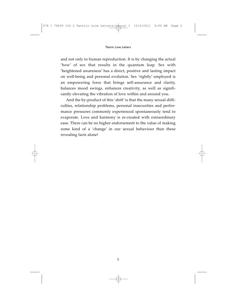and not only to human reproduction. It is by changing the actual 'how' of sex that results in the quantum leap. Sex with 'heightened awareness' has a direct, positive and lasting impact on well-being and personal evolution. Sex 'rightly' employed is an empowering force that brings self-assurance and clarity, balances mood swings, enhances creativity, as well as significantly elevating the vibration of love within and around you.

And the by-product of this 'shift' is that the many sexual difficulties, relationship problems, personal insecurities and performance pressures commonly experienced spontaneously tend to evaporate. Love and harmony is re-created with extraordinary ease. There can be no higher endorsement to the value of making some kind of a 'change' in our sexual behaviour than these revealing facts alone!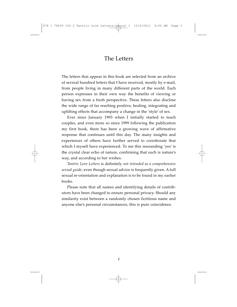## The Letters

The letters that appear in this book are selected from an archive of several hundred letters that I have received, mostly by e-mail, from people living in many different parts of the world. Each person expresses in their own way the benefits of viewing or having sex from a fresh perspective. These letters also disclose the wide range of far reaching positive, healing, integrating and uplifting effects that accompany a change in the 'style' of sex.

Ever since January 1993 when I initially started to teach couples, and even more so since 1999 following the publication my first book, there has been a growing wave of affirmative response that continues until this day. The many insights and experiences of others have further served to corroborate that which I myself have experienced. To me this resounding 'yes' is the crystal clear echo of nature, confirming that such is nature's way, and according to her wishes.

*Tantric Love Letters* is definitely *not intended as a comprehensive sexual guide*, even though sexual advice is frequently given. A full sexual re-orientation and explanation is to be found in my earlier books.

Please note that all names and identifying details of contributors have been changed to ensure personal privacy. Should any similarity exist between a randomly chosen fictitious name and anyone else's personal circumstances, this is pure coincidence.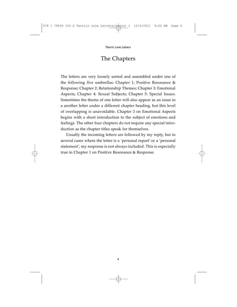## The Chapters

The letters are very loosely sorted and assembled under one of the following five umbrellas: Chapter 1: Positive Resonance & Response; Chapter 2: Relationship Themes; Chapter 3: Emotional Aspects; Chapter 4: Sexual Subjects; Chapter 5: Special Issues. Sometimes the theme of one letter will also appear as an issue in a another letter under a different chapter heading, but this level of overlapping is unavoidable. Chapter 3 on Emotional Aspects begins with a short introduction to the subject of emotions and feelings. The other four chapters do not require any special introduction as the chapter titles speak for themselves.

Usually the incoming letters are followed by my reply, but in several cases where the letter is a 'personal report' or a 'personal statement', my response is not always included. This is especially true in Chapter 1 on Positive Resonance & Response.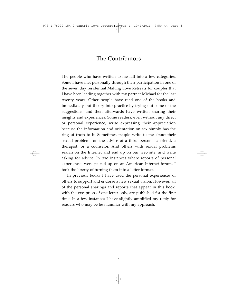## The Contributors

The people who have written to me fall into a few categories. Some I have met personally through their participation in one of the seven day residential Making Love Retreats for couples that I have been leading together with my partner Michael for the last twenty years. Other people have read one of the books and immediately put theory into practice by trying out some of the suggestions, and then afterwards have written sharing their insights and experiences. Some readers, even without any direct or personal experience, write expressing their appreciation because the information and orientation on sex simply has the ring of truth to it. Sometimes people write to me about their sexual problems on the advice of a third person - a friend, a therapist, or a counselor. And others with sexual problems search on the Internet and end up on our web site, and write asking for advice. In two instances where reports of personal experiences were pasted up on an American Internet forum, I took the liberty of turning them into a letter format.

In previous books I have used the personal experiences of others to support and endorse a new sexual vision. However, all of the personal sharings and reports that appear in this book, with the exception of one letter only, are published for the first time. In a few instances I have slightly amplified my reply for readers who may be less familiar with my approach.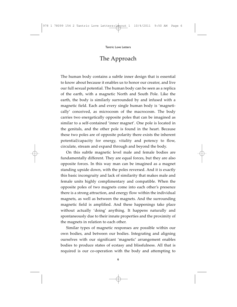## The Approach

The human body contains a subtle inner design that is essential to know about because it enables us to honor our creator, and live our full sexual potential. The human body can be seen as a replica of the earth, with a magnetic North and South Pole. Like the earth, the body is similarly surrounded by and infused with a magnetic field. Each and every single human body is 'magnetically' conceived, as microcosm of the macrocosm. The body carries two energetically opposite poles that can be imagined as similar to a self-contained 'inner magnet'. One pole is located in the genitals, and the other pole is found in the heart. Because these two poles are of opposite polarity there exists the inherent potential/capacity for energy, vitality and potency to flow, circulate, stream and expand through and beyond the body.

On this subtle magnetic level male and female bodies are fundamentally different. They are equal forces, but they are also opposite forces. In this way man can be imagined as a magnet standing upside down, with the poles reversed. And it is exactly this basic incongruity and lack of similarity that makes male and female units highly complimentary and compatible. When the opposite poles of two magnets come into each other's presence there is a strong attraction, and energy flow within the individual magnets, as well as between the magnets. And the surrounding magnetic field is amplified. And these happenings take place without actually 'doing' anything. It happens naturally and spontaneously due to their innate properties and the proximity of the magnets in relation to each other.

Similar types of magnetic responses are possible within our own bodies, and between our bodies. Integrating and aligning ourselves with our significant 'magnetic' arrangement enables bodies to produce states of ecstasy and blissfulness. All that is required is our co-operation with the body and attempting to

6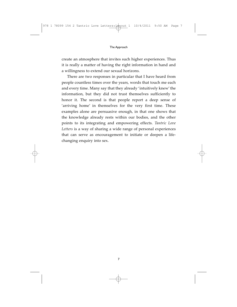create an atmosphere that invites such higher experiences. Thus it is really a matter of having the right information in hand and a willingness to extend our sexual horizons.

There are two responses in particular that I have heard from people countless times over the years, words that touch me each and every time. Many say that they already 'intuitively knew' the information, but they did not trust themselves sufficiently to honor it. The second is that people report a deep sense of 'arriving home' in themselves for the very first time. These examples alone are persuasive enough, in that one shows that the knowledge already rests within our bodies, and the other points to its integrating and empowering effects. *Tantric Love Letters* is a way of sharing a wide range of personal experiences that can serve as encouragement to initiate or deepen a lifechanging enquiry into sex.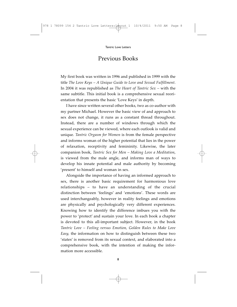## Previous Books

My first book was written in 1996 and published in 1999 with the title *The Love Keys – A Unique Guide to Love and Sexual Fulfillment*. In 2004 it was republished as *The Heart of Tantric Sex –* with the same subtitle. This initial book is a comprehensive sexual reorientation that presents the basic 'Love Keys' in depth.

I have since written several other books, two as co-author with my partner Michael. However the basic view of and approach to sex does not change, it runs as a constant thread throughout. Instead, there are a number of windows through which the sexual experience can be viewed, where each outlook is valid and unique. *Tantric Orgasm for Women* is from the female perspective and informs woman of the higher potential that lies in the power of relaxation, receptivity and femininity. Likewise, the later companion book, *Tantric Sex for Men – Making Love a Meditation*, is viewed from the male angle, and informs man of ways to develop his innate potential and male authority by becoming 'present' to himself and woman in sex.

Alongside the importance of having an informed approach to sex, there is another basic requirement for harmonious love relationships – to have an understanding of the crucial distinction between 'feelings' and 'emotions'. These words are used interchangeably, however in reality feelings and emotions are physically and psychologically very different experiences. Knowing how to identify the difference imbues you with the power to 'protect' and sustain your love. In each book a chapter is devoted to this all-important subject. However, in the book *Tantric Love – Feeling versus Emotion, Golden Rules to Make Love Easy,* the information on how to distinguish between these two 'states' is removed from its sexual context, and elaborated into a comprehensive book, with the intention of making the information more accessible.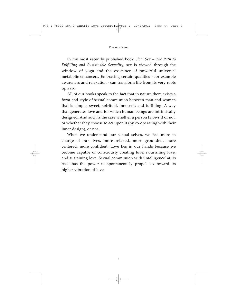In my most recently published book *Slow Sex – The Path to Fulfilling and Sustainable Sexuality,* sex is viewed through the window of yoga and the existence of powerful universal metabolic enhancers. Embracing certain qualities - for example awareness and relaxation - can transform life from its very roots upward.

All of our books speak to the fact that in nature there exists a form and style of sexual communion between man and woman that is simple, sweet, spiritual, innocent, and fulfilling. A way that generates love and for which human beings are intrinsically designed. And such is the case whether a person knows it or not, or whether they choose to act upon it (by co-operating with their inner design), or not.

When we understand our sexual selves, we feel more in charge of our lives, more relaxed, more grounded, more centered, more confident. Love lies in our hands because we become capable of consciously creating love, nourishing love, and sustaining love. Sexual communion with 'intelligence' at its base has the power to spontaneously propel sex toward its higher vibration of love.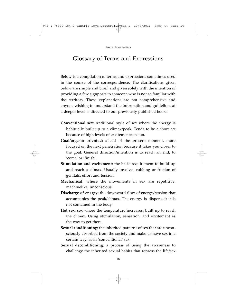## Glossary of Terms and Expressions

Below is a compilation of terms and expressions sometimes used in the course of the correspondence. The clarifications given below are simple and brief, and given solely with the intention of providing a few signposts to someone who is not so familiar with the territory. These explanations are not comprehensive and anyone wishing to understand the information and guidelines at a deeper level is directed to our previously published books.

- **Conventional sex:** traditional style of sex where the energy is habitually built up to a climax/peak. Tends to be a short act because of high levels of excitement/tension.
- **Goal/orgasm oriented:** ahead of the present moment, more focused on the next penetration because it takes you closer to the goal. General direction/intention is to reach an end, to 'come' or 'finish'.
- **Stimulation and excitement:** the basic requirement to build up and reach a climax. Usually involves rubbing or friction of genitals, effort and tension.
- **Mechanical:** where the movements in sex are repetitive, machinelike, unconscious.
- **Discharge of energy:** the downward flow of energy/tension that accompanies the peak/climax. The energy is dispersed; it is not contained in the body.
- **Hot sex:** sex where the temperature increases, built up to reach the climax. Using stimulation, sensation, and excitement as the way to get there.
- **Sexual conditioning:** the inherited patterns of sex that are unconsciously absorbed from the society and make us have sex in a certain way, as in 'conventional' sex.
- **Sexual deconditioning:** a process of using the awareness to challenge the inherited sexual habits that repress the life/sex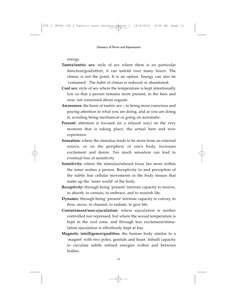energy.

- **Tantra/tantric sex:** style of sex where there is no particular direction/goal/effort, it can unfold over many hours. The climax is not the point. It is an option. Energy can also be 'contained'. The habit of climax is reduced or abandoned.
- **Cool sex:** style of sex where the temperature is kept intentionally low so that a person remains more present, in the here and now, not concerned about orgasm.
- **Awareness:** the basis of tantric sex to being more conscious and paying attention to what you are doing, and as you are doing it; avoiding being mechanical or going on automatic.
- **Present:** attention is focused (in a relaxed way) on the very moment that is taking place, the actual here and now experience.
- **Sensation:** where the stimulus tends to be more from an external source, or on the periphery of one's body, increases excitement and desire. Too much sensation can lead to eventual loss of sensitivity.
- **Sensitivity:** where the stimulus/relaxed focus lies more within the inner realms a person. Receptivity to and perception of the subtle fine cellular movements in the body tissues that make up the 'inner world' of the body.
- **Receptivity:** through being 'present' intrinsic capacity to receive, to absorb, to contain, to embrace, and to nourish life.
- **Dynamic:** through being 'present' intrinsic capacity to convey, to flow, move, to channel, to radiate, to give life.
- **Containment/non-ejaculation:** where ejaculation is neither controlled nor repressed, but where the sexual temperature is kept in the cool zone, and through less excitement/stimulation ejaculation is effortlessly kept at bay.
- **Magnetic intelligence/qualities:** the human body similar to a 'magnet' with two poles, genitals and heart. Inbuilt capacity to circulate subtle refined energies within and between bodies.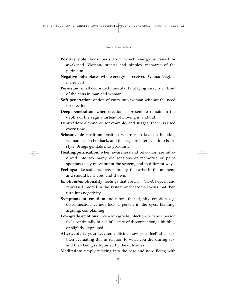- **Positive pole:** body parts from which energy is raised or awakened. Woman/ breasts and nipples, man/area of the perineum.
- **Negative pole:** places where energy is received. Woman/vagina, man/heart.
- **Perineum:** small coin-sized muscular knot lying directly in front of the anus in man and woman.
- **Soft penetration:** option of entry into woman without the need for erection.
- **Deep penetration:** when erection is present to remain in the depths of the vagina instead of moving in and out.
- **Lubrication:** almond oil for example, and suggest that it is used every time.
- **Scissors/side position:** position where man lays on his side, woman lies on her back, and the legs are interlaced in scissorstyle. Brings genitals into proximity.
- **Healing/purification:** when awareness and relaxation are introduced into sex many old tensions or memories or pains spontaneously move out of the system, and in different ways.
- **Feelings:** like sadness, love, pain, joy, that arise in the moment, and should be shared and shown.
- **Emotions/emotionality:** feelings that are *not allowed*, kept in and repressed. Stored in the system and become toxins that then turn into negativity.
- **Symptoms of emotion:** indicators that signify emotion e.g. disconnection, cannot look a person in the eyes, blaming, arguing, complaining.
- **Low-grade emotions:** like a low-grade infection, where a person feels continually in a subtle state of disconnection, a bit blue, or slightly depressed.
- **Afterwards is your teacher:** noticing how you 'feel' after sex, then evaluating this in relation to what you did during sex, and then being self-guided by the outcomes.
- **Meditation:** simply relaxing into the here and now. Being with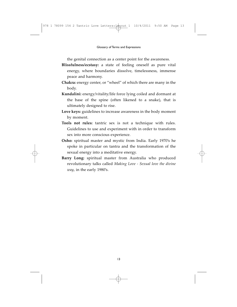the genital connection as a center point for the awareness.

- **Blissfulness/ecstasy:** a state of feeling oneself as pure vital energy, where boundaries dissolve, timelessness, immense peace and harmony.
- **Chakra:** energy center, or "wheel" of which there are many in the body.
- **Kundalini:** energy/vitality/life force lying coiled and dormant at the base of the spine (often likened to a snake), that is ultimately designed to rise.
- **Love keys:** guidelines to increase awareness in the body moment by moment.
- **Tools not rules:** tantric sex is not a technique with rules. Guidelines to use and experiment with in order to transform sex into more conscious experience.
- **Osho:** spiritual master and mystic from India. Early 1970's he spoke in particular on tantra and the transformation of the sexual energy into a meditative energy.
- **Barry Long:** spiritual master from Australia who produced revolutionary talks called *Making Love - Sexual love the divine way*, in the early 1980's.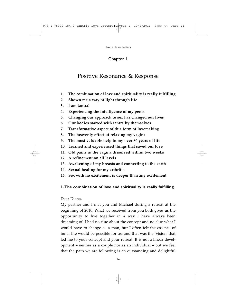## Chapter 1

## Positive Resonance & Response

- **1. The combination of love and spirituality is really fulfilling**
- **2. Shown me a way of light through life**
- **3. I am tantra!**
- **4. Experiencing the intelligence of my penis**
- **5. Changing our approach to sex has changed our lives**
- **6. Our bodies started with tantra by themselves**
- **7. Transformative aspect of this form of lovemaking**
- **8. The heavenly effect of relaxing my vagina**
- **9. The most valuable help in my over 80 years of life**
- **10. Learned and experienced things that saved our love**
- **11. Old pains in the vagina dissolved within two weeks**
- **12. A refinement on all levels**
- **13. Awakening of my breasts and connecting to the earth**
- **14. Sexual healing for my arthritis**
- **15. Sex with no excitement is deeper than any excitement**

## **1. The combination of love and spirituality is really fulfilling**

Dear Diana,

My partner and I met you and Michael during a retreat at the beginning of 2010. What we received from you both gives us the opportunity to live together in a way I have always been dreaming of. I had no clue about the concept and no clue what I would have to change as a man, but I often felt the essence of inner life would be possible for us, and that was the 'vision' that led me to your concept and your retreat. It is not a linear development – neither as a couple nor as an individual – but we feel that the path we are following is an outstanding and delightful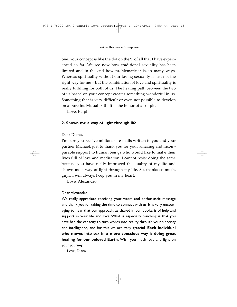one. Your concept is like the dot on the 'i' of all that I have experienced so far. We see now how traditional sexuality has been limited and in the end how problematic it is, in many ways. Whereas spirituality without our loving sexuality is just not the right way for me – but the combination of love and spirituality is really fulfilling for both of us. The healing path between the two of us based on your concept creates something wonderful in us. Something that is very difficult or even not possible to develop on a pure individual path. It is the honor of a couple.

Love, Ralph

#### **2. Shown me a way of light through life**

#### Dear Diana,

I'm sure you receive millions of e-mails written to you and your partner Michael, just to thank you for your amazing and incomparable support to human beings who would like to make their lives full of love and meditation. I cannot resist doing the same because you have really improved the quality of my life and shown me a way of light through my life. So, thanks so much, guys, I will always keep you in my heart.

Love, Alexandro

#### Dear Alexandro,

We really appreciate receiving your warm and enthusiastic message and thank you for taking the time to connect with us. It is very encouraging to hear that our approach, as shared in our books, is of help and support in your life and love. What is especially touching is that you have had the capacity to turn words into reality through your sincerity and intelligence, and for this we are very grateful. **Each individual who moves into sex in a more conscious way is doing great healing for our beloved Earth.** Wish you much love and light on your journey.

Love, Diana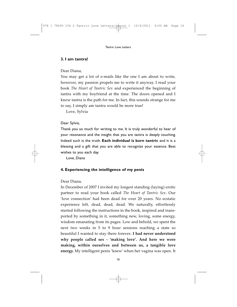#### **3. I am tantra!**

Dear Diana,

You may get a lot of e-mails like the one I am about to write, however, my passion propels me to write it anyway. I read your book *The Heart of Tantric Sex* and experienced the beginning of tantra with my boyfriend at the time. The doors opened and I know tantra is the path for me. In fact, this sounds strange for me to say, I simply am tantra would be more true!

Love, Sylvia

Dear Sylvia,

Thank you so much for writing to me. It is truly wonderful to hear of your resonance and the insight that you are tantra is deeply touching. Indeed such is the truth. **Each individual is born tantric** and it is a blessing and a gift that you are able to recognize your essence. Best wishes to you each day.

Love, Diana

#### **4. Experiencing the intelligence of my penis**

#### Dear Diana,

In December of 2007 I invited my longest standing (laying) erotic partner to read your book called *The Heart of Tantric Sex*. Our 'love connection' had been dead for over 20 years. No ecstatic experience left, dead, dead, dead. We naturally, effortlessly started following the instructions in the book, inspired and transported by something in it, something new, loving, some energy, wisdom emanating from its pages. Low and behold, we spent the next two weeks in 5 to 9 hour sessions reaching a state so beautiful I wanted to stay there forever**. I had never understood why people called sex - 'making love'. And here we were making, within ourselves and between us, a tangible love energy.** My intelligent penis 'knew' when her vagina was open. It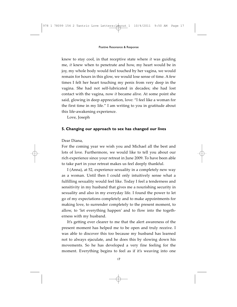knew to stay cool, in that receptive state where *it* was guiding me, *it* knew when to penetrate and how, my heart would be in joy, my whole body would feel touched by her vagina, we would remain for hours in this glow, we would lose sense of time. A few times I felt her heart touching my penis from very deep in the vagina. She had not self-lubricated in decades; she had lost contact with the vagina, now *it* became alive. At some point she said, glowing in deep appreciation, love: "I feel like a woman for the first time in my life." I am writing to you in gratitude about this life-awakening experience.

Love, Joseph

#### **5. Changing our approach to sex has changed our lives**

#### Dear Diana,

For the coming year we wish you and Michael all the best and lots of love. Furthermore, we would like to tell you about our rich experience since your retreat in June 2009. To have been able to take part in your retreat makes us feel deeply thankful.

I (Anna), at 52, experience sexuality in a completely new way as a woman. Until then I could only intuitively sense what a fulfilling sexuality would feel like. Today I feel a tenderness and sensitivity in my husband that gives me a nourishing security in sexuality and also in my everyday life. I found the power to let go of my expectations completely and to make appointments for making love, to surrender completely to the present moment, to allow, to 'let everything happen' and to flow into the togetherness with my husband.

It's getting ever clearer to me that the alert awareness of the present moment has helped me to be open and truly receive. I was able to discover this too because my husband has learned not to always ejaculate, and he does this by slowing down his movements. So he has developed a very fine feeling for the moment. Everything begins to feel as if it's weaving into one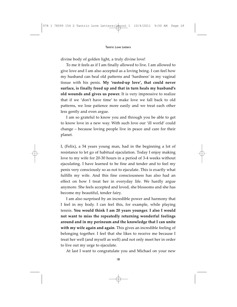divine body of golden light, a truly divine love!

To me it feels as if I am finally allowed to live. I am allowed to give love and I am also accepted as a loving being. I can feel how my husband can heal old patterns and 'hardness' in my vaginal tissue with his penis. **My 'rusted-up love', that could never surface, is finally freed up and that in turn heals my husband's old wounds and gives us power.** It is very impressive to realize that if we 'don't have time' to make love we fall back to old patterns, we lose patience more easily and we treat each other less gently and even argue.

I am so grateful to know you and through you be able to get to know love in a new way. With such love our 'ill world' could change – because loving people live in peace and care for their planet.

I, (Felix), a 54 years young man, had in the beginning a lot of resistance to let go of habitual ejaculation. Today I enjoy making love to my wife for 20-30 hours in a period of 3-4 weeks without ejaculating. I have learned to be fine and tender and to feel my penis very consciously so as not to ejaculate. This is exactly what fulfills my wife. And this fine consciousness has also had an effect on how I treat her in everyday life. We hardly argue anymore. She feels accepted and loved, she blossoms and she has become my beautiful, tender fairy.

I am also surprised by an incredible power and harmony that I feel in my body. I can feel this, for example, while playing tennis. **You would think I am 20 years younger. I also I would not want to miss the repeatedly returning wonderful feelings around and in my perineum and the knowledge that I can unite with my wife again and again**. This gives an incredible feeling of belonging together. I feel that she likes to receive me because I treat her well (and myself as well) and not only meet her in order to live out my urge to ejaculate.

At last I want to congratulate you and Michael on your new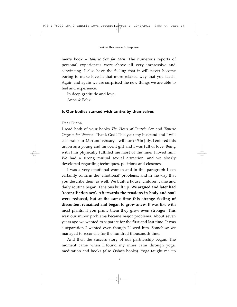men's book – *Tantric Sex for Men*. The numerous reports of personal experiences were above all very impressive and convincing. I also have the feeling that it will never become boring to make love in that more relaxed way that you teach. Again and again we are surprised the new things we are able to feel and experience.

In deep gratitude and love. Anna & Felix

#### **6. Our bodies started with tantra by themselves**

#### Dear Diana,

I read both of your books *The Heart of Tantric Sex* and *Tantric Orgasm for Women*. Thank God! This year my husband and I will celebrate our 25th anniversary. I will turn 45 in July. I entered this union as a young and innocent girl and I was full of love. Being with him physically fulfilled me most of the time. I loved him! We had a strong mutual sexual attraction, and we slowly developed regarding techniques, positions and closeness.

I was a very emotional woman and in this paragraph I can certainly confirm the 'emotional' problems, and in the way that you describe them as well. We built a house, children came and daily routine began. Tensions built up. **We argued and later had 'reconciliation sex'. Afterwards the tensions in body and soul were reduced, but at the same time this strange feeling of discontent remained and began to grow anew.** It was like with most plants, if you prune them they grow even stronger. This way our minor problems became major problems. About seven years ago we wanted to separate for the first and last time. It was a separation I wanted even though I loved him. Somehow we managed to reconcile for the hundred thousandth time.

And then the success story of our partnership began. The moment came when I found my inner calm through yoga, meditation and books (also Osho's books). Yoga taught me 'to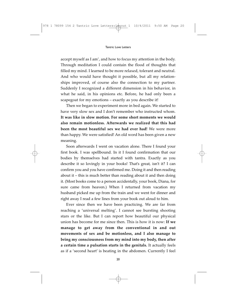accept myself as I am', and how to focus my attention in the body. Through meditation I could contain the flood of thoughts that filled my mind. I learned to be more relaxed, tolerant and neutral. And who would have thought it possible, but all my relationships improved, of course also the connection to my partner. Suddenly I recognized a different dimension in his behavior, in what he said, in his opinions etc. Before, he had only been a scapegoat for my emotions – exactly as you describe it!

Then we began to experiment more in bed again. We started to have very slow sex and I don't remember who instructed whom. **It was like in slow motion. For some short moments we would also remain motionless. Afterwards we realized that this had been the most beautiful sex we had ever had!** We were more than happy. We were satisfied! An old word has been given a new meaning.

Soon afterwards I went on vacation alone. There I found your first book. I was spellbound. In it I found confirmation that our bodies by themselves had started with tantra. Exactly as you describe it so lovingly in your books! That's great, isn't it? I can confirm you and you have confirmed me. Doing it and then reading about it – this is much better than reading about it and then doing it. (Most books come to a person accidentally, your book, Diana, for sure came from heaven.) When I returned from vacation my husband picked me up from the train and we went for dinner and right away I read a few lines from your book out aloud to him.

Ever since then we have been practicing. We are far from reaching a 'universal melting'. I cannot see bursting shooting stars or the like. But I can report how beautiful our physical union has become for me since then. This is how it is now: **If we manage to get away from the conventional in and out movements of sex and be motionless, and I also manage to bring my consciousness from my mind into my body, then after a certain time a pulsation starts in the genitals.** It actually feels as if a 'second heart' is beating in the abdomen. Currently I feel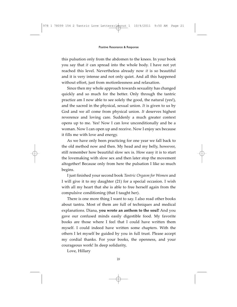this pulsation only from the abdomen to the knees. In your book you say that *it* can spread into the whole body. I have not yet reached this level. Nevertheless already now *it* is so beautiful and it is very intense and not only quiet. And all this happened without effort, just from motionlessness and relaxation.

Since then my whole approach towards sexuality has changed quickly and so much for the better. Only through the tantric practice am I now able to see solely the good, the natural (yes!), and the sacred in the physical, sexual union. *It* is given to us by God and we *all* come from physical union. *It* deserves highest reverence and loving care. Suddenly a much greater context opens up to me. Yes! Now I can love unconditionally and be a woman. Now I can open up and receive. Now I enjoy sex because it fills me with love and energy.

As we have only been practicing for one year we fall back to the old method now and then. My head and my belly, however, still remember how beautiful slow sex is. How easy it is to start the lovemaking with slow sex and then later stop the movement altogether! Because only from here the pulsation I like so much begins.

I just finished your second book *Tantric Orgasm for Women* and I will give it to my daughter (21) for a special occasion. I wish with all my heart that she is able to free herself again from the compulsive conditioning (that I taught her).

There is one more thing I want to say. I also read other books about tantra. Most of them are full of techniques and medical explanations. Diana, **you wrote an anthem to the soul!** And you gave our confused minds easily digestible food. My favorite books are those where I feel that I could have written them myself. I could indeed have written some chapters. With the others I let myself be guided by you in full trust. Please accept my cordial thanks. For your books, the openness, and your courageous work! In deep solidarity,

Love, Hillary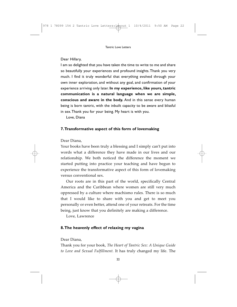#### Dear Hillary,

I am so delighted that you have taken the time to write to me and share so beautifully your experiences and profound insights. Thank you very much. I find it truly wonderful that everything evolved through your own inner exploration, and without any goal, and confirmation of your experience arriving only later. **In my experience, like yours, tantric communication is a natural language when we are simple, conscious and aware in the body.** And in this sense every human being is born tantric, with the inbuilt capacity to be aware and blissful in sex. Thank you for your being. My heart is with you.

Love, Diana

### **7. Transformative aspect of this form of lovemaking**

#### Dear Diana,

Your books have been truly a blessing and I simply can't put into words what a difference they have made in our lives and our relationship. We both noticed the difference the moment we started putting into practice your teaching and have begun to experience the transformative aspect of this form of lovemaking versus conventional sex.

Our roots are in this part of the world, specifically Central America and the Caribbean where women are still very much oppressed by a culture where machismo rules. There is so much that I would like to share with you and get to meet you personally or even better, attend one of your retreats. For the time being, just know that you definitely are making a difference.

Love, Lawrence

### **8. The heavenly effect of relaxing my vagina**

#### Dear Diana,

Thank you for your book, *The Heart of Tantric Sex: A Unique Guide to Love and Sexual Fulfillment.* It has truly changed my life. The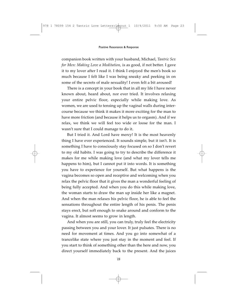companion book written with your husband, Michael, *Tantric Sex for Men: Making Love a Meditation*, is as good, if not better. I gave it to my lover after I read it. I think I enjoyed the men's book so much because I felt like I was being sneaky and peeking in on some of the secrets of male sexuality! I even felt a bit aroused!

There is a concept in your book that in all my life I have never known about, heard about, nor ever tried. It involves relaxing your entire pelvic floor, especially while making love. As women, we are used to tensing up the vaginal walls during intercourse because we think it makes it more exciting for the man to have more friction (and because it helps us to orgasm). And if we relax, we think we will feel too wide or loose for the man. I wasn't sure that I could manage to do it.

But I tried it. And Lord have mercy! It is the most heavenly thing I have ever experienced. It sounds simple, but it isn't. It is something I have to consciously stay focused on so I don't revert to my old habits. I was going to try to describe the difference it makes for me while making love (and what my lover tells me happens to him), but I cannot put it into words. It is something you have to experience for yourself. But what happens is the vagina becomes so open and receptive and welcoming when you relax the pelvic floor that it gives the man a wonderful feeling of being fully accepted. And when you do this while making love, the woman starts to draw the man up inside her like a magnet. And when the man relaxes his pelvic floor, he is able to feel the sensations throughout the entire length of his penis. The penis stays erect, but soft enough to snake around and conform to the vagina. It almost seems to grow in length.

And when you are still, you can truly, truly feel the electricity passing between you and your lover. It just pulsates. There is no need for movement at times. And you go into somewhat of a trancelike state where you just stay in the moment and feel. If you start to think of something other than the here and now, you direct yourself immediately back to the present. And the juices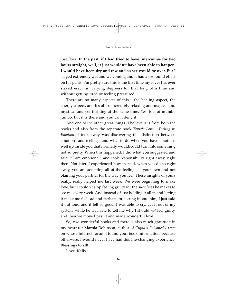just flow! **In the past, if I had tried to have intercourse for two hours straight, well, it just wouldn't have been able to happen. I would have been dry and raw and so sex would be over.** But I stayed extremely wet and welcoming and it had a profound effect on his penis. I'm pretty sure this is the first time my lover has ever stayed erect (in varying degrees) for that long of a time and without getting tired or feeling pressured.

There are so many aspects of this – the healing aspect, the energy aspect, and it's all so incredibly relaxing and magical and mystical and yet thrilling at the same time. Yes, lots of mumbo jumbo, but it is there and you can't deny it.

And one of the other great things (I believe it is from both the books and also from the separate book *Tantric Love – Feeling vs Emotion)* I took away was discovering the distinction between emotions and feelings, and what to do when you have emotions well up inside you that normally would/could turn into something not so pretty. When this happened, I did what you suggested and said, "I am emotional" and took responsibility right away, right then. Not later. I experienced how instead, when you do so right away, you are accepting all of the feelings as your own and not blaming your partner for the way you feel. These insights of yours really, really helped me last week. We were beginning to make love, but I couldn't stop feeling guilty for the sacrifices he makes to see me every week. And instead of just holding it all in and letting it make me feel sad and perhaps projecting it onto him, I just said it out loud and it felt so good. I was able to cry, get it out of my system, while he was able to tell me why I should *not* feel guilty, and then we moved past it and made wonderful love.

So, two wonderful books and there is also much gratitude in my heart for Marnia Robinson, author of *Cupid's Poisoned Arrow* on whose Internet forum I found your book information, because otherwise, I would never have had this life-changing experience. Blessings to all!

Love, Kelly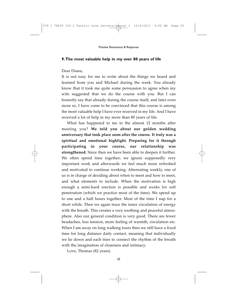#### **9. The most valuable help in my over 80 years of life**

#### Dear Diana,

It is not easy for me to write about the things we heard and learned from you and Michael during the week. You already know that it took me quite some persuasion to agree when my wife suggested that we do the course with you. But I can honestly say that already during the course itself, and later even more so, I have come to be convinced that this course is among the most valuable help I have ever received in my life. And I have received a lot of help in my more than 80 years of life.

What has happened to me in the almost 12 months after meeting you? **We told you about our golden wedding anniversary that took place soon after the course. It truly was a spiritual and emotional highlight. Preparing for it through participating in your course, our relationship was strengthened.** Since then we have been able to deepen it further. We often spend time together; we ignore supposedly very important work and afterwards we feel much more refreshed and motivated to continue working. Alternating weekly, one of us is in charge of deciding about when to meet and how to meet, and what elements to include. When the motivation is high enough a semi-hard erection is possible and works for soft penetration (which we practice most of the time). We spend up to one and a half hours together. Most of the time I nap for a short while. Then we again trace the inner circulation of energy with the breath. This creates a very soothing and peaceful atmosphere. Also our general condition is very good. There are fewer headaches, less tension, more feeling of warmth, circulation etc. When I am away on long walking tours then we still have a fixed time for long distance daily contact, meaning that individually we lie down and each tries to connect the rhythm of the breath with the imagination of closeness and intimacy.

Love, Thomas (82 years)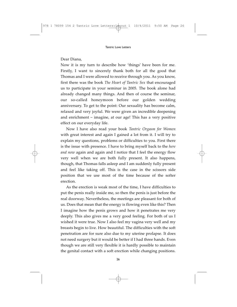Dear Diana,

Now it is my turn to describe how 'things' have been for me. Firstly, I want to sincerely thank both for all the good that Thomas and I were allowed to receive through you. As you know, first there was the book *The Heart of Tantric Sex* that encouraged us to participate in your seminar in 2005. The book alone had already changed many things. And then of course the seminar, our so-called honeymoon before our golden wedding anniversary. To get to the point: Our sexuality has become calm, relaxed and very joyful. We were given an incredible deepening and enrichment – imagine, at our age! This has a very positive effect on our everyday life.

Now I have also read your book *Tantric Orgasm for Women* with great interest and again I gained a lot from it. I will try to explain my questions, problems or difficulties to you. First there is the issue with presence. I have to bring myself back to the *here and now* again and again and I notice that I feel the energy flow very well when we are both fully present. It also happens, though, that Thomas falls asleep and I am suddenly fully present and feel like taking off. This is the case in the scissors side position that we use most of the time because of the softer erection.

As the erection is weak most of the time, I have difficulties to put the penis really inside me, so then the penis is just before the real doorway. Nevertheless, the meetings are pleasant for both of us. Does that mean that the energy is flowing even like this? Then I imagine how the penis grows and how it penetrates me very deeply. This also gives me a very good feeling. For both of us I wished it were true. Now I also feel my vagina very well and my breasts begin to live. How beautiful. The difficulties with the soft penetration are for sure also due to my uterine prolapse. It does not need surgery but it would be better if I had three hands. Even though we are still very flexible it is hardly possible to maintain the genital contact with a soft erection while changing positions.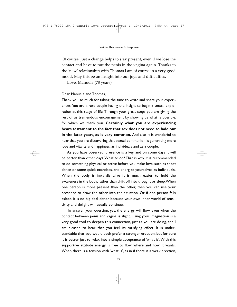Of course, just a change helps to stay present, even if we lose the contact and have to put the penis in the vagina again. Thanks to the 'new' relationship with Thomas I am of course in a very good mood. May this be an insight into our joys and difficulties.

Love, Manuela (78 years)

#### Dear Manuela and Thomas,

Thank you so much for taking the time to write and share your experiences. You are a rare couple having the insight to begin a sexual exploration at this stage of life. Through your great steps you are giving the rest of us tremendous encouragement by showing us what is possible, for which we thank you. **Certainly what you are experiencing bears testament to the fact that sex does not need to fade out in the later years, as is very common.** And also it is wonderful to hear that you are discovering that sexual communion is generating more love and vitality and happiness, as individuals and as a couple.

As you have observed, presence is a key, and on some days it will be better than other days. What to do? That is why it is recommended to do something physical or active before you make love, such as short dance or some quick exercises, and energize yourselves as individuals. When the body is inwardly alive it is much easier to hold the awareness in the body, rather than drift off into thought or sleep. When one person is more present than the other, then you can use your presence to draw the other into the situation. Or if one person falls asleep it is no big deal either because your own inner world of sensitivity and delight will usually continue.

To answer your question, yes, the energy will flow, even when the contact between penis and vagina is slight. Using your imagination is a very good tool to deepen this connection, just as you are doing, and I am pleased to hear that you feel its satisfying effect. It is understandable that you would both prefer a stronger erection, but for sure it is better just to relax into a simple acceptance of 'what is'. With this supportive attitude energy is free to flow where and how it wants. When there is a tension with 'what is', as in if there is a weak erection,

27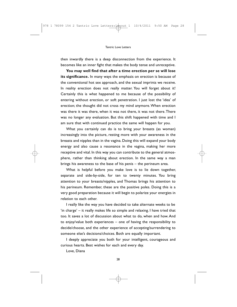then inwardly there is a deep disconnection from the experience. It becomes like an inner fight that makes the body tense and unreceptive.

**You may well find that after a time erection per se will lose its significance.** In many ways the emphasis on erection is because of the conventional hot sex approach, and the sexual imprints we receive. In reality erection does not really matter. You will forget about it! Certainly this is what happened to me because of the possibility of entering without erection, or soft penetration. I just lost the 'idea' of erection; the thought did not cross my mind anymore. When erection was there it was there, when it was not there, it was not there. There was no longer any evaluation. But this shift happened with time and I am sure that with continued practice the same will happen for you.

What you certainly can do is to bring your breasts (as woman) increasingly into the picture, resting more with your awareness in the breasts and nipples than in the vagina. Doing this will expand your body energy and also cause a resonance in the vagina, making her more receptive and vital. In this way you can contribute to the general atmosphere, rather than thinking about erection. In the same way a man brings his awareness to the base of his penis – the perineum area.

What is helpful before you make love is to lie down together, separate and side-by-side, for ten to twenty minutes. You bring attention to your breasts/nipples, and Thomas brings his attention to his perineum. Remember, these are the positive poles. Doing this is a very good preparation because it will begin to polarize your energies in relation to each other.

I really like the way you have decided to take alternate weeks to be 'in charge' – it really makes life so simple and relaxing. I have tried that too. It saves a lot of discussion about what to do, when and how. And to enjoy/value both experiences – one of having the responsibility to decide/choose, and the other experience of accepting/surrendering to someone else's decisions/choices. Both are equally important.

I deeply appreciate you both for your intelligent, courageous and curious hearts. Best wishes for each and every day.

Love, Diana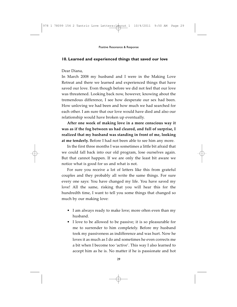## **10. Learned and experienced things that saved our love**

## Dear Diana,

In March 2008 my husband and I were in the Making Love Retreat and there we learned and experienced things that have saved our love. Even though before we did not feel that our love was threatened. Looking back now, however, knowing about the tremendous difference, I see how desperate our sex had been. How unloving we had been and how much we had searched for each other. I am sure that our love would have died and also our relationship would have broken up eventually.

**After one week of making love in a more conscious way it was as if the fog between us had cleared, and full of surprise, I realized that my husband was standing in front of me, looking at me tenderly.** Before I had not been able to see him any more.

In the first three months I was sometimes a little bit afraid that we could fall back into our old program, lose ourselves again. But that cannot happen. If we are only the least bit aware we notice what is good for us and what is not.

For sure you receive a lot of letters like this from grateful couples and they probably all write the same things. For sure every one says: You have changed my life. You have saved my love! All the same, risking that you will hear this for the hundredth time, I want to tell you some things that changed so much by our making love:

- I am always ready to make love; more often even than my husband.
- I love to be allowed to be passive; it is so pleasurable for me to surrender to him completely. Before my husband took my passiveness as indifference and was hurt. Now he loves it as much as I do and sometimes he even corrects me a bit when I become too 'active'. This way I also learned to accept him as he is. No matter if he is passionate and hot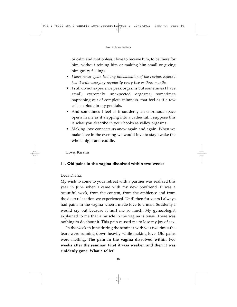or calm and motionless I love to receive him, to be there for him, without reining him or making him small or giving him guilty feelings.

- *I have never again had any inflammation of the vagina. Before I had it with wearying regularity every two or three months.*
- I still do not experience peak orgasms but sometimes I have small, extremely unexpected orgasms, sometimes happening out of complete calmness, that feel as if a few cells explode in my genitals.
- And sometimes I feel as if suddenly an enormous space opens in me as if stepping into a cathedral. I suppose this is what you describe in your books as valley orgasms.
- Making love connects us anew again and again. When we make love in the evening we would love to stay awake the whole night and cuddle.

Love, Kirstin

## **11. Old pains in the vagina dissolved within two weeks**

## Dear Diana,

My wish to come to your retreat with a partner was realized this year in June when I came with my new boyfriend. It was a beautiful week, from the content, from the ambience and from the deep relaxation we experienced. Until then for years I always had pains in the vagina when I made love to a man. Suddenly I would cry out because it hurt me so much. My gynecologist explained to me that a muscle in the vagina is tense. There was nothing to do about it. This pain caused me to lose my joy of sex.

In the week in June during the seminar with you two times the tears were running down heavily while making love. Old pains were melting. **The pain in the vagina dissolved within two weeks after the seminar. First it was weaker, and then it was suddenly gone. What a relief!**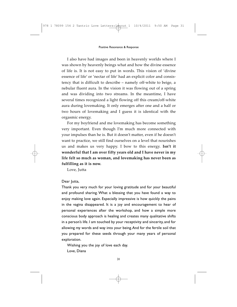I also have had images and been in heavenly worlds where I was shown by heavenly beings what and how the divine essence of life is. It is not easy to put in words. This vision of 'divine essence of life' or 'nectar of life' had an explicit color and consistency that is difficult to describe – namely off-white to beige, a nebular fluent aura. In the vision it was flowing out of a spring and was dividing into two streams. In the meantime, I have several times recognized a light flowing off this cream/off-white aura during lovemaking. It only emerges after one and a half or two hours of lovemaking and I guess it is identical with the orgasmic energy.

For my boyfriend and me lovemaking has become something very important. Even though I'm much more connected with your impulses than he is. But it doesn't matter, even if he doesn't want to practice, we still find ourselves on a level that nourishes us and makes us very happy. I bow to this energy. **Isn't it wonderful that I am over fifty years old and I have never in my life felt so much as woman, and lovemaking has never been as fulfilling as it is now.**

Love, Jutta

## Dear Jutta,

Thank you very much for your loving gratitude and for your beautiful and profound sharing. What a blessing that you have found a way to enjoy making love again. Especially impressive is how quickly the pains in the vagina disappeared. It is a joy and encouragement to hear of personal experiences after the workshop, and how a simple more conscious body approach is healing and creates many qualitative shifts in a person's life. I am touched by your receptivity and sincerity, and for allowing my words and way into your being. And for the fertile soil that you prepared for these seeds through your many years of personal exploration.

Wishing you the joy of love each day. Love, Diana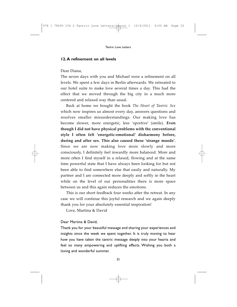#### **12. A refinement on all levels**

#### Dear Diana,

The seven days with you and Michael were a refinement on all levels. We spent a few days in Berlin afterwards. We retreated to our hotel suite to make love several times a day. This had the effect that we moved through the big city in a much more centered and relaxed way than usual.

Back at home we bought the book *The Heart of Tantric Sex* which now inspires us almost every day, answers questions and resolves smaller misunderstandings. Our making love has become slower, more energetic, less 'sportive' (smile). **Even though I did not have physical problems with the conventional style I often felt 'energetic-emotional' disharmony before, during and after sex. This also caused these 'strange moods'.** Since we are now making love more slowly and more consciously, I definitely feel inwardly more balanced. More and more often I find myself in a relaxed, flowing and at the same time powerful state that I have always been looking for but not been able to find somewhere else that easily and naturally. My partner and I are connected more deeply and softly in the heart while on the level of our personalities there is more space between us and this again reduces the emotions.

This is our short feedback four weeks after the retreat. In any case we will continue this joyful research and we again deeply thank you for your absolutely essential inspiration!

Love, Martina & David

#### Dear Martina & David,

Thank you for your beautiful message and sharing your experiences and insights since the week we spent together. It is truly moving to hear how you have taken the tantric message deeply into your hearts and feel so many empowering and uplifting effects. Wishing you both a loving and wonderful summer.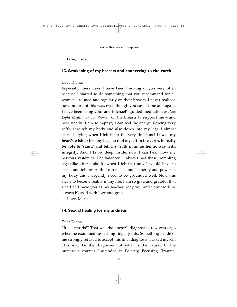Love, Diana

## **13. Awakening of my breasts and connecting to the earth**

## Dear Diana,

Especially these days I have been thinking of you very often because I started to do something that you recommend for all women – to meditate regularly on their breasts. I never realized how important this was, even though you say it time and again. I have been using your and Michael's guided meditation *MaLua Light Meditation for Women* on the breasts to support me – and now finally (I am so happy!) I can feel the energy flowing very softly through my body and also down into my legs. I almost started crying when I felt it for the very first time! **It was my heart's wish to feel my legs, to root myself in the earth, to really be able to 'stand' and tell my truth in an authentic way with integrity.** And I know deep inside: now I can heal, now my nervous system will be balanced. I always had these trembling legs (like after a shock) when I felt that now I would have to speak and tell my truth. I can feel so much energy and power in my body and I urgently need to be grounded well. Now this starts to become reality in my life. I am so glad and grateful that I had and have you as my teacher. May you and your work be always blessed with love and grace.

Love, Maria

## **14. Sexual healing for my arthritis**

Dear Diana,

"It is arthritis!" That was the doctor's diagnosis a few years ago when he examined my aching finger joints. Something inside of me strongly refused to accept this final diagnosis. I asked myself: This may be the diagnosis but what is the cause? In the numerous courses I attended in Polarity, Focusing, Trauma,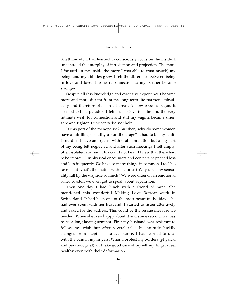Rhythmic etc. I had learned to consciously focus on the inside. I understood the interplay of introjection and projection. The more I focused on my inside the more I was able to trust myself, my being, and my abilities grew. I felt the difference between being in love and love. The heart connection to my partner became stronger.

Despite all this knowledge and extensive experience I became more and more distant from my long-term life partner – physically and therefore often in all areas. A slow process began. It seemed to be a paradox. I felt a deep love for him and the very intimate wish for connection and still my vagina became drier, sore and tighter. Lubricants did not help.

Is this part of the menopause? But then, why do some women have a fulfilling sexuality up until old age? It had to be my fault! I could still have an orgasm with oral stimulation but a big part of my being felt neglected and after such meetings I felt empty, often isolated and sad. This could not be it. I knew that there had to be 'more'. Our physical encounters and contacts happened less and less frequently. We have so many things in common. I feel his love – but what's the matter with me or us? Why does my sensuality fall by the wayside so much? We were often on an emotional roller coaster; we even got to speak about separation.

Then one day I had lunch with a friend of mine. She mentioned this wonderful Making Love Retreat week in Switzerland. It had been one of the most beautiful holidays she had ever spent with her husband! I started to listen attentively and asked for the address. This could be the rescue measure we needed! When she is so happy about it and shines so much it has to be a long-lasting seminar. First my husband was resistant to follow my wish but after several talks his attitude luckily changed from skepticism to acceptance. I had learned to deal with the pain in my fingers. When I protect my borders (physical and psychological) and take good care of myself my fingers feel healthy even with their deformation.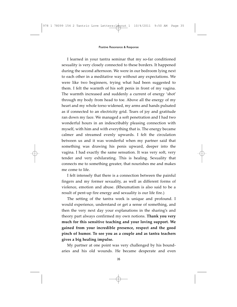I learned in your tantra seminar that my so-far conditioned sexuality is very closely connected to these borders. It happened during the second afternoon. We were in our bedroom lying next to each other in a meditative way without any expectations. We were like two beginners, trying what had been suggested to them. I felt the warmth of his soft penis in front of my vagina. The warmth increased and suddenly a current of energy 'shot' through my body from head to toe. Above all the energy of my heart and my whole torso widened, my arms and hands pulsated as if connected to an electricity grid. Tears of joy and gratitude ran down my face. We managed a soft penetration and I had two wonderful hours in an indescribably pleasing connection with myself, with him and with everything that is. The energy became calmer and streamed evenly upwards. I felt the circulation between us and it was wonderful when my partner said that something was drawing his penis upward, deeper into the vagina. I had exactly the same sensation. It was very soft, very tender and very exhilarating. This is healing. Sexuality that connects me to something greater, that nourishes me and makes me come to life.

I felt intensely that there is a connection between the painful fingers and my former sexuality, as well as different forms of violence, emotion and abuse. (Rheumatism is also said to be a result of pent-up fire energy and sexuality is our life fire.)

The setting of the tantra week is unique and profound. I would experience, understand or get a sense of something, and then the very next day your explanations in the sharing's and theory part always confirmed my own notions. **Thank you very much for this sensitive teaching and your loving support. We gained from your incredible presence, respect and the good pinch of humor. To see you as a couple and as tantra teachers gives a big healing impulse.**

My partner at one point was very challenged by his boundaries and his old wounds. He became desperate and even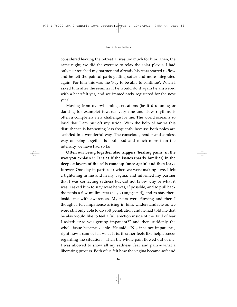considered leaving the retreat. It was too much for him. Then, the same night, we did the exercise to relax the solar plexus. I had only just touched my partner and already his tears started to flow and he felt the painful parts getting softer and more integrated again. For him this was the 'key to be able to continue'. When I asked him after the seminar if he would do it again he answered with a heartfelt yes, and we immediately registered for the next year!

Moving from overwhelming sensations (be it drumming or dancing for example) towards very fine and slow rhythms is often a completely new challenge for me. The world screams so loud that I am put off my stride. With the help of tantra this disturbance is happening less frequently because both poles are satisfied in a wonderful way. The conscious, tender and aimless way of being together is soul food and much more than the intensity we have had so far.

**Often our being together also triggers 'healing pains' in the way you explain it. It is as if the issues (partly familiar) in the deepest layers of the cells come up (once again) and then leave forever.** One day in particular when we were making love, I felt a tightening in me and in my vagina, and informed my partner that I was contacting sadness but did not know why or what it was. I asked him to stay were he was, if possible, and to pull back the penis a few millimeters (as you suggested), and to stay there inside me with awareness. My tears were flowing and then I thought I felt impatience arising in him. Understandable as we were still only able to do soft penetration and he had told me that he also would like to feel a full erection inside of me. Full of fear I asked: "Are you getting impatient?" and then suddenly the whole issue became visible. He said: "No, it is not impatience, right now I cannot tell what it is, it rather feels like helplessness regarding the situation." Then the whole pain flowed out of me. I was allowed to show all my sadness, fear and pain – what a liberating process. Both of us felt how the vagina became soft and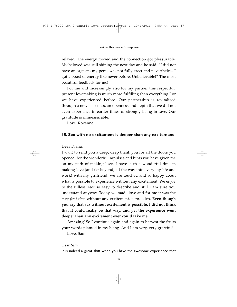relaxed. The energy moved and the connection got pleasurable. My beloved was still shining the next day and he said: "I did not have an orgasm, my penis was not fully erect and nevertheless I got a boost of energy like never before. Unbelievable!" The most beautiful feedback for me!

For me and increasingly also for my partner this respectful, present lovemaking is much more fulfilling than everything I or we have experienced before. Our partnership is revitalized through a new closeness, an openness and depth that we did not even experience in earlier times of strongly being in love. Our gratitude is immeasurable.

Love, Roxanne

## **15. Sex with no excitement is deeper than any excitement**

## Dear Diana,

I want to send you a deep, deep thank you for all the doors you opened, for the wonderful impulses and hints you have given me on my path of making love. I have such a wonderful time in making love (and far beyond, all the way into everyday life and work) with my girlfriend, we are touched and so happy about what is possible to experience without any excitement. We enjoy to the fullest. Not so easy to describe and still I am sure you understand anyway. Today we made love and for me it was the *very first time* without any excitement, zero, zilch. **Even though you say that sex without excitement is possible, I did not think that it could really be that way, and yet the experience went deeper than any excitement ever could take me.**

**Amazing!** So I continue again and again to harvest the fruits your words planted in my being. And I am very, very grateful!

Love, Sam

## Dear Sam,

It is indeed a great shift when you have the awesome experience that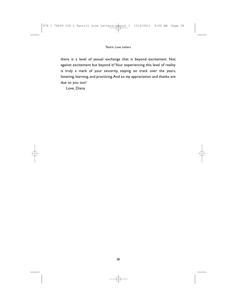there is a level of sexual exchange that is beyond excitement. Not against excitement but beyond it! Your experiencing this level of reality is truly a mark of your sincerity, staying on track over the years, listening, learning, and practicing. And so my appreciation and thanks are due to you too!

Love, Diana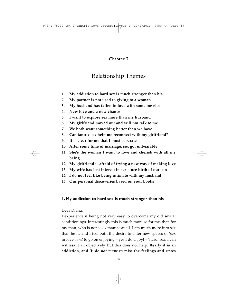# Chapter 2

# Relationship Themes

- **1. My addiction to hard sex is much stronger than his**
- **2. My partner is not used to giving to a woman**
- **3. My husband has fallen in love with someone else**
- **4. New love and a new chance**
- **5. I want to explore sex more than my husband**
- **6. My girlfriend moved out and will not talk to me**
- **7. We both want something better than we have**
- **8. Can tantric sex help me reconnect with my girlfriend?**
- **9. It is clear for me that I must separate**
- **10. After some time of marriage, sex got unbearable**
- **11. She's the woman I want to love and cherish with all my being**
- **12. My girlfriend is afraid of trying a new way of making love**
- **13. My wife has lost interest in sex since birth of our son**
- **14. I do not feel like being intimate with my husband**
- **15. Our personal discoveries based on your books**

## **1. My addiction to hard sex is much stronger than his**

## Dear Diana,

I experience it being not very easy to overcome my old sexual conditionings. Interestingly this is much more so for me, than for my man, who is not a sex maniac at all. I am much more into sex than he is, and I feel both the desire to enter new spaces of 'sex in love', *and* to go on enjoying – yes I do enjoy! – 'hard' sex. I can witness it all objectively, but this does not help. **Really it is an addiction, and 'I' do** *not want to* **miss the feelings and states**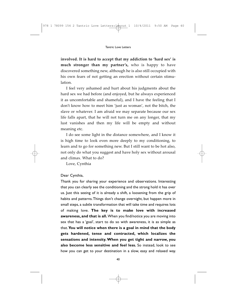**involved. It is hard to accept that my addiction to 'hard sex' is much stronger than my partner's,** who is happy to have discovered something new, although he is also still occupied with his own fears of not getting an erection without certain stimulation.

I feel very ashamed and hurt about his judgments about the hard sex we had before (and enjoyed, but he always experienced it as uncomfortable and shameful), and I have the feeling that I don't know how to meet him 'just as woman', not the bitch, the slave or whatever. I am afraid we may separate because our sex life falls apart, that he will not turn me on any longer, that my lust vanishes and then my life will be empty and without meaning etc.

I do see some light in the distance somewhere, and I know it is high time to look even more deeply to my conditioning, to learn and to go for something new. But I still want to be hot also, not only do what you suggest and have holy sex without arousal and climax. What to do?

Love, Cynthia

## Dear Cynthia,

Thank you for sharing your experience and observations. Interesting that you can clearly see the conditioning and the strong hold it has over us. Just this seeing of it is already a shift, a loosening from the grip of habits and patterns. Things don't change overnight, but happen more in small steps, a subtle transformation that will take time and requires lots of making love. **The key is to make love with increased awareness, and that is all.** When you find/notice you are moving into sex that has a 'goal', start to do so with awareness, it is as simple as that.**You will notice when there is a goal in mind that the body gets hardened, tense and contracted, which localizes the sensations and intensity. When you get tight and narrow, you also become less sensitive and feel less.** So instead, look to see how you can get to your destination in a slow, easy and relaxed way.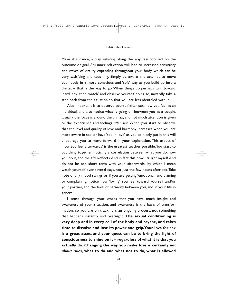Make it a dance, a play, relaxing along the way, less focused on the outcome or goal. *Any* inner relaxation will lead to increased sensitivity and waves of vitality expanding throughout your body, which can be very satisfying and touching. Simply be aware and attempt to move your body in a more conscious and 'soft' way as you build up into a climax – that is the way to go. When things do perhaps turn toward 'hard' sex, then 'watch' and observe yourself doing so, inwardly take a step back from the situation so that you are less identified with it.

Also important is to observe yourself after sex, how you feel as an individual, and also notice what is going on between you as a couple. Usually the focus is around the climax, and not much attention is given to the experience and feelings *after* sex. When you start to observe that the level and quality of love and harmony increases when you are more aware in sex, or have 'sex in love' as you so nicely put it, this will encourage you to move forward in your exploration. This aspect of 'how you feel afterwards' is the greatest teacher possible. You start to put thing together noticing a correlation between what you do, how you do it, and the after-effects. And in fact this how I taught myself. And do not be too short term with your 'afterwards' by which I mean watch yourself over several days, not just the few hours after sex. Take note of any mood swings or if you are getting 'emotional' and blaming or complaining, notice how 'loving' you feel toward yourself and/or your partner, and the level of harmony between you, and in your life in general.

I sense through your words that you have much insight and awareness of your situation, and awareness is the basis of transformation, so you are on track. It is an ongoing process, not something that happens instantly and overnight. **The sexual conditioning is very deep and in every cell of the body and psyche, and takes time to dissolve and lose its power and grip. Your love for sex is a great asset, and your quest can be to bring the light of consciousness to shine on it – regardless of what it is that you actually do. Changing the way you make love is certainly** *not about rules***, what to do and what not to do, what is allowed**

41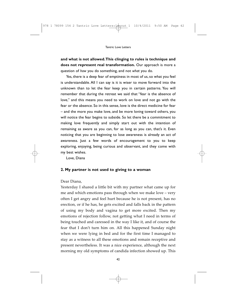**and what is not allowed. This clinging to rules is technique and does not represent real transformation.** Our approach is more a question of *how* you do something, and not *what* you do.

Yes, there is a deep fear of emptiness in most of us, so what you feel is understandable. All I can say is it is wiser to move forward into the unknown than to let the fear keep you in certain patterns. You will remember that during the retreat we said that "fear is the absence of love," and this means you need to work on love and not go with the fear or the absence. So in this sense, love is the direct medicine for fear – and the more you make love, and be more loving toward others, you will notice the fear begins to subside. So let there be a commitment to making love frequently and simply start out with the intention of remaining as aware as you can, for as long as you can, that's it. Even noticing that you are beginning to lose awareness is already an act of awareness. Just a few words of encouragement to you to keep exploring, enjoying, being curious and observant, and they come with my best wishes.

Love, Diana

## **2. My partner is not used to giving to a woman**

#### Dear Diana,

Yesterday I shared a little bit with my partner what came up for me and which emotions pass through when we make love – very often I get angry and feel hurt because he is not present, has no erection, or if he has, he gets excited and falls back in the pattern of using my body and vagina to get more excited. Then my emotions of rejection follow, not getting what I need in terms of being touched and caressed in the way I like it, and of course the fear that I don't turn him on. All this happened Sunday night when we were lying in bed and for the first time I managed to stay as a witness to all these emotions and remain receptive and present nevertheless. It was a nice experience, although the next morning my old symptoms of candida infection showed up. This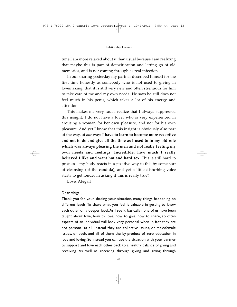time I am more relaxed about it than usual because I am realizing that maybe this is part of detoxification and letting go of old memories, and is not coming through as real infection.

In our sharing yesterday my partner described himself for the first time honestly as somebody who is not used to giving in lovemaking, that it is still very new and often strenuous for him to take care of me and my own needs. He says he still does not feel much in his penis, which takes a lot of his energy and attention.

This makes me very sad; I realize that I always suppressed this insight: I do not have a lover who is very experienced in arousing a woman for her own pleasure, and not for his own pleasure. And yet I know that this insight is obviously also part of the way, of *our* way: **I have to learn to become more receptive and not to do and give all the time as I used to in my old role which was always pleasing the men and not really feeling my own needs and feelings. Incredible, how much I really believed I like and want hot and hard sex.** This is still hard to process – my body reacts in a positive way to this by some sort of cleansing (of the candida), and yet a little disturbing voice starts to get louder in asking if this is really true?

Love, Abigail

## Dear Abigail,

Thank you for your sharing your situation, many things happening on different levels. To share what you feel is valuable in getting to know each other on a deeper level. As I see it, basically none of us have been taught about love, how to love, how to give, how to share, so often aspects of an individual will look very personal when in fact they are not personal at all. Instead they are collective issues, or male/female issues, or both, and all of them the by-product of zero education in love and loving. So instead you can use the situation with your partner to support and love each other back to a healthy balance of giving and receiving. As well as receiving through giving and giving through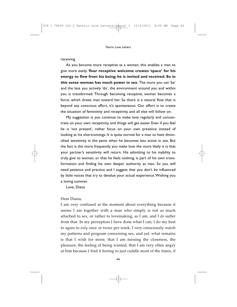receiving.

As you become more receptive as a woman, this enables a man to give more easily. **Your receptive welcome creates 'space' for his energy to flow from his being; he is invited and received. So in this sense woman has much power in sex.** The more you can 'be' and the less you actively 'do', the environment around you and within you is transformed. Through becoming receptive, woman becomes a force, which draws man toward her. So there is a natural flow that is beyond any conscious effort, it's spontaneous. Our effort is to create the situation of femininity and receptivity, and all else will follow on.

My suggestion is you continue to make love regularly and concentrate on your own receptivity, and things will get easier. Even if you feel he is 'not present', rather focus on your own presence instead of looking at his shortcomings. It is quite normal for a man to have diminished sensitivity in the penis when he becomes less active in sex. But the fact is the more frequently you make love the more likely it is that your partner's sensitivity will return. His admitting to his inability to truly give to woman, or that he feels nothing, is part of his own transformation and finding his own deeper authority as man. So you will need patience and practice and I suggest that you don't be influenced by little voices that try to devalue your actual experience. Wishing you a loving summer.

Love, Diana

#### Dear Diana,

I am very confused at the moment about everything because it seems I am together with a man who simply is not as much attached to sex, or rather to lovemaking, as I am, and I *do* suffer from that. In my perception I have done what I can; I do my best to agree to *only* once or twice per week, I very consciously watch my patterns and program concerning sex, and yet: what remains is that I wish for more, that I am missing the closeness, the pleasure, the feeling of being wanted, that I am very often angry at him because I find it boring to just cuddle most of the times, if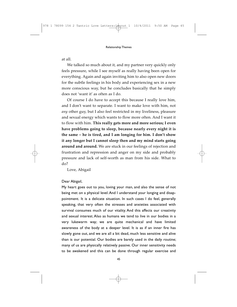at all.

We talked so much about it, and my partner very quickly only feels pressure, while I see myself as really having been open for everything. Again and again inviting him to also open new doors for the subtle feelings in his body and experiencing sex in a new more conscious way, but he concludes basically that he simply does not 'want it' as often as I do.

Of course I do have to accept this because I really love him, and I don't want to separate. I want to make love with him, not *any* other guy, but I also feel restricted in my liveliness, pleasure and sexual energy which wants to flow more often. And I want it to flow with him. **This really gets more and more serious; I even have problems going to sleep, because nearly every night it is the same – he is tired, and I am longing for him. I don't show it any longer but I cannot sleep then and my mind starts going around and around.** We are stuck in our feelings of rejection and frustration and repression and anger on my side and probably pressure and lack of self-worth as man from his side. What to do?

Love, Abigail

## Dear Abigail,

My heart goes out to you, loving your man, and also the sense of not being met on a physical level. And I understand your longing and disappointment. It is a delicate situation. In such cases I do feel, generally speaking, that very often the stresses and anxieties associated with survival consumes much of our vitality. And this affects our creativity and sexual interest. Also as humans we tend to live in our bodies in a very lukewarm way; we are quite mechanical and have limited awareness of the body at a deeper level. It is as if an inner fire has slowly gone out, and we are all a bit dead, much less sensitive and alive than is our potential. Our bodies are barely used in the daily routine; many of us are physically relatively passive. Our inner sensitivity needs to be awakened and this can be done through regular exercise and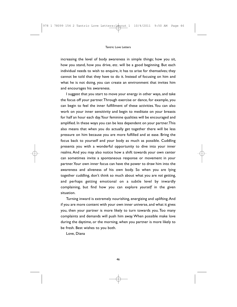increasing the level of body awareness in simple things; how you sit, how you stand, how you drive, etc. will be a good beginning. But each individual needs to wish to enquire, it has to arise for themselves; they cannot be told that they have to do it. Instead of focusing on him and what he is not doing, you can create an environment that invites him and encourages his awareness.

I suggest that you start to move your energy in other ways, and take the focus off your partner. Through exercise or dance, for example, you can begin to feel the inner fulfillment of these activities. You can also work on your inner sensitivity and begin to meditate on your breasts for half an hour each day. Your feminine qualities will be encouraged and amplified. In these ways you can be less dependent on your partner. This also means that when you do actually get together there will be less pressure on him because you are more fulfilled and at ease. Bring the focus back to yourself and your body as much as possible. Cuddling presents you with a wonderful opportunity to dive into your inner realms. And you may also notice how a shift towards your own center can sometimes invite a spontaneous response or movement in your partner. Your own inner focus can have the power to draw him into the awareness and aliveness of his own body. So when you are lying together cuddling, don't think so much about what you are *not* getting, and perhaps getting emotional on a subtle level by inwardly complaining, but find how you can explore *yourself* in the given situation.

Turning inward is extremely nourishing, energizing and uplifting. And if you are more content with your own inner universe, and what it gives you, then your partner is more likely to turn towards you. Too many complaints and demands will push him away. When possible make love during the daytime, or the morning, when you partner is more likely to be fresh. Best wishes to you both.

Love, Diana

46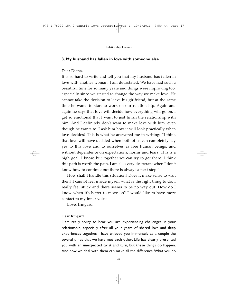#### **3. My husband has fallen in love with someone else**

#### Dear Diana,

It is so hard to write and tell you that my husband has fallen in love with another woman. I am devastated. We have had such a beautiful time for so many years and things were improving too, especially since we started to change the way we make love. He cannot take the decision to leave his girlfriend, but at the same time he wants to start to work on our relationship. Again and again he says that love will decide how everything will go on. I get so emotional that I want to just finish the relationship with him. And I definitely don't want to make love with him, even though he wants to. I ask him how it will look practically when love decides? This is what he answered me in writing: "I think that love will have decided when both of us can completely say yes to this love and to ourselves as free human beings, and without dependence on expectations, norms and fears. This is a high goal, I know, but together we can try to get there. I think this path is worth the pain. I am also very desperate when I don't know how to continue but there is always a next step."

How shall I handle this situation? Does it make sense to wait then? I cannot feel inside myself what is the right thing to do. I really feel stuck and there seems to be no way out. How do I know when it's better to move on? I would like to have more contact to my inner voice.

Love, Irmgard

#### Dear Irmgard,

I am really sorry to hear you are experiencing challenges in your relationship, especially after all your years of shared love and deep experiences together. I have enjoyed you immensely as a couple the several times that we have met each other. Life has clearly presented you with an unexpected twist and turn, but these things do happen. And how we deal with them can make all the difference. What you do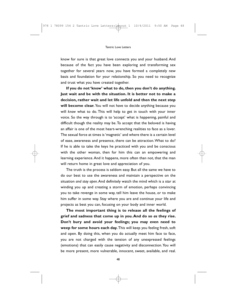know for sure is that great love connects you and your husband. And because of the fact you have been exploring and transforming sex together for several years now, you have formed a completely new basis and foundation for your relationship. So you need to recognize and trust what you have created together.

**If you do not 'know' what to do, then you don't do anything. Just wait and be with the situation. It is better not to make a decision, rather wait and let life unfold and then the next step will become clear.** You will not have to decide anything because you will *know* what to do. This will help to get in touch with your inner voice. So the way through is to 'accept' what is happening, painful and difficult though the reality may be. To accept that the beloved is having an affair is one of the most heart-wrenching realities to face as a lover. The sexual force at times is 'magnetic' and where there is a certain level of ease, awareness and presence, there can be attraction. What to do? If he is able to take the keys he practiced with you and be conscious with the other woman, then for him this can an empowering and learning experience. And it happens, more often than not, that the man will return home in great love and appreciation of you.

The truth is the process is seldom easy. But all the same we have to do our best to use the awareness and maintain a perspective on the situation *and stay open*. And definitely watch the mind which is a star at winding you up and creating a storm of emotion, perhaps convincing you to take revenge in some way, tell him leave the house, or to make him suffer in some way. Stay where you are and continue your life and projects as best you can, focusing on your body and inner world.

**The most important thing is to release all the feelings of grief and sadness that come up in you. And do so** *as* **they rise. Don't bury and avoid your feelings; you may even need to weep for some hours each day.** This will keep you feeling fresh, soft and open. By doing this, when you do actually meet him face to face, you are not charged with the tension of any unexpressed feelings (emotions) that can easily cause negativity and disconnection. You will be more present, more vulnerable, innocent, sweet, available, and real.

48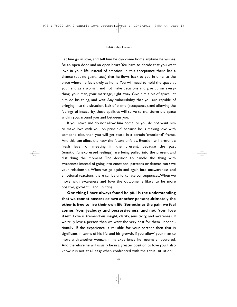Let him go in love, and tell him he can come home anytime he wishes. Be an open door and an open heart. You have to decide that you want love in your life instead of emotion. In this acceptance there lies a chance (but no guarantees) that he flows back to you in time, to the place where he feels truly at home. You will need to hold the space at your end as a woman, and not make decisions and give up on everything, your man, your marriage, right away. Give him a bit of space, let him do his thing, and wait. Any vulnerability that you are capable of bringing into the situation, lack of blame (acceptance), and allowing the feelings of insecurity, these qualities will serve to transform the space within you, around you and between you.

If you react and do not allow him home, or you do not want him to make love with you 'on principle' because he is making love with someone else, then you will get stuck in a certain 'emotional' frame. And this can affect the how the future unfolds. Emotion will prevent a fresh level of meeting in the present, because the past (emotion/unexpressed feelings), are being pulled into the present and disturbing the moment. The decision to handle the thing with awareness instead of going into emotional patterns or dramas can save your relationship. When we go again and again into unawareness and emotional reactions, there can be unfortunate consequences. When we move with awareness and love the outcome is likely to be more positive, growthful and uplifting.

**One thing I have always found helpful is the understanding that we cannot possess or own another person; ultimately the other is free to live their own life. Sometimes the pain we feel comes from jealousy and possessiveness, and not from love itself.** Love is tremendous insight, clarity, sensitivity, and awareness. If we truly love a person then we want the very best for them, unconditionally. If the experience is valuable for your partner then that is significant in terms of his life, and his growth. If you 'allow' your man to move with another woman, in my experience, he returns empowered. And therefore he will usually be in a greater position to love you. I also know it is not at all easy when confronted with the actual situation!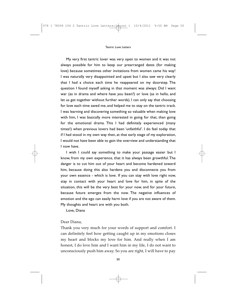My very first tantric lover was very open to women and it was not always possible for him to keep our prearranged dates (for making love) because sometimes other invitations from women came his way! I was naturally very disappointed and upset but I also saw very clearly that I had a choice each time he reappeared on my doorstep. The question I found myself asking in that moment was always: Did I want war (as in drama and where have you been?) or love (as in hello, and let us get together without further words). I can only say that choosing for love each time saved me, and helped me to stay on the tantric track. I was learning and discovering something so valuable when making love with him, I was basically more interested in going for that, than going for the emotional drama. This I had definitely experienced (many times!) when previous lovers had been 'unfaithful'. I do feel today that if I had stood in my own way then, at that early stage of my exploration, I would not have been able to gain the overview and understanding that I now have.

I wish I could say something to make your passage easier but I know, from my own experience, that it has always been growthful. The danger is to cut him out of your heart and become hardened toward him, because doing this also hardens you and disconnects you from your own essence - which is love. If you can stay with love right now, stay in contact with your heart and love for him, in spite of the situation, this will be the very best for your now, and for your future, because future emerges from the now. The negative influences of emotion and the ego can easily harm love if you are not aware of them. My thoughts and heart are with you both.

Love, Diana

#### Dear Diana,

Thank you very much for your words of support and comfort. I can definitely feel how getting caught up in my emotions closes my heart and blocks my love for him. And really when I am honest, I do love him and I want him in my life, I do not want to unconsciously push him away. So you are right, I will have to pay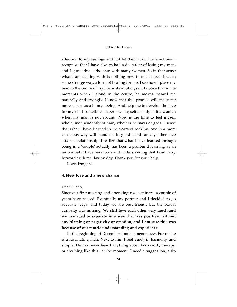attention to my feelings and not let them turn into emotions. I recognize that I have always had a deep fear of losing my man, and I guess this is the case with many women. So in that sense what I am dealing with is nothing new to me. It feels like, in some strange way, a form of healing for me. I see how I place my man in the centre of my life, instead of myself. I notice that in the moments when I stand in the centre, he moves toward me naturally and lovingly. I know that this process will make me more secure as a human being. And help me to develop the love for myself. I sometimes experience myself as only half a woman when my man is not around. Now is the time to feel myself whole, independently of man, whether he stays or goes. I sense that what I have learned in the years of making love in a more conscious way will stand me in good stead for any other love affair or relationship. I realize that what I have learned through being in a 'couple' actually has been a profound learning as an individual. I have new tools and understanding that I can carry forward with me day by day. Thank you for your help.

Love, Irmgard.

## **4. New love and a new chance**

#### Dear Diana,

Since our first meeting and attending two seminars, a couple of years have passed. Eventually my partner and I decided to go separate ways, and today we are best friends but the sexual curiosity was missing. **We still love each other very much and we managed to separate in a way that was positive, without any blaming or negativity or emotion, and I am sure this was because of our tantric understanding and experience.**

In the beginning of December I met someone new. For me he is a fascinating man. Next to him I feel quiet, in harmony, and simple. He has never heard anything about bodywork, therapy, or anything like this. At the moment, I need a suggestion, a tip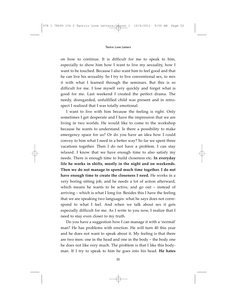on how to continue. It is difficult for me to speak to him, especially to show him how I want to live my sexuality, how I want to be touched. Because I also want him to feel good and that he can live his sexuality. So I try to live conventional sex, to mix it with what I learned through the seminars. But this is so difficult for me. I lose myself very quickly and forget what is good for me. Last weekend I created the perfect drama. The needy, disregarded, unfulfilled child was present and in retrospect I realized that I was totally emotional.

I want to live with him because the feeling is right. Only sometimes I get desperate and I have the impression that we are living in two worlds. He would like to come to the workshop because he wants to understand. Is there a possibility to make emergency space for us? Or do you have an idea how I could convey to him what I need in a better way? So far we spent three vacations together. Then I do not have a problem. I can stay relaxed. I know that we have enough time to also satisfy my needs. There is enough time to build closeness etc**. In everyday life he works in shifts, mostly in the night and on weekends. Then we do not manage to spend much time together. I do not have enough time to create the closeness I need.** He works in a very boring sitting job, and he needs a lot of action afterward, which means he wants to be active, and go out – instead of arriving – which is what I long for. Besides this I have the feeling that we are speaking two languages: what he says does not correspond to what I feel. And when we talk about sex it gets especially difficult for me. As I write to you now, I realize that I need to stay even closer to my truth.

Do you have a suggestion how I can manage it with a 'normal' man? He has problems with erection. He will turn 40 this year and he does not want to speak about it. My feeling is that there are two men: one in the head and one in the body – the body one he does not like very much. The problem is that I like this bodyman. If I try to speak to him he goes into his head. **He hates**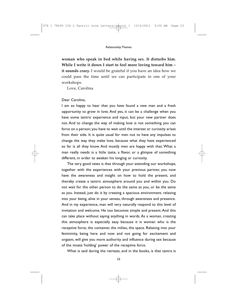**woman who speak in bed while having sex. It disturbs him. While I write it down I start to feel more loving toward him – it sounds crazy.** I would be grateful if you have an idea how we could pass the time until we can participate in one of your workshops.

Love, Carolina

#### Dear Carolina,

I am so happy to hear that you have found a new man and a fresh opportunity to grow in love. And yes, it can be a challenge when you have some tantric experience and input, but your new partner does not. And to change the way of making love is not something you can force on a person; you have to wait until the interest or curiosity arises from their side. It is quite usual for men not to have any impulses to change the way they make love, because what they have experienced so far is all they know. And mostly men are happy with that. What a man really needs is a little taste, a flavor, or a glimpse of something different, in order to awaken his longing or curiosity.

The very good news is that through your attending our workshops, together with the experiences with your previous partner, you now have the awareness and insight on how to hold the present, and thereby create a tantric atmosphere around you and within you. Do not wait for the other person to do the same as you, or be the same as you. Instead, just do it by creating a spacious environment, relaxing into your being, alive in your senses, through awareness and presence. And in my experience, man will very naturally respond to this level of invitation and welcome. He too becomes simple and present. And this can take place without saying anything in words. As a woman, creating this atmosphere is especially easy because it is woman who is the receptive force, the container, the milieu, the space. Relaxing into your femininity, being here and now and not going for excitement and orgasm, will give you more authority and influence during sex because of the innate 'holding' power of the receptive force.

What is said during the retreats, and in the books, is that tantra is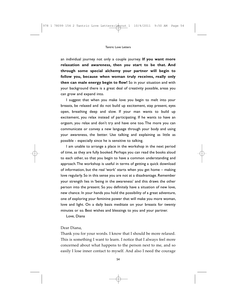an individual journey not only a couple journey. **If you want more relaxation and awareness, then** *you* **start to be that. And through some special alchemy your partner will begin to follow you, because when woman truly receives, really only then can male energy begin to flow!** So in your situation and with your background there is a great deal of creativity possible, areas you can grow and expand into.

I suggest that when you make love you begin to melt into your breasts, be relaxed and do not build up excitement, stay present, eyes open, breathing deep and slow. If your man wants to build up excitement, you relax instead of participating. If he wants to have an orgasm, you relax and don't try and have one too. The more you can communicate or convey a new language through your body and using your awareness, the better. Use talking and explaining as little as possible - especially since he is sensitive to talking.

I am unable to arrange a place in the workshop in the next period of time, as they are fully booked. Perhaps you can read the books aloud to each other, so that you begin to have a common understanding and approach. The workshop is useful in terms of getting a quick download of information, but the real 'work' starts when you get home – making love regularly. So in this sense you are not at a disadvantage. Remember your strength lies in 'being in the awareness' and this draws the other person into the present. So you definitely have a situation of new love, new chance. In your hands you hold the possibility of a great adventure, one of exploring your feminine power that will make you more woman, love and light. On a daily basis meditate on your breasts for twenty minutes or so. Best wishes and blessings to you and your partner.

Love, Diana

#### Dear Diana,

Thank you for your words. I know that I should be more relaxed. This is something I want to learn. I notice that I always feel more concerned about what happens to the person next to me, and so easily I lose inner contact to myself. And also I need the courage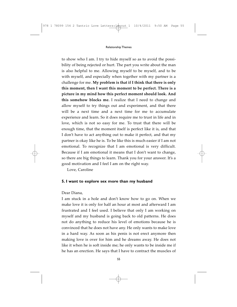to show who I am. I try to hide myself so as to avoid the possibility of being rejected or hurt. The part you write about the man is also helpful to me. Allowing myself to be myself, and to be with myself, and especially when together with my partner is a challenge for me. **My problem is that if I think that there is only this moment, then I want this moment to be perfect. There is a picture in my mind how this perfect moment should look. And this somehow blocks me.** I realize that I need to change and allow myself to try things out and experiment, and that there will be a next time and a next time for me to accumulate experience and learn. So it does require me to trust in life and in love, which is not so easy for me. To trust that there will be enough time, that the moment itself is perfect like it is, and that I don't have to act anything out to make it perfect, and that my partner is okay like he is. To be like this is much easier if I am not emotional. To recognize that I am emotional is very difficult. Because if I am emotional it means that I don't want to change, so there are big things to learn. Thank you for your answer. It's a good motivation and I feel I am on the right way.

Love, Caroline

## **5. I want to explore sex more than my husband**

## Dear Diana,

I am stuck in a hole and don't know how to go on. When we make love it is only for half an hour at most and afterward I am frustrated and I feel used. I believe that only I am working on myself and my husband is going back to old patterns. He does not do anything to reduce his level of emotions because he is convinced that he does not have any. He only wants to make love in a hard way. As soon as his penis is not erect anymore then making love is over for him and he dreams away. He does not like it when he is soft inside me; he only wants to be inside me if he has an erection. He says that I have to contract the muscles of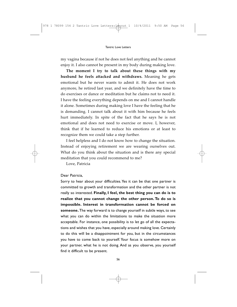my vagina because if not he does not feel anything and he cannot enjoy it. I also cannot be present in my body during making love.

**The moment I try to talk about these things with my husband he feels attacked and withdraws.** Meaning he gets emotional but he never wants to admit it. He does not work anymore, he retired last year, and we definitely have the time to do exercises or dance or meditation but he claims not to need it. I have the feeling everything depends on me and I cannot handle it alone. Sometimes during making love I have the feeling that he is demanding. I cannot talk about it with him because he feels hurt immediately. In spite of the fact that he says he is not emotional and does not need to exercise or move. I, however, think that if he learned to reduce his emotions or at least to recognize them we could take a step further.

I feel helpless and I do not know how to change the situation. Instead of enjoying retirement we are wearing ourselves out. What do you think about the situation and is there any special meditation that you could recommend to me?

Love, Patricia

#### Dear Patricia,

Sorry to hear about your difficulties. Yes it can be that one partner is committed to growth and transformation and the other partner is not really so interested. **Finally, I feel, the best thing you can do is to realize that you cannot change the other person. To do so is impossible. Interest in transformation cannot be forced on someone.** The way forward is to change yourself in subtle ways, to see what you can do within the limitations to make the situation more acceptable. For instance, one possibility is to let go of all the expectations and wishes that you have, especially around making love. Certainly to do this will be a disappointment for you, but in the circumstances you have to come back to yourself. Your focus is somehow more on your partner, what he is not doing. And as you observe, you yourself find it difficult to be present.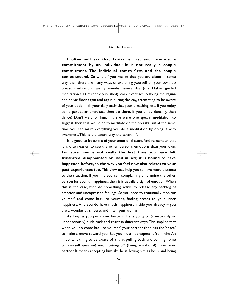**I often will say that tantra is first and foremost a commitment by an individual; it is not really a couple commitment. The individual comes first, and the couple comes second.** So when/if you realize that you are alone in some way, then there are many ways of exploring yourself on your own: do breast meditation twenty minutes every day (the MaLua guided meditation CD recently published), daily exercises, relaxing the vagina and pelvic floor again and again during the day, attempting to be aware of your body in all your daily activities, your breathing, etc. If you enjoy some particular exercises, then do them, if you enjoy dancing, then dance! Don't wait for him. If there were one special meditation to suggest, then that would be to meditate on the breasts. But at the same time you can make everything you do a meditation by doing it with awareness. This is the tantra way, the tantra life.

It is good to be aware of your emotional state. And remember that it is often easier to see the other person's emotions than your own. **For sure now is not really the first time you have felt frustrated, disappointed or used in sex; it is bound to have happened before, so the way you feel now also relates to your past experiences too.** This view may help you to have more distance to the situation. If you find yourself complaining or blaming the other person for your unhappiness, then it is usually a sign of emotion. When this is the case, then do something active to release any backlog of emotion and unexpressed feelings. So you need to continually monitor yourself, and come back to yourself, finding access to your inner happiness. And you do have much happiness inside you already – you are a wonderful, sincere, and intelligent woman!

As long as you push your husband, he is going to (consciously or unconsciously) push back and resist in different ways. This implies that when you do come back to yourself, your partner then has the 'space' to make a move toward you. But you must not expect it from him. An important thing to be aware of is that pulling back and coming home to yourself *does not mean cutting off* (being emotional) from your partner. It means accepting him like he is, loving him as he is, and being

57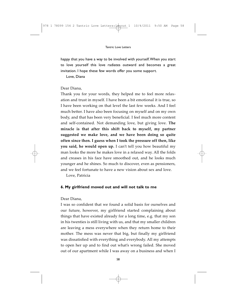happy that you have a way to be involved with yourself. When you start to love yourself this love radiates outward and becomes a great invitation. I hope these few words offer you some support.

Love, Diana

## Dear Diana,

Thank you for your words, they helped me to feel more relaxation and trust in myself. I have been a bit emotional it is true, so I have been working on that level the last few weeks. And I feel much better. I have also been focusing on myself and on my own body, and that has been very beneficial. I feel much more content and self-contained. Not demanding love, but giving love. **The miracle is that after this shift back to myself, my partner suggested we make love, and we have been doing so quite often since then. I guess when I took the pressure off then, like you said, he would open up.** I can't tell you how beautiful my man looks the more he makes love in a relaxed way. All the folds and creases in his face have smoothed out, and he looks much younger and he shines. So much to discover, even as pensioners, and we feel fortunate to have a new vision about sex and love.

Love, Patricia

## **6. My girlfriend moved out and will not talk to me**

## Dear Diana,

I was so confident that we found a solid basis for ourselves and our future, however, my girlfriend started complaining about things that have existed already for a long time, e.g. that my son in his twenties is still living with us, and that my smaller children are leaving a mess everywhere when they return home to their mother. The mess was never that big, but finally my girlfriend was dissatisfied with everything and everybody. All my attempts to open her up and to find out what's wrong failed. She moved out of our apartment while I was away on a business and when I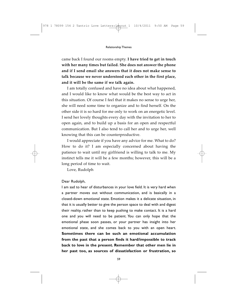came back I found our rooms empty. **I have tried to get in touch with her many times but failed. She does not answer the phone and if I send email she answers that it does not make sense to talk because we never understood each other in the first place, and it will be the same if we talk again.**

I am totally confused and have no idea about what happened, and I would like to know what would be the best way to act in this situation. Of course I feel that it makes no sense to urge her, she will need some time to organize and to find herself. On the other side it is so hard for me only to work on an energetic level. I send her lovely thoughts every day with the invitation to her to open again, and to build up a basis for an open and respectful communication. But I also tend to call her and to urge her, well knowing that this can be counterproductive.

I would appreciate if you have any advice for me. What to do? How to do it? I am especially concerned about having the patience to wait until my girlfriend is willing to talk to me. My instinct tells me it will be a few months; however, this will be a long period of time to wait.

Love, Rudolph

## Dear Rudolph,

I am sad to hear of disturbances in your love field. It is very hard when a partner moves out without communication, and is basically in a closed-down emotional state. Emotion makes it a delicate situation, in that it is usually better to give the person space to deal with and digest their reality, rather than to keep pushing to make contact. It is a hard one and you will need to be patient. You can only hope that the emotional phase soon passes, or your partner has insight into her emotional state, and she comes back to you with an open heart. **Sometimes there can be such an emotional accumulation from the past that a person finds it hard/impossible to track back to love in the present. Remember that other men lie in her past too, as sources of dissatisfaction or frustration, so**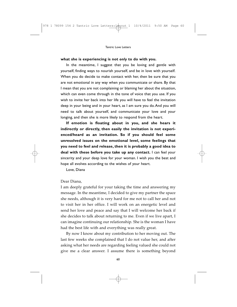#### **what she is experiencing is not** *only* **to do with you.**

In the meantime, I suggest that you be loving and gentle with yourself, finding ways to nourish yourself, and be in love with yourself. When you do decide to make contact with her, then be sure that you are not emotional in any way when you communicate or share. By that I mean that you are not complaining or blaming her about the situation, which can even come through in the tone of voice that you use. If you wish to invite her back into her life you will have to feel the invitation deep in your being and in your heart, as I am sure you do. And you will need to talk about yourself, and communicate your love and your longing, and then she is more likely to respond from the heart.

**If emotion is floating about in you, and she hears it indirectly or directly, then easily the invitation is not experienced/heard as an invitation. So if you should feel some unresolved issues on the emotional level, some feelings that you need to feel and release, then it is probably a good idea to deal with these before you take up any contact.** I can feel your sincerity and your deep love for your woman. I wish you the best and hope all evolves according to the wishes of your heart.

Love, Diana

#### Dear Diana,

I am deeply grateful for your taking the time and answering my message. In the meantime, I decided to give my partner the space she needs, although it is very hard for me not to call her and not to visit her in her office. I will work on an energetic level and send her love and peace and say that I will welcome her back if she decides to talk about returning to me. Even if we live apart, I can imagine continuing our relationship. She is the woman I have had the best life with and everything was really great.

By now I know about my contribution to her moving out. The last few weeks she complained that I do not value her, and after asking what her needs are regarding feeling valued she could not give me a clear answer. I assume there is something beyond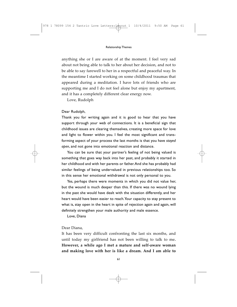anything she or I are aware of at the moment. I feel very sad about not being able to talk to her about her decision, and not to be able to say farewell to her in a respectful and peaceful way. In the meantime I started working on some childhood traumas that appeared during a meditation. I have lots of friends who are supporting me and I do not feel alone but enjoy my apartment, and it has a completely different clear energy now.

Love, Rudolph

#### Dear Rudolph,

Thank you for writing again and it is good to hear that you have support through your web of connections. It is a beneficial sign that childhood issues are clearing themselves, creating more space for love and light to flower within you. I feel the most significant and transforming aspect of your process the last months is that you have *stayed open*, and not gone into emotional reaction and distance.

You can be sure that your partner's feeling of not being valued is something that goes way back into her past, and probably it started in her childhood and with her parents or father. And she has probably had similar feelings of being undervalued in previous relationships too. So in this sense her emotional withdrawal is not only personal to you.

Yes, perhaps there were moments in which you did not value her, but the wound is much deeper than this. If there was no wound lying in the past she would have dealt with the situation differently, and her heart would have been easier to reach. Your capacity to stay present to what is, stay open in the heart in spite of rejection again and again, will definitely strengthen your male authority and male essence.

Love, Diana

#### Dear Diana,

It has been very difficult confronting the last six months, and until today my girlfriend has not been willing to talk to me**. However, a while ago I met a mature and self-aware woman and making love with her is like a dream. And I am able to**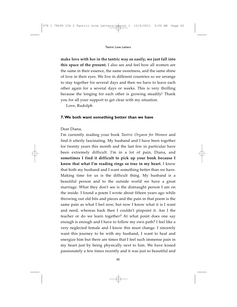**make love with her in the tantric way so easily; we just fall into this space of the present.** I also see and feel how all women are the same in their essence, the same sweetness, and the same shine of love in their eyes. We live in different countries so we arrange to stay together for several days and then we have to leave each other again for a several days or weeks. This is very thrilling because the longing for each other is growing steadily! Thank you for all your support to get clear with my situation.

Love, Rudolph

## **7. We both want something better than we have**

## Dear Diana,

I'm currently reading your book *Tantric Orgasm for Women* and find it utterly fascinating. My husband and I have been together for twenty years this month and the last few in particular have been extremely difficult. I'm in a lot of pain, Diana, and **sometimes I find it difficult to pick up your book because I know that what I'm reading rings so true in my heart.** I know that both my husband and I want something better than we have. Making time for us is the difficult thing. My husband is a beautiful person and to the outside world we have a great marriage. What they don't see is the distraught person I am on the inside. I found a poem I wrote about fifteen years ago while throwing out old bits and pieces and the pain in that poem is the same pain as what I feel now, but now I know what it is I want and need, whereas back then I couldn't pinpoint it. Am I the teacher or do we learn together? At what point does one say enough is enough and I have to follow my own path? I feel like a very neglected female and I know this must change. I sincerely want this journey to be with my husband, I want to heal and energize him but there are times that I feel such immense pain in my heart just by being physically next to him. We have kissed passionately a few times recently and it was just so beautiful and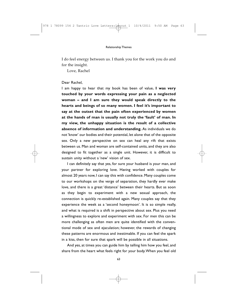I do feel energy between us. I thank you for the work you do and for the insight.

Love, Rachel

#### Dear Rachel,

I am happy to hear that my book has been of value**. I was very touched by your words expressing your pain as a neglected woman – and I am sure they would speak directly to the hearts and beings of so many women. I feel it's important to say at the outset that the pain often experienced by women at the hands of man is usually not truly the 'fault' of man. In my view, the unhappy situation is the result of a collective absence of information and understanding.** As individuals we do not 'know' our bodies and their potential, let alone that of the opposite sex. Only a new perspective on sex can heal any rift that exists between us. Man and woman are self-contained units, and they are also designed to fit together as a single unit. However, it is difficult to sustain unity without a 'new' vision of sex.

I can definitely say that yes, for sure your husband is your man, and your partner for exploring love. Having worked with couples for almost 20 years now, I can say this with confidence. Many couples come to our workshops on the verge of separation, they hardly ever make love, and there is a great 'distance' between their hearts. But as soon as they begin to experiment with a new sexual approach, the connection is quickly re-established again. Many couples say that they experience the week as a 'second honeymoon'. It is so simple really, and what is required is a shift in perspective about sex. Plus you need a willingness to explore and experiment with sex. For men this can be more challenging as often men are quite identified with the conventional mode of sex and ejaculation; however, the rewards of changing these patterns are enormous and inestimable. If you can feel the spark in a kiss, then for sure that spark will be possible in all situations.

And yes, at times you can guide him by telling him how you feel, and share from the heart what feels right for your body. When you feel old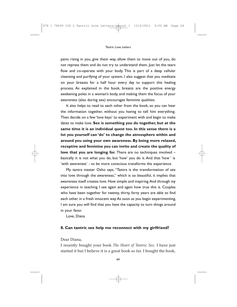pains rising in you, give them way, allow them to move out of you, do not repress them and do not try to understand them. Just let the tears flow and co-operate with your body. This is part of a deep cellular cleansing and purifying of your system. I also suggest that you meditate on your breasts for a half hour every day to support this healing process. As explained in the book, breasts are the positive energy awakening poles in a woman's body, and making them the focus of your awareness (also during sex) encourages feminine qualities.

It also helps to read to each other from the book, so you can hear the information together, without you having to tell him everything. Then decide on a few 'love keys' to experiment with and begin to make dates to make love. **Sex is something you do together, but at the same time it is an individual quest too. In this sense there is a lot you yourself can 'do' to change the atmosphere within and around you using your own awareness. By being more relaxed, receptive and feminine you can invite and create the quality of love that you are longing for.** There are no techniques involved – basically it is not what you do, but 'how' you do it. And that 'how ' is 'with awareness' - to be more conscious transforms the experience.

My tantra master Osho says, "Tantra is the transformation of sex into love through the awareness," which is so beautiful, it implies that awareness itself creates love. How simple and inspiring. And through my experience in teaching I see again and again how true this is. Couples who have been together for twenty, thirty, forty years are able to find each other in a fresh innocent way. As soon as you begin experimenting, I am sure you will find that you have the capacity to turn things around in your favor.

Love, Diana

#### **8. Can tantric sex help me reconnect with my girlfriend?**

Dear Diana,

I recently bought your book *The Heart of Tantric Sex.* I have just started it but I believe it is a great book so far. I bought the book,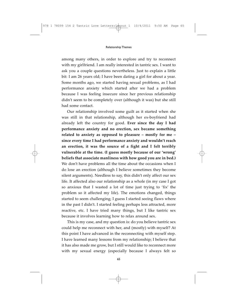among many others, in order to explore and try to reconnect with my girlfriend. I am really interested in tantric sex. I want to ask you a couple questions nevertheless. Just to explain a little bit: I am 26 years old; I have been dating a girl for about a year. Some months ago, we started having sexual problems, as I had performance anxiety which started after we had a problem because I was feeling insecure since her previous relationship didn't seem to be completely over (although it was) but she still had some contact.

Our relationship involved some guilt as it started when she was still in that relationship, although her ex-boyfriend had already left the country for good. **Ever since the day I had performance anxiety and no erection, sex became something related to anxiety as opposed to pleasure – mostly for me – since every time I had performance anxiety and wouldn't reach an erection, it was the source of a fight and I felt terribly vulnerable at the time. (I guess mostly because of our 'wrong' beliefs that associate manliness with how good you are in bed.)** We don't have problems all the time about the occasions when I do lose an erection (although I believe sometimes they become silent arguments). Needless to say, this didn't only affect our sex life. It affected also our relationship as a whole (in my case I got so anxious that I wasted a lot of time just trying to 'fix' the problem so it affected my life). The emotions changed, things started to seem challenging; I guess I started seeing flaws where in the past I didn't. I started feeling perhaps less attracted, more reactive, etc. I have tried many things, but I like tantric sex because it involves learning how to relax around sex.

This is my case, and my question is: do you believe tantric sex could help me reconnect with her, and (mostly) with myself? At this point I have advanced in the reconnecting with myself step. I have learned many lessons from my relationship; I believe that it has also made me grow, but I still would like to reconnect more with my sexual energy (especially because I always felt so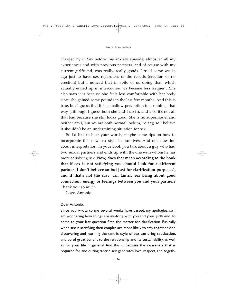charged by it! Sex before this anxiety episode, almost in all my experiences and with previous partners, and of course with my current girlfriend, was really, really good). I tried some weeks ago just to have sex regardless of the results (erection or no erection) but I noticed that in spite of us doing that, which actually ended up in intercourse, we became less frequent. She also says it is because she feels less comfortable with her body since she gained some pounds in the last few months. And this is true, but I guess that it is a shallow perception to see things that way (although I guess both she and I do it), and also it's not all that bad because she still looks good! She is no supermodel and neither am I, but we are both normal looking I'd say, so I believe it shouldn't be an undermining situation for sex.

So I'd like to hear your words, maybe some tips on how to incorporate this new sex style in our lives. And one question about interpretation: in your book you talk about a guy who had two sexual partners and ends up with the one with whom he has more satisfying sex. **Now, does that mean according to the book that if sex is not satisfying you should look for a different partner (I don't believe so but just for clarification purposes), and if that's not the case, can tantric sex bring about good connection, energy or feelings between you and your partner?** Thank you so much.

Love, Antonio

# Dear Antonio,

Since you wrote to me several weeks have passed, my apologies, so I am wondering how things are evolving with you and your girlfriend. To come to your last question first, the matter for clarification. Basically when sex is satisfying then couples are more likely to stay together. And discovering and learning the tantric style of sex can bring satisfaction, and be of great benefit to the relationship and its sustainability, as well as for your life in general. And this is because the awareness that is required for and during tantric sex generates love, respect, and togeth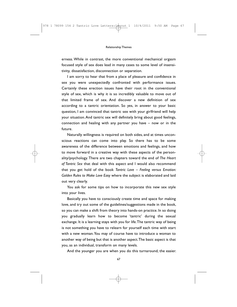erness. While in contrast, the more conventional mechanical orgasm focused style of sex does lead in many cases to some level of insensitivity, dissatisfaction, disconnection or separation.

I am sorry to hear that from a place of pleasure and confidence in sex you were unexpectedly confronted with performance issues. Certainly these erection issues have their root in the conventional style of sex, which is why it is so incredibly valuable to move out of that limited frame of sex. And discover a new definition of sex according to a tantric orientation. So yes, in answer to your basic question, I am convinced that tantric sex with your girlfriend will help your situation. And tantric sex will definitely bring about good feelings, connection and healing with any partner you have – now or in the future.

Naturally willingness is required on both sides, and at times unconscious reactions can come into play. So there has to be some awareness of the difference between emotions and feelings, and how to move forward in a creative way with these aspects of the personality/psychology. There are two chapters toward the end of *The Heart of Tantric Sex* that deal with this aspect and I would also recommend that you get hold of the book *Tantric Love – Feeling versus Emotion: Golden Rules to Make Love Easy* where the subject is elaborated and laid out very clearly.

You ask for some tips on how to incorporate this new sex style into your lives.

Basically you have to consciously create time and space for making love, and try out some of the guidelines/suggestions made in the book, so you can make a shift from theory into hands-on practice. In so doing you gradually learn how to become 'tantric' during the sexual exchange. It is a learning stays with you for life. The tantric way of being is not something you have to relearn for yourself each time with start with a new woman. You may of course have to introduce a woman to another way of being but that is another aspect. The basic aspect is that you, as an individual, transform on many levels.

And the younger you are when you do this turnaround, the easier.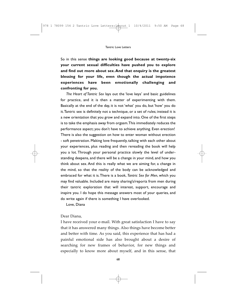So in this sense **things are looking good because at twenty-six your current sexual difficulties have pushed you to explore and find out more about sex. And that enquiry is the greatest blessing for your life, even though the actual impotence experiences have been emotionally challenging and confronting for you.**

*The Heart of Tantric Sex* lays out the 'love keys' and basic guidelines for practice, and it is then a matter of experimenting with them. Basically at the end of the day, it is not 'what' you do, but 'how' you do it. Tantric sex is definitely not a technique, or a set of rules; instead it is a new orientation that you grow and expand into. One of the first steps is to take the emphasis away from orgasm. This immediately reduces the performance aspect; you don't have to achieve anything. Even erection! There is also the suggestion on how to enter woman without erection - soft penetration. Making love frequently, talking with each other about your experiences, plus reading and then rereading the book will help you a lot. Through your personal practice slowly the level of understanding deepens, and there will be a change in your mind, and how you think about sex. And this is really what we are aiming for, a change in the mind, so that the reality of the body can be acknowledged and embraced for what it is. There is a book, *Tantric Sex for Men*, which you may find valuable. Included are many sharing's/reports from men during their tantric exploration that will interest, support, encourage and inspire you. I do hope this message answers most of your queries, and do write again if there is something I have overlooked.

Love, Diana

#### Dear Diana,

I have received your e-mail. With great satisfaction I have to say that it has answered many things. Also things have become better and better with time. As you said, this experience that has had a painful emotional side has also brought about a desire of searching for new frames of behavior, for new things and especially to know more about myself, and in this sense, that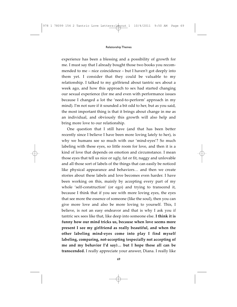experience has been a blessing and a possibility of growth for me. I must say that I already bought those two books you recommended to me – nice coincidence – but I haven't got deeply into them yet. I consider that they could be valuable to my relationship. I talked to my girlfriend about tantric sex about a week ago, and how this approach to sex had started changing our sexual experience (for me and even with performance issues because I changed a lot the 'need-to-perform' approach in my mind). I'm not sure if it sounded a bit odd to her, but as you said, the most important thing is that it brings about change in me as an individual, and obviously this growth will also help and bring more love to our relationship.

One question that I still have (and that has been better recently since I believe I have been more loving lately to her), is why we humans see so much with our 'mind-eyes'? So much labeling with these eyes, so little room for love, and then it is a kind of love that depends on emotion and circumstance. I mean those eyes that tell us nice or ugly, fat or fit, naggy and unlovable and all those sort of labels of the things that can easily be noticed like physical appearance and behaviors… and then we create stories about these labels and love becomes even harder. I have been working on this, mainly by accepting every part of my whole 'self-construction' (or ego) and trying to transcend it, because I think that if you see with more loving eyes, the eyes that see more the essence of someone (like the soul), then you can give more love and also be more loving to yourself. This, I believe, is not an easy endeavor and that is why I ask you if tantric sex sees like that, like deep into someone else. **I think it is funny how our mind tricks us, because when love seems more present I see my girlfriend as really beautiful, and when the other labeling mind-eyes come into play I find myself labeling, comparing, not-accepting (especially not accepting of me and my behavior I'd say)… but I hope these all can be transcended.** I really appreciate your answer, Diana. I really like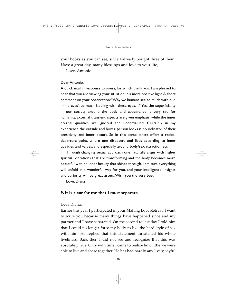your books as you can see, since I already bought three of them! Have a great day, many blessings and love to your life,

Love, Antonio

# Dear Antonio,

A quick mail in response to yours, for which thank you. I am pleased to hear that you are viewing your situation in a more positive light. A short comment on your observation: "Why we humans see so much with our 'mind-eyes', so much labeling with these eyes…" Yes, the superficiality in our society around the body and appearance is very sad for humanity. External transient aspects are given emphasis, while the inner eternal qualities are ignored and undervalued. Certainly in my experience the outside and how a person looks is no indicator of their sensitivity and inner beauty. So in this sense tantra offers a radical departure point, where one discovers and lives according to inner qualities and values, and especially around body/sex/attraction etc.

Through changing sexual approach one naturally aligns with higher spiritual vibrations that are transforming and the body becomes more beautiful with an inner beauty that shines through. I am sure everything will unfold in a wonderful way for you, and your intelligence, insights and curiosity will be great assets. Wish you the very best.

Love, Diana

# **9. It is clear for me that I must separate**

# Dear Diana,

Earlier this year I participated in your Making Love Retreat. I want to write you because many things have happened since and my partner and I have separated. On the second to last day I told him that I could no longer force my body to live the hard style of sex with him. He replied that this statement threatened his whole liveliness. Back then I did not see and recognize that this was absolutely true. Only with time I came to realize how little we were able to live and share together. He has had hardly any lively, joyful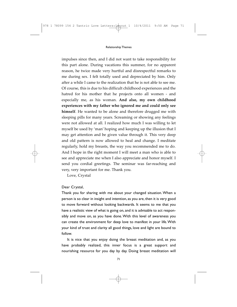impulses since then, and I did not want to take responsibility for this part alone. During vacations this summer, for no apparent reason, he twice made very hurtful and disrespectful remarks to me during sex. I felt totally used and depreciated by him. Only after a while I came to the realization that he is not able to see me. Of course, this is due to his difficult childhood experiences and the hatred for his mother that he projects onto all women - and especially me, as his woman. **And also, my own childhood experiences with my father who ignored me and could only see himself**. He wanted to be alone and therefore drugged me with sleeping pills for many years. Screaming or showing any feelings were not allowed at all. I realized how much I was willing to let myself be used by 'man' hoping and keeping up the illusion that I may get attention and be given value through it. This very deep and old pattern is now allowed to heal and change. I meditate regularly, hold my breasts, the way you recommended me to do. And I hope in the right moment I will meet a man who is able to see and appreciate me when I also appreciate and honor myself. I send you cordial greetings. The seminar was far-reaching and very, very important for me. Thank you.

Love, Crystal

# Dear Crystal,

Thank you for sharing with me about your changed situation. When a person is so clear in insight and intention, as you are, then it is very good to move forward without looking backwards. It seems to me that you have a realistic view of what is going on, and it is advisable to act responsibly and move on, as you have done. With this level of awareness you can create the environment for deep love to manifest in your life. With your kind of trust and clarity all good things, love and light are bound to follow.

It is nice that you enjoy doing the breast meditation and, as you have probably realized, this inner focus is a great support and nourishing resource for you day by day. Doing breast meditation will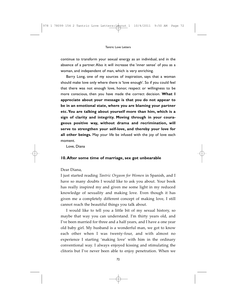continue to transform your sexual energy as an individual, and in the absence of a partner. Also it will increase the 'inner sense' of you as a woman, and independent of man, which is very enriching.

Barry Long, one of my sources of inspiration, says that a woman should make love only where there is 'love enough'. So if you could feel that there was not enough love, honor, respect or willingness to be more conscious, then you have made the correct decision. **What I appreciate about your message is that you do not appear to be in an emotional state, where you are blaming your partner etc. You are talking about yourself more than him, which is a sign of clarity and integrity. Moving through in your courageous positive way, without drama and recrimination, will serve to strengthen your self-love, and thereby your love for all other beings.** May your life be infused with the joy of love each moment.

Love, Diana

#### **10. After some time of marriage, sex got unbearable**

#### Dear Diana,

I just started reading *Tantric Orgasm for Women* in Spanish, and I have so many doubts I would like to ask you about. Your book has really inspired my and given me some light in my reduced knowledge of sexuality and making love*.* Even though it has given me a completely different concept of making love, I still cannot reach the beautiful things you talk about.

I would like to tell you a little bit of my sexual history, so maybe that way you can understand. I'm thirty years old, and I've been married for three and a half years, and I have a one year old baby girl. My husband is a wonderful man, we got to know each other when I was twenty-four, and with almost no experience I starting 'making love' with him in the ordinary conventional way. I always enjoyed kissing and stimulating the clitoris but I've never been able to enjoy penetration. When we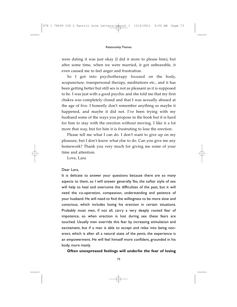were dating it was just okay (I did it more to please him); but after some time, when we were married, it got unbearable, it even caused me to feel anger and frustration.

So I got into psychotherapy focused on the body, acupuncture, transpersonal therapy, meditations etc., and it has been getting better but still sex is not as pleasant as it is supposed to be. I was just with a good psychic and she told me that my first chakra was completely closed and that I was sexually abused at the age of five. I honestly don't remember anything so maybe it happened, and maybe it did not. I've been trying with my husband some of the ways you propose in the book but it is hard for him to stay with the erection without moving. I like it a lot more that way, but for him it is frustrating to lose the erection.

Please tell me what I can do. I don't want to give up on my pleasure, but I don't know what else to do. Can you give me any homework? Thank you very much for giving me some of your time and attention.

Love, Lara

#### Dear Lara,

It is delicate to answer your questions because there are so many aspects to them, so I will answer generally. Yes, the softer style of sex will help to heal and overcome the difficulties of the past, but it will need the co-operation, compassion, understanding and patience of your husband. He will need to find the willingness to be more slow and conscious, which includes losing his erection in certain situations. Probably most men, if not all, carry a very deeply rooted fear of impotence, so when erection is lost during sex these fears are touched*.* Usually men override this fear by increasing stimulation and excitement, but if a man is able to accept and relax into being nonerect, which is after all a natural state of the penis, the experience is an empowerment. He will feel himself more confident, grounded in his body, more manly.

#### **Often unexpressed feelings will underlie the fear of losing**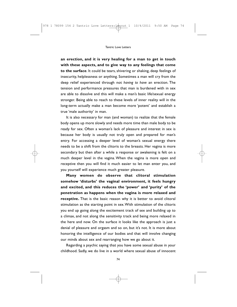**an erection, and it is very healing for a man to get in touch with these aspects, and to give way to any feelings that come to the surface**. It could be tears, shivering or shaking, deep feelings of insecurity, helplessness or anything. Sometimes a man will cry from the deep relief experienced through not *having to have* an erection. The tension and performance pressures that man is burdened with in sex are able to dissolve and this will make a man's basic life/sexual energy stronger. Being able to reach to these levels of inner reality will in the long-term actually make a man become more 'potent' and establish a true 'male authority' in man.

It is also necessary for man (and woman) to realize that the female body opens up more slowly and needs more time than male body to be ready for sex. Often a woman's lack of pleasure and interest in sex is because her body is usually not truly open and prepared for man's entry. For accessing a deeper level of woman's sexual energy there needs to be a shift from the clitoris to the breasts. Her vagina is more secondary but then after a while a response or awakening is felt on a much deeper level in the vagina. When the vagina is more open and receptive then you will find it much easier to let man enter you, and you yourself will experience much greater pleasure.

**Many women do observe that clitoral stimulation somehow 'disturbs' the vaginal environment, it feels hungry and excited, and this reduces the 'power' and 'purity' of the penetration as happens when the vagina is more relaxed and receptive.** That is the basic reason why it is better to avoid clitoral stimulation as the starting point in sex. With stimulation of the clitoris you end up going along the excitement track of sex and building up to a climax, and not along the sensitivity track and being more relaxed in the here and now. On the surface it looks like the approach is just a denial of pleasure and orgasm and so on, but it's not. It is more about honoring the intelligence of our bodies and that will involve changing our minds about sex and rearranging how we go about it.

Regarding a psychic saying that you have some sexual abuse in your childhood. Sadly, we do live in a world where sexual abuse of innocent

74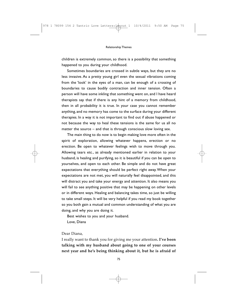children is extremely common, so there is a possibility that something happened to you during your childhood.

Sometimes boundaries are crossed in subtle ways, but they are no less invasive. As a pretty young girl even the sexual vibrations coming from the 'look' in the eyes of a man, can be enough of a crossing of boundaries to cause bodily contraction and inner tension. Often a person will have some inkling that something went on, and I have heard therapists say that if there is any hint of a memory from childhood, then in all probability it is true. In your case you cannot remember anything, and no memory has come to the surface during your different therapies. In a way it is not important to find out if abuse happened or not because the way to heal these tensions is the same for us all no matter the source – and that is through conscious slow loving sex.

The main thing to do now is to begin making love more often in the spirit of exploration, allowing whatever happens, erection or no erection. Be open to whatever feelings wish to move through you. Allowing tears etc., as already mentioned earlier in relation to your husband, is healing and purifying, so it is beautiful if you can be open to yourselves, and open to each other. Be simple and do not have great expectations that everything should be perfect right away. When your expectations are not met, you will naturally feel disappointed, and this will distract you and take your energy and attention. It also means you will fail to see anything positive that may be happening on other levels or in different ways. Healing and balancing takes time, so just be willing to take small steps. It will be very helpful if you read my book together so you both gain a mutual and common understanding of what you are doing, and why you are doing it.

Best wishes to you and your husband. Love, Diana

Dear Diana,

I really want to thank you for giving me your attention**. I've been talking with my husband about going to one of your courses next year and he's being thinking about it, but he is afraid of**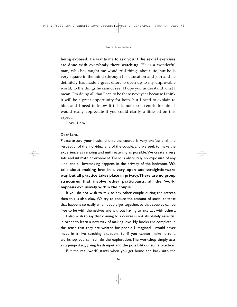**being exposed. He wants me to ask you if the sexual exercises are done with everybody there watching.** He is a wonderful man, who has taught me wonderful things about life, but he is very square in the mind (through his education and job) and he definitely has made a great effort to open up to my unprovable world, to the things he cannot see. I hope you understand what I mean. I'm doing all that I can to be there next year because I think it will be a great opportunity for both, but I need to explain to him, and I need to know if this is not too eccentric for him. I would really appreciate if you could clarify a little bit on this aspect.

Love, Lara

#### Dear Lara,

Please assure your husband that the course is very professional and respectful of the individual and of the couple, and we seek to make the experience as relaxing and unthreatening as possible. We create a very safe and intimate environment. There is absolutely no exposure of any kind, and all lovemaking happens in the privacy of the bedroom. **We talk about making love in a very open and straightforward way, but all practice takes place in privacy. There are no group structures that involve other participants, all the 'work' happens exclusively within the couple.** 

If you do not wish to talk to any other couple during the retreat, then this is also okay. We try to reduce the amount of social chitchat that happens so easily when people get together, so that couples can be free to be with themselves and without having to interact with others.

I also wish to say that coming to a course is not absolutely essential in order to learn a new way of making love. My books are complete in the sense that they are written for people I imagined I would never meet in a live teaching situation. So if you cannot make it to a workshop, you can still do the exploration. The workshop simply acts as a jump-start, giving fresh input and the possibility of some practice.

But the real 'work' starts when you get home and back into the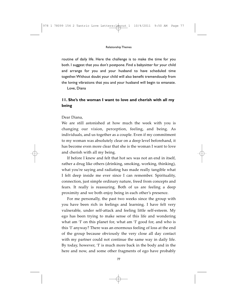routine of daily life. Here the challenge is to make the time for you both. I suggest that you don't postpone. Find a babysitter for your child and arrange for you and your husband to have scheduled time together. Without doubt your child will also benefit tremendously from the loving vibrations that you and your husband will begin to emanate.

Love, Diana

# **11. She's the woman I want to love and cherish with all my being**

Dear Diana,

We are still astonished at how much the week with you is changing our vision, perception, feeling, and being. As individuals, and us together as a couple. Even if my commitment to my woman was absolutely clear on a deep level beforehand, it has become even more clear that she is the woman I want to love and cherish with all my being.

If before I knew and felt that hot sex was not an end in itself, rather a drug like others (drinking, smoking, working, thinking), what you're saying and radiating has made really tangible what I felt deep inside me ever since I can remember. Spirituality, connection, just simple ordinary nature, freed from concepts and fears. It really is reassuring. Both of us are feeling a deep proximity and we both enjoy being in each other's presence.

For me personally, the past two weeks since the group with you have been rich in feelings and learning. I have felt very vulnerable, under self-attack and feeling little self-esteem. My ego has been trying to make sense of this life and wondering what am 'I' on this planet for, what am 'I' good for, and who is this 'I' anyway? There was an enormous feeling of loss at the end of the group because obviously the very close all day contact with my partner could not continue the same way in daily life. By today, however, 'I' is much more back in the body and in the here and now, and some other fragments of ego have probably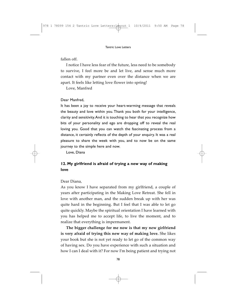# fallen off.

I notice I have less fear of the future, less need to be somebody to survive, I feel more be and let live, and sense much more contact with my partner even over the distance when we are apart. It feels like letting love flower into spring!

Love, Manfred

# Dear Manfred,

It has been a joy to receive your heart-warming message that reveals the beauty and love within you. Thank you both for your intelligence, clarity and sensitivity. And it is touching to hear that you recognize how bits of your personality and ego are dropping off to reveal the real loving you. Good that you can watch the fascinating process from a distance, it certainly reflects of the depth of your enquiry. It was a real pleasure to share the week with you, and to now be on the same journey to the simple here and now.

Love, Diana

# **12. My girlfriend is afraid of trying a new way of making love**

# Dear Diana,

As you know I have separated from my girlfriend, a couple of years after participating in the Making Love Retreat. She fell in love with another man, and the sudden break up with her was quite hard in the beginning. But I feel that I was able to let go quite quickly. Maybe the spiritual orientation I have learned with you has helped me to accept life, to live the moment, and to realize that everything is impermanent.

**The bigger challenge for me now is that my new girlfriend is very afraid of trying this new way of making love.** She likes your book but she is not yet ready to let go of the common way of having sex. Do you have experience with such a situation and how I can I deal with it? For now I'm being patient and trying not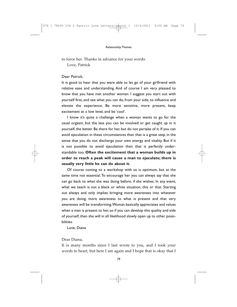to force her. Thanks in advance for your words.

Love, Patrick

#### Dear Patrick,

It is good to hear that you were able to let go of your girlfriend with relative ease and understanding. And of course I am very pleased to know that you have met another woman. I suggest you start out with yourself first, and see what you can do, from your side, to influence and elevate the experience. Be more sensitive, more present, keep excitement at a low level, and be 'cool'.

I know it's quite a challenge when a woman wants to go for the usual orgasm, but the less you can be involved or get caught up in it yourself, the better. Be there for her, but do not partake of it. If you can avoid ejaculation in these circumstances then that is a great step, in the sense that you do not discharge your own energy and vitality. But if it is not possible to avoid ejaculation then that is perfectly understandable too. **Often the excitement that a woman builds up in order to reach a peak will cause a man to ejaculate; there is usually very little he can do about it.**

Of course coming to a workshop with us is optimum, but at the same time not essential. To encourage her you can always say that she can go back to what she was doing before, if she wishes. In any event, what we teach is not a black or white situation, this or that. Starting out always and only implies bringing more awareness into whatever you are doing, more awareness to what is present and that very awareness will be transforming. Woman basically appreciates and values when a man is present to her, so if you can develop this quality and side of yourself, then she will in all likelihood slowly open up to other possibilities.

Love, Diana

#### Dear Diana,

It is many months since I last wrote to you, and I took your words to heart, but here I am again and I hope that is okay that I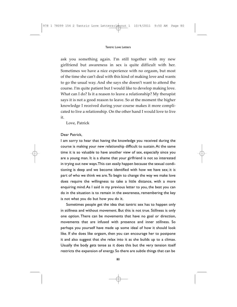ask you something again. I'm still together with my new girlfriend but awareness in sex is quite difficult with her. Sometimes we have a nice experience with no orgasm, but most of the time she can't deal with this kind of making love and wants to go the usual way. And she says she doesn't want to attend the course. I'm quite patient but I would like to develop making love. What can I do? Is it a reason to leave a relationship? My therapist says it is not a good reason to leave. So at the moment the higher knowledge I received during your course makes it more complicated to live a relationship. On the other hand I would love to live it.

Love, Patrick

# Dear Patrick,

I am sorry to hear that having the knowledge you received during the course is making your new relationship difficult to sustain. At the same time it is so valuable to have another view of sex, especially since you are a young man. It is a shame that your girlfriend is not so interested in trying out new ways. This can easily happen because the sexual conditioning is deep and we become identified with how we have sex; it is part of who we think we are. To begin to change the way we make love does require the willingness to take a little distance, with a more enquiring mind. As I said in my previous letter to you, the best you can do in the situation is to remain in the awareness, remembering the key is not what you do but how you do it.

Sometimes people get the idea that tantric sex has to happen only in stillness and without movement. But this is not true. Stillness is only one option. There can be movements that have no goal or direction, movements that are infused with presence and inner stillness. So perhaps you yourself have made up some ideal of how it should look like. If she does like orgasm, then you can encourage her to postpone it and also suggest that she relax into it as she builds up to a climax. Usually the body gets tense as it does this but the very tension itself restricts the expansion of energy. So there are subtle things that can be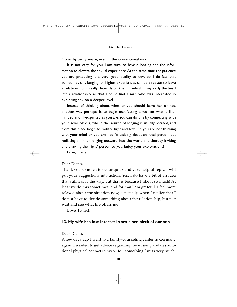'done' by being aware, even in the conventional way.

It is not easy for you, I am sure, to have a longing and the information to elevate the sexual experience. At the same time the patience you are practicing is a very good quality to develop. I do feel that sometimes this longing for higher experiences can be a reason to leave a relationship; it really depends on the individual. In my early thirties I left a relationship so that I could find a man who was interested in exploring sex on a deeper level.

Instead of thinking about whether you should leave her or not, another way perhaps, is to begin manifesting a woman who is likeminded and like-spirited as you are. You can do this by connecting with your solar plexus, where the source of longing is usually located, and from this place begin to radiate light and love. So you are not thinking with your mind or you are not fantasizing about an ideal person, but radiating an inner longing outward into the world and thereby inviting and drawing the 'right' person to you. Enjoy your explorations!

Love, Diana

#### Dear Diana,

Thank you so much for your quick and very helpful reply. I will put your suggestions into action. Yes, I do have a bit of an idea that stillness is the way, but that is because I like it so much! At least we do this sometimes, and for that I am grateful. I feel more relaxed about the situation now, especially when I realize that I do not have to decide something about the relationship, but just wait and see what life offers me.

Love, Patrick

# **13. My wife has lost interest in sex since birth of our son**

Dear Diana,

A few days ago I went to a family-counseling center in Germany again. I wanted to get advice regarding the missing and dysfunctional physical contact to my wife – something I miss very much.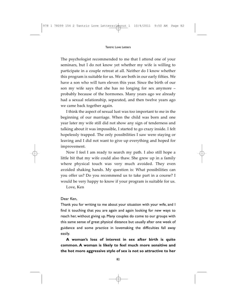The psychologist recommended to me that I attend one of your seminars, but I do not know yet whether my wife is willing to participate in a couple retreat at all. Neither do I know whether this program is suitable for us. We are both in our early fifties. We have a son who will turn eleven this year. Since the birth of our son my wife says that she has no longing for sex anymore – probably because of the hormones. Many years ago we already had a sexual relationship, separated, and then twelve years ago we came back together again.

I think the aspect of sexual lust was too important to me in the beginning of our marriage. When the child was born and one year later my wife still did not show any sign of tenderness and talking about it was impossible, I started to go crazy inside. I felt hopelessly trapped. The only possibilities I saw were staying or leaving and I did not want to give up everything and hoped for improvement.

Now I feel I am ready to search my path. I also still hope a little bit that my wife could also thaw. She grew up in a family where physical touch was very much avoided. They even avoided shaking hands. My question is: What possibilities can you offer us? Do you recommend us to take part in a course? I would be very happy to know if your program is suitable for us.

Love, Ken

# Dear Ken,

Thank you for writing to me about your situation with your wife, and I find it touching that you are again and again looking for new ways to reach her, without giving up. Many couples do come to our groups with this same sense of great physical distance but usually after one week of guidance and some practice in lovemaking the difficulties fall away easily.

**A woman's loss of interest in sex after birth is quite common. A woman is likely to feel much more sensitive and the hot more aggressive style of sex is not so attractive to her**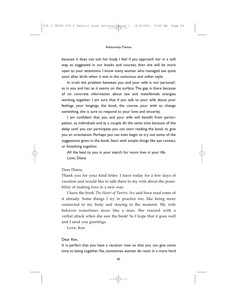because it does not suit her body. I feel if you approach her in a soft way, as suggested in our books and courses, then she will be more open to your attentions. I know many women who managed sex quite soon after birth when it was in the conscious and softer style.

In truth the problem between you and your wife is not 'personal', as in you and her, as it seems on the surface. The gap is there because of no concrete information about sex and male/female energies working together. I am sure that if you talk to your wife about your feelings, your longings, the book, the course, your wish to change something, she is sure to respond to your love and sincerity.

I am confident that you and your wife will benefit from participation, as individuals and as a couple. At the same time because of the delay until you can participate you can start reading the book to give you an orientation. Perhaps you can even begin to try out some of the suggestions given in the book. Start with simple things like eye contact, or breathing together.

All the best to you in your search for more love in your life. Love, Diana

#### Dear Diana,

Thank you for your kind letter. I leave today for a few days of vacation and would like to talk there to my wife about the possibility of making love in a new way.

I have the book *The Heart of Tantric Sex* and have read some of it already. Some things I try to practice too, like being more connected to my body and staying in the moment. My wife behaves sometimes more like a man. She reacted with a verbal attack when she saw the book! So I hope that it goes well and I send you greetings.

Love, Ken

#### Dear Ken,

It is perfect that you have a vacation now so that you can give some time to being together. Yes, sometimes women do react in a more hard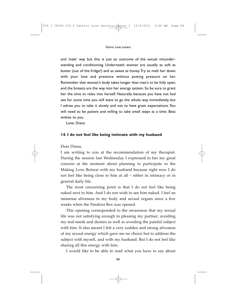and 'male' way but this is just an outcome of the sexual misunderstanding and conditioning. Underneath women are usually as soft as butter (out of the fridge!) and as sweet as honey. Try to melt her down with your love and presence without putting pressure on her. Remember that woman's body takes longer than man's to be fully open, and the breasts are the way into her energy system. So be sure to grant her the time to relax into herself. Naturally because you have not had sex for some time you will want to go the whole way immediately, but I advise you to take it slowly and not to have great expectations. You will need to be patient and willing to take small steps at a time. Best wishes to you.

Love, Diana

#### **14. I do not feel like being intimate with my husband**

Dear Diana,

I am writing to you at the recommendation of my therapist. During the session last Wednesday I expressed to her my great concern at the moment about planning to participate in the Making Love Retreat with my husband because right now I do not feel like being close to him at all – either in intimacy or in general daily life.

The most concerning point is that I do not feel like being naked next to him. And I do not wish to see him naked. I feel an immense aliveness in my body and sexual organs since a few weeks when the Pandora Box was opened.

This opening corresponded to the awareness that my sexual life was not satisfying enough in pleasing my partner, avoiding my real needs and desires as well as avoiding the painful subject with him. It also meant I felt a very sudden and strong aliveness of my sexual energy which gave me no choice but to address the subject with myself, and with my husband. But I do not feel like sharing all this energy with him.

I would like to be able to read what you have to say about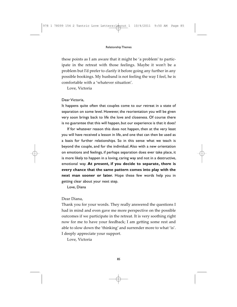these points as I am aware that it might be 'a problem' to participate in the retreat with those feelings. Maybe it won't be a problem but I'd prefer to clarify it before going any further in any possible bookings. My husband is not feeling the way I feel, he is comfortable with a 'whatever situation'.

Love, Victoria

Dear Victoria,

It happens quite often that couples come to our retreat in a state of separation on some level. However, the reorientation you will be given very soon brings back to life the love and closeness. Of course there is no guarantee that this will happen, but our experience is that it does!

If for whatever reason this does not happen, then at the very least you will have received a lesson in life, and one that can then be used as a basis for further relationships. So in this sense what we teach is beyond the couple, and for the individual. Also with a new orientation on emotions and feelings, if perhaps separation does ever take place, it is more likely to happen in a loving, caring way and not in a destructive, emotional way. **At present, if you decide to separate, there is every chance that the same pattern comes into play with the next man sooner or later.** Hope these few words help you in getting clear about your next step.

Love, Diana

Dear Diana,

Thank you for your words. They really answered the questions I had in mind and even gave me more perspective on the possible outcomes if we participate in the retreat. It is very soothing right now for me to have your feedback; I am getting some rest and able to slow down the 'thinking' and surrender more to what 'is'. I deeply appreciate your support.

Love, Victoria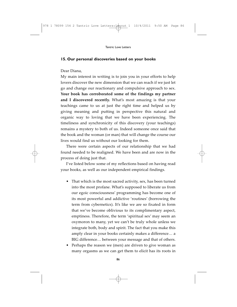# **15. Our personal discoveries based on your books**

# Dear Diana,

My main interest in writing is to join you in your efforts to help lovers discover the new dimension that we can reach if we just let go and change our reactionary and compulsive approach to sex. **Your book has corroborated some of the findings my partner and I discovered recently.** What's most amazing is that your teachings came to us at just the right time and helped us by giving meaning and putting in perspective this natural and organic way to loving that we have been experiencing. The timeliness and synchronicity of this discovery (your teachings) remains a mystery to both of us. Indeed someone once said that the book and the woman (or man) that will change the course our lives would find us without our looking for them.

There were certain aspects of our relationship that we had found needed to be realigned. We have been and are now in the process of doing just that.

I've listed below some of my reflections based on having read your books, as well as our independent empirical findings.

- That which is the most sacred activity, sex, has been turned into the most profane. What's supposed to liberate us from our egoic consciousness' programming has become one of its most powerful and addictive 'routines' (borrowing the term from cybernetics). It's like we are so fixated in form that we've become oblivious to its complimentary aspect, emptiness. Therefore, the term 'spiritual sex' may seem an oxymoron to many, yet we can't be truly whole unless we integrate both, body and spirit. The fact that you make this amply clear in your books certainly makes a difference… a BIG difference… between your message and that of others.
- Perhaps the reason we (men) are driven to give woman as many orgasms as we can get them to elicit has its roots in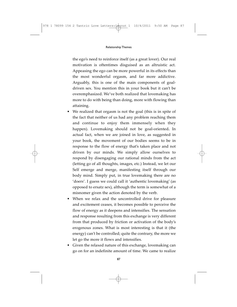the ego's need to reinforce itself (as a great lover). Our real motivation is oftentimes disguised as an altruistic act. Appeasing the ego can be more powerful in its effects than the most wonderful orgasm, and far more addictive. Arguably, this is one of the main components of goaldriven sex. You mention this in your book but it can't be overemphasized. We've both realized that lovemaking has more to do with being than doing, more with flowing than attaining.

- We realized that orgasm is not the goal (this is in spite of the fact that neither of us had any problem reaching them and continue to enjoy them immensely when they happen). Lovemaking should not be goal-oriented**.** In actual fact, when we are joined in love, as suggested in your book, the movement of our bodies seems to be in response to the flow of energy that's taken place and not driven by our minds. We simply allow ourselves to respond by disengaging our rational minds from the act (letting go of all thoughts, images, etc.) Instead, we let our Self emerge and merge, manifesting itself through our body mind. Simply put, in true lovemaking there are no 'doers'. I guess we could call it 'authentic lovemaking' (as opposed to ersatz sex), although the term is somewhat of a misnomer given the action denoted by the verb.
- When we relax and the uncontrolled drive for pleasure and excitement ceases, it becomes possible to perceive the flow of energy as it deepens and intensifies. The sensation and response resulting from this exchange is very different from that produced by friction or activation of the body's erogenous zones. What is most interesting is that it (the energy) can't be controlled; quite the contrary, the more we let go the more it flows and intensifies.
- Given the relaxed nature of this exchange, lovemaking can go on for an indefinite amount of time. We came to realize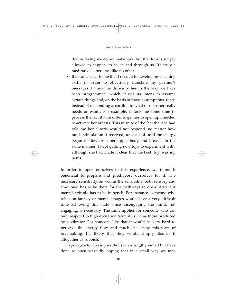that in reality we do not make love, but that love is simply allowed to happen, to be, in and through us. It's truly a meditative experience like no other.

• It became clear to me that I needed to develop my listening skills in order to effectively translate my partner's messages. I think the difficulty lies in the way we have been programmed, which causes us (men) to assume certain things and, on the basis of those assumptions, react, instead of responding according to what our partner really needs or wants. For example, it took me some time to process the fact that in order to get her to open up I needed to activate her breasts. This in spite of the fact that she had told me her clitoris would not respond, no matter how much stimulation it received, unless and until the energy began to flow from her upper body and breasts. In the same manner, I kept getting new toys to experiment with, although she had made it clear that the best 'toy' was my penis.

In order to open ourselves to this experience, we found it beneficial to prepare and predispose ourselves for it. The necessary sensitivity, as well as the sensibility, both sensory and emotional has to be there for the pathways to open. Also, our mental attitude has to be in synch. For instance, someone who relies on fantasy or mental images would have a very difficult time achieving this state since disengaging the mind, not engaging, is necessary. The same applies for someone who can only respond to high excitation /stimuli, such as those produced by a vibrator. For someone like that it would be very hard to perceive the energy flow and much less enjoy this form of lovemaking. It's likely that they would simply dismiss it altogether as rubbish.

I apologize for having written such a lengthy e-mail but have done so open-heartedly hoping that in a small way we may

88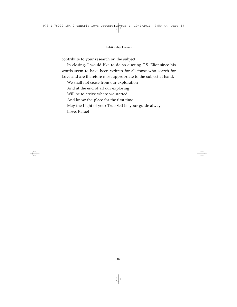contribute to your research on the subject.

In closing, I would like to do so quoting T.S. Eliot since his words seem to have been written for all those who search for Love and are therefore most appropriate to the subject at hand.

We shall not cease from our exploration And at the end of all our exploring

Will be to arrive where we started

And know the place for the first time.

May the Light of your True Self be your guide always.

Love, Rafael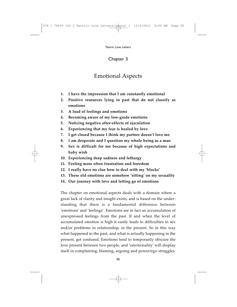# Chapter 3

# Emotional Aspects

- **1. I have the impression that I am constantly emotional**
- **2. Positive resources lying in past that do not classify as emotions**
- **3. A load of feelings and emotions**
- **4. Becoming aware of my low-grade emotions**
- **5. Noticing negative after-effects of ejaculation**
- **6. Experiencing that my fear is healed by love**
- **7. I get closed because I think my partner doesn't love me**
- **8. I am desperate and I question my whole being as a man**
- **9. Sex is difficult for me because of high expectations and baby wish**
- **10. Experiencing deep sadness and lethargy**
- **11. Feeling more often frustration and boredom**
- **12. I really have no clue how to deal with my 'blocks'**
- **13. These old emotions are somehow 'sitting' on my sexuality**
- **14. Our journey with love and letting go of emotions**

The chapter on emotional aspects deals with a domain where a great lack of clarity and insight exists, and is based on the understanding that there is a fundamental difference between 'emotions' and 'feelings'. Emotions are in fact an accumulation of unexpressed feelings from the past. If and when the level of accumulated emotion is high it easily leads to difficulties in sex and/or problems in relationship, in the present. So in this way what happened in the past, and what is actually happening in the present, get confused. Emotions tend to temporarily obscure the love present between two people, and 'emotionality' will display itself in complaining, blaming, arguing and power/ego struggles.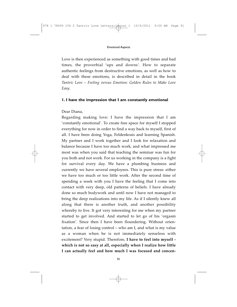Love is then experienced as something with good times and bad times, the proverbial 'ups and downs'. How to separate authentic feelings from destructive emotions, as well as how to deal with these emotions, is described in detail in the book *Tantric Love – Feeling versus Emotion: Golden Rules to Make Love Easy*.

# **1. I have the impression that I am constantly emotional**

# Dear Diana,

Regarding making love: I have the impression that I am 'constantly emotional'. To create free space for myself I stopped everything for now in order to find a way back to myself, first of all. I have been doing Yoga, Feldenkrais and learning Spanish. My partner and I work together and I look for relaxation and balance because I have too much work, and what impressed me most was when you said that teaching the seminar was fun for you both and not work. For us working in the company is a fight for survival every day. We have a plumbing business and currently we have several employees. This is pure stress: either we have too much or too little work. After the second time of spending a week with you I have the feeling that I come into contact with very deep, old patterns of beliefs. I have already done so much bodywork and until now I have not managed to bring the deep realizations into my life. As if I silently knew all along that there is another truth, and another possibility whereby to live. It got very interesting for me when my partner started to get involved. And started to let go of his 'orgasm fixation'. Since then I have been floundering. Without orientation, a fear of losing control – who am I, and what is my value as a woman when he is not immediately senseless with excitement? Very stupid. Therefore, **I have to feel into myself which is not so easy at all, especially when I realize how little I can actually feel and how much I was focused and concen-**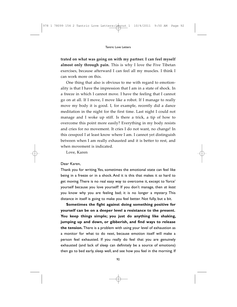**trated on what was going on with my partner. I can feel myself almost only through pain.** This is why I love the Five Tibetan exercises, because afterward I can feel all my muscles. I think I can work more on this.

One thing that also is obvious to me with regard to emotionality is that I have the impression that I am in a state of shock. In a freeze in which I cannot move. I have the feeling that I cannot go on at all. If I move, I move like a robot. If I manage to really move my body it is good. I, for example, recently did a dance meditation in the night for the first time. Last night I could not manage and I woke up stiff. Is there a trick, a tip of how to overcome this point more easily? Everything in my body resists and cries for no movement. It cries I do not want, no change! In this cesspool I at least know where I am. I cannot yet distinguish between when I am really exhausted and it is better to rest, and when movement is indicated.

Love, Karen

#### Dear Karen,

Thank you for writing. Yes, sometimes the emotional state can feel like being in a freeze or in a shock. And it is this that makes it *so* hard to get moving. There is no real easy way to overcome it, except to 'force' yourself because you love yourself! If you don't manage, then *at least* you know why you are feeling bad; it is no longer a mystery. This distance in itself is going to make you feel better. Not fully, but a bit.

**Sometimes the fight against doing something positive for yourself can be on a deeper level a resistance to the present. You keep things simple; you just do anything like shaking, jumping up and down, or gibberish, and find ways to release the tension.** There is a problem with using your level of exhaustion as a monitor for what to do next, because emotion itself will make a person feel exhausted. If you really do feel that you are genuinely exhausted (and lack of sleep can definitely be a source of emotions) then go to bed early, sleep well, and see how you feel in the morning. If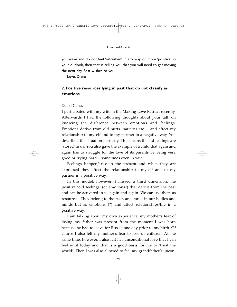you wake and do not feel 'refreshed' in any way, or more 'positive' in your outlook, then that is telling you that you will need to get moving the next day. Best wishes to you.

Love, Diana

# **2. Positive resources lying in past that do not classify as emotions**

# Dear Diana,

I participated with my wife in the Making Love Retreat recently. Afterwards I had the following thoughts about your talk on knowing the difference between emotions and feelings: Emotions derive from old hurts, patterns etc. – and affect my relationship to myself and to my partner in a negative way. You described the situation perfectly. This means the old feelings are 'stored' in us. You also gave the example of a child that again and again has to struggle for the love of its parents by being very good or trying hard – sometimes even in vain.

Feelings happen/arise in the present and when they are expressed they affect the relationship to myself and to my partner in a positive way.

In this model, however, I missed a third dimension: the positive 'old feelings' (or emotions?) that derive from the past and can be activated in us again and again. We can use them as resources. They belong to the past, are stored in our bodies and minds but as emotions (?) and affect relationships/life in a positive way.

I am talking about my own experience: my mother's fear of losing my father was present from the moment I was born because he had to leave for Russia one day prior to my birth. Of course I also felt my mother's fear to lose us children. At the same time, however, I also felt her unconditional love that I can feel until today and that is a good basis for me to 'trust the world'. Then I was also allowed to feel my grandfather's uncon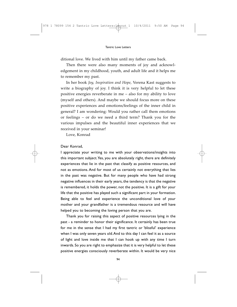ditional love. We lived with him until my father came back.

Then there were also many moments of joy and acknowledgement in my childhood, youth, and adult life and it helps me to remember my past.

In her book *Joy, Inspiration and Hope*, Verena Kast suggests to write a biography of joy. I think it is very helpful to let these positive energies reverberate in me – also for my ability to love (myself and others). And maybe we should focus more on these positive experiences and emotions/feelings of the inner child in general? I am wondering: Would you rather call them emotions or feelings – or do we need a third term? Thank you for the various impulses and the beautiful inner experiences that we received in your seminar!

Love, Konrad

#### Dear Konrad,

I appreciate your writing to me with your observations/insights into this important subject. Yes, you are absolutely right, there are definitely experiences that lie in the past that classify as positive resources, and not as emotions. And for most of us certainly not everything that lies in the past was negative. But for many people who have had strong negative influences in their early years, the tendency is that the negative is remembered, it holds the power, not the positive. It is a gift for your life that the positive has played such a significant part in your formation. Being able to feel and experience the unconditional love of your mother and your grandfather is a tremendous resource and will have helped you to becoming the loving person that you are.

Thank you for raising this aspect of positive resources lying in the past - a reminder to honor their significance. It certainly has been true for me in the sense that I had my first tantric or 'blissful' experience when I was only seven years old. And to this day I can feel it as a source of light and love inside me that I can hook up with any time I turn inwards. So you are right to emphasize that it is very helpful to let these positive energies consciously reverberate within. It would be very nice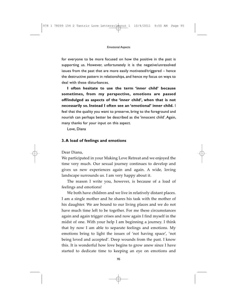for everyone to be more focused on how the positive in the past is supporting us. However, unfortunately it is the negative/unresolved issues from the past that are more easily motivated/triggered – hence the destructive pattern in relationships, and hence my focus on ways to deal with these disturbances.

**I often hesitate to use the term 'inner child' because sometimes, from my perspective, emotions are passed off/indulged as aspects of the 'inner child', when that is not necessarily so. Instead I often see an 'emotional' inner child.** I feel that the quality you want to preserve, bring to the foreground and nourish can perhaps better be described as the 'innocent child'. Again, many thanks for your input on this aspect.

Love, Diana

# **3. A load of feelings and emotions**

Dear Diana,

We participated in your Making Love Retreat and we enjoyed the time very much. Our sexual journey continues to develop and gives us new experiences again and again. A wide, loving landscape surrounds us. I am very happy about it.

The reason I write you, however, is because of a load of feelings and emotions!

We both have children and we live in relatively distant places. I am a single mother and he shares his task with the mother of his daughter. We are bound to our living places and we do not have much time left to be together. For me these circumstances again and again trigger crises and now again I find myself in the midst of one. With your help I am beginning a journey. I think that by now I am able to separate feelings and emotions. My emotions bring to light the issues of 'not having space', 'not being loved and accepted'. Deep wounds from the past. I know this. It is wonderful how love begins to grow anew since I have started to dedicate time to keeping an eye on emotions and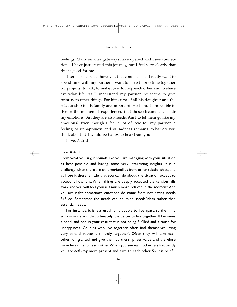feelings. Many smaller gateways have opened and I see connections. I have just started this journey, but I feel very clearly that this is good for me.

There is one issue, however, that confuses me: I really want to spend time with my partner. I want to have (more) time together for projects, to talk, to make love, to help each other and to share everyday life. As I understand my partner, he seems to give priority to other things. For him, first of all his daughter and the relationship to his family are important. He is much more able to live in the moment. I experienced that these circumstances stir my emotions. But they are also needs. Am I to let them go like my emotions? Even though I feel a lot of love for my partner, a feeling of unhappiness and of sadness remains. What do you think about it? I would be happy to hear from you.

Love, Astrid

# Dear Astrid,

From what you say, it sounds like you are managing with your situation as best possible and having some very interesting insights. It is a challenge when there are children/families from other relationships, and as I see it there is little that you can do about the situation except to accept it how it is. When things are deeply accepted the tension falls away and you will feel yourself much more relaxed in the moment. And you are right; sometimes emotions do come from not having needs fulfilled. Sometimes the needs can be 'mind' needs/ideas rather than essential needs.

For instance, it is less usual for a couple to live apart, so the mind will convince you that ultimately it is better to live together. It becomes a need, and one in your case that is not being fulfilled and a cause for unhappiness. Couples who live together often find themselves living very parallel rather than truly 'together'. Often they will take each other for granted and give their partnership less value and therefore make less time for each other. When you see each other *less* frequently you are *definitely* more present and alive to each other. So it is helpful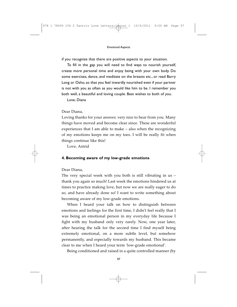if you recognize that there are positive aspects to your situation.

To fill in the gap you will need to find ways to nourish yourself, create more personal time and enjoy being with your own body. Do some exercises, dance, and meditate on the breasts etc., or read Barry Long or Osho, so that you feel inwardly nourished even if your partner is not with you as often as you would like him to be. I remember you both well, a beautiful and loving couple. Best wishes to both of you.

Love, Diana

#### Dear Diana,

Loving thanks for your answer, very nice to hear from you. Many things have moved and become clear since. These are wonderful experiences that I am able to make – also when the recognizing of my emotions keeps me on my toes. I will be really fit when things continue like this!

Love, Astrid

# **4. Becoming aware of my low-grade emotions**

#### Dear Diana,

The very special week with you both is still vibrating in us – thank you again so much! Last week the emotions hindered us at times to practice making love, but now we are really eager to do so, and have already done so! I want to write something about becoming aware of my low-grade emotions.

When I heard your talk on how to distinguish between emotions and feelings for the first time, I didn't feel really that I was being an emotional person in my everyday life because I fight with my husband only very rarely. Now, one year later, after hearing the talk for the second time I find myself being extremely emotional, on a more subtle level, but somehow permanently, and especially towards my husband. This became clear to me when I heard your term 'low-grade emotional'.

Being conditioned and raised in a quite controlled manner (by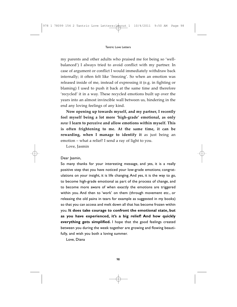my parents and other adults who praised me for being so 'wellbalanced') I always tried to avoid conflict with my partner. In case of argument or conflict I would immediately withdraw back internally; it often felt like 'freezing'. So when an emotion was released inside of me, instead of expressing it (e.g. in fighting or blaming) I used to push it back at the same time and therefore 'recycled' it in a way. These recycled emotions built up over the years into an almost invincible wall between us, hindering in the end any loving feelings of any kind.

**Now opening up towards myself, and my partner, I recently feel myself being a lot more 'high-grade' emotional, as only** *now* **I learn to perceive and allow emotions within myself. This is often frightening to me. At the same time, it can be rewarding, when I manage to identify it** as just being an emotion – what a relief! I send a ray of light to you.

Love, Jasmin

Dear Jasmin,

So many thanks for your interesting message, and yes, it is a really positive step that you have noticed your low-grade emotions; congratulations on your insight, it is life changing. And yes, it is the way to go, to become high-grade emotional as part of the process of change, and to become more aware of when exactly the emotions are triggered within you. And then to 'work' on them (through movement etc., or releasing the old pains in tears for example as suggested in my books) so that you can access and melt down all that has become frozen within you. **It does take courage to confront the emotional state, but as you have experienced, it's a big relief! And how quickly everything gets simplified.** I hope that the good feelings created between you during the week together are growing and flowing beautifully, and wish you both a loving summer.

Love, Diana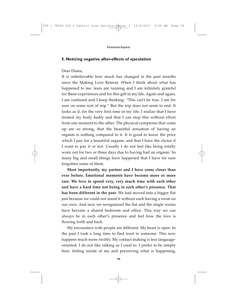# **5. Noticing negative after-effects of ejaculation**

#### Dear Diana,

It is unbelievable how much has changed in the past months since the Making Love Retreat. When I think about what has happened to me, tears are running and I am infinitely grateful for these experiences and for this gift in my life. Again and again, I am confused and I keep thinking: "This can't be true. I am for sure on some sort of trip." But the trip does not seem to end. It looks as if, for the very first time in my life, I realize that I have treated my body badly and that I can stop this without effort from one moment to the other. The physical symptoms that come up are so strong, that the beautiful sensation of having an orgasm is nothing compared to it. It is good to know the price which I pay for a beautiful orgasm, and that I have the choice if I want to pay it or not. Usually I do not feel like being totally worn out for two or three days due to having had an orgasm. So many big and small things have happened that I have for sure forgotten some of them.

**Most importantly, my partner and I have come closer than ever before. Emotional moments have become more or more rare. We love to spend very, very much time with each other and have a hard time not being in each other's presence. That has been different in the past.** We had moved into a bigger flat just because we could not stand it without each having a room on our own. And now we reorganized the flat and the single rooms have become a shared bedroom and office. This way we can always be in each other's presence and feel how the love is flowing forth and back.

My encounters with people are different. My heart is open. In the past I took a long time to find trust in someone. This now happens much more swiftly. My contact making is less languageoriented. I do not like talking as I used to. I prefer to be simply here, feeling inside of me and perceiving what is happening,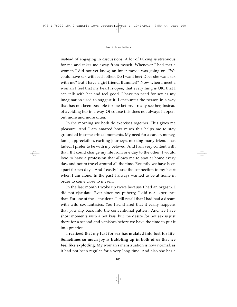instead of engaging in discussions. A lot of talking is strenuous for me and takes me away from myself. Whenever I had met a woman I did not yet know, an inner movie was going on: "We could have sex with each other. Do I want her? Does she want sex with me? But I have a girl friend. Bummer!" Now when I meet a woman I feel that my heart is open, that everything is OK, that I can talk with her and feel good. I have no need for sex as my imagination used to suggest it. I encounter the person in a way that has not been possible for me before. I really see her, instead of avoiding her in a way. Of course this does not always happen, but more and more often.

In the morning we both do exercises together. This gives me pleasure. And I am amazed how much this helps me to stay grounded in some critical moments. My need for a career, money, fame, appreciation, exciting journeys, meeting many friends has faded. I prefer to be with my beloved. And I am very content with that. If I could change my life from one day to the other, I would love to have a profession that allows me to stay at home every day, and not to travel around all the time. Recently we have been apart for ten days. And I easily loose the connection to my heart when I am alone. In the past I always wanted to be at home in order to come close to myself.

In the last month I woke up twice because I had an orgasm. I did not ejaculate. Ever since my puberty, I did not experience that. For one of these incidents I still recall that I had had a dream with wild sex fantasies. You had shared that it easily happens that you slip back into the conventional pattern. And we have short moments with a hot kiss, but the desire for hot sex is just there for a second and vanishes before we have the time to put it into practice.

**I realized that my lust for sex has mutated into lust for life. Sometimes so much joy is bubbling up in both of us that we feel like exploding.** My woman's menstruation is now normal, as it had not been regular for a very long time. And also she has a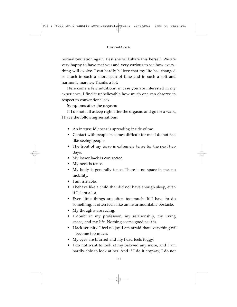normal ovulation again. Best she will share this herself. We are very happy to have met you and very curious to see how everything will evolve. I can hardly believe that my life has changed so much in such a short span of time and in such a soft and harmonic manner. Thanks a lot.

Here come a few additions, in case you are interested in my experience. I find it unbelievable how much one can observe in respect to conventional sex.

Symptoms after the orgasm:

If I do not fall asleep right after the orgasm, and go for a walk, I have the following sensations:

- An intense idleness is spreading inside of me.
- Contact with people becomes difficult for me. I do not feel like seeing people.
- The front of my torso is extremely tense for the next two days.
- My lower back is contracted.
- My neck is tense.
- My body is generally tense. There is no space in me, no mobility.
- I am irritable.
- I behave like a child that did not have enough sleep, even if I slept a lot.
- Even little things are often too much. If I have to do something, it often feels like an insurmountable obstacle.
- My thoughts are racing.
- I doubt in my profession, my relationship, my living space, and my life. Nothing seems good as it is.
- I lack serenity. I feel no joy. I am afraid that everything will become too much.
- My eyes are blurred and my head feels foggy.
- I do not want to look at my beloved any more, and I am hardly able to look at her. And if I do it anyway, I do not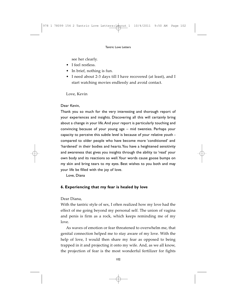see her clearly.

- I feel restless.
- In brief, nothing is fun.
- I need about 2-3 days till I have recovered (at least), and I start watching movies endlessly and avoid contact.

Love, Kevin

# Dear Kevin,

Thank you so much for the very interesting and thorough report of your experiences and insights. Discovering all this will certainly bring about a change in your life. And your report is particularly touching and convincing because of your young age – mid twenties. Perhaps your capacity to perceive this subtle level is because of your relative youth compared to older people who have become more 'conditioned' and 'hardened' in their bodies and hearts. You have a heightened sensitivity and awareness that gives you insights through the ability to 'read' your own body and its reactions so well. Your words cause goose bumps on my skin and bring tears to my eyes. Best wishes to you both and may your life be filled with the joy of love.

Love, Diana

# **6. Experiencing that my fear is healed by love**

Dear Diana,

With the tantric style of sex, I often realized how my love had the effect of me going beyond my personal self. The union of vagina and penis is firm as a rock, which keeps reminding me of my love.

As waves of emotion or fear threatened to overwhelm me, that genital connection helped me to stay aware of my love. With the help of love, I would then share my fear as opposed to being trapped in it and projecting it onto my wife. And, as we all know, the projection of fear is the most wonderful fertilizer for fights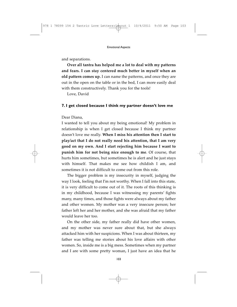and separations.

**Over all tantra has helped me a lot to deal with my patterns and fears. I can stay centered much better in myself when an old pattern comes up.** I can name the patterns, and once they are out in the open on the table or in the bed, I can more easily deal with them constructively. Thank you for the tools!

Love, David

# **7. I get closed because I think my partner doesn't love me**

Dear Diana,

I wanted to tell you about my being emotional! My problem in relationship is when I get closed because I think my partner doesn't love me really. **When I miss his attention then I start to play/act that I do not really need his attention, that I am very good on my own. And I start rejecting him because I want to punish him for not being nice enough to me**. Of course, that hurts him sometimes, but sometimes he is alert and he just stays with himself. That makes me see how childish I am, and sometimes it is not difficult to come out from this role.

The bigger problem is my insecurity in myself, judging the way I look, feeling that I'm not worthy. When I fall into this state, it is very difficult to come out of it. The roots of this thinking is in my childhood, because I was witnessing my parents' fights many, many times, and those fights were always about my father and other women. My mother was a very insecure person; her father left her and her mother, and she was afraid that my father would leave her too.

On the other side, my father really did have other women, and my mother was never sure about that, but she always attacked him with her suspicions. When I was about thirteen, my father was telling me stories about his love affairs with other women. So, inside me is a big mess. Sometimes when my partner and I are with some pretty woman, I just have an idea that he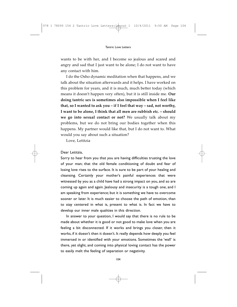wants to be with her, and I become so jealous and scared and angry and sad that I just want to be alone; I do not want to have any contact with him.

I do the Osho dynamic meditation when that happens, and we talk about the situation afterwards and it helps. I have worked on this problem for years, and it is much, much better today (which means it doesn't happen very often), but it is still inside me. **Our doing tantric sex is sometimes also impossible when I feel like that, so I wanted to ask you – if I feel that way – sad, not worthy, I want to be alone, I think that all men are rubbish etc. – should we go into sexual contact or not?** We usually talk about my problems, but we do not bring our bodies together when this happens. My partner would like that, but I do not want to. What would you say about such a situation?

Love, Letitzia

## Dear Letitzia,

Sorry to hear from you that you are having difficulties trusting the love of your man; that the old female conditioning of doubt and fear of losing love rises to the surface. It is sure to be part of your healing and cleansing. Certainly your mother's painful experiences that were witnessed by you as a child have had a strong impact on you, and so are coming up again and again. Jealousy and insecurity is a tough one, and I am speaking from experience; but it is something we have to overcome sooner or later. It is much easier to choose the path of emotion, than to stay centered in what is, present to what is. In fact we have to develop our inner male qualities in this direction.

In answer to your question, I would say that there is no rule to be made about whether it is good or not good to make love when you are feeling a bit disconnected. If it works and brings you closer, then it works, if it doesn't then it doesn't. It really depends how deeply you feel immersed in or identified with your emotions. Sometimes the 'wall' is there, yet slight, and coming into physical loving contact has the power to easily melt the feeling of separation or negativity.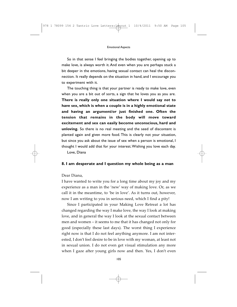So in that sense I feel bringing the bodies together, opening up to make love, is always worth it. And even when you are perhaps stuck a bit deeper in the emotions, having sexual contact can heal the disconnection. It really depends on the situation in hand, and I encourage you to experiment with it.

The touching thing is that your partner is ready to make love, even when you are a bit out of sorts, a sign that he loves you as you are. **There is really only one situation where I would say** *not* **to have sex, which is when a couple is in a highly emotional state and having an argument/or just finished one. Often the tension that remains in the body will move toward excitement and sex can easily become unconscious, hard and unloving.** So there is no real meeting and the seed of discontent is planted again and given more food. This is clearly not your situation, but since you ask about the issue of sex when a person is emotional, I thought I would add that for your interest. Wishing you love each day.

Love, Diana

# **8. I am desperate and I question my whole being as a man**

#### Dear Diana,

I have wanted to write you for a long time about my joy and my experience as a man in the 'new' way of making love. Or, as we call it in the meantime, to 'be in love'. As it turns out, however, now I am writing to you in serious need, which I find a pity!

Since I participated in your Making Love Retreat a lot has changed regarding the way I make love, the way I look at making love, and in general the way I look at the sexual contact between men and women – it seems to me that it has changed not only for good (especially these last days). The worst thing I experience right now is that I do not feel anything anymore. I am not interested, I don't feel desire to be in love with my woman, at least not in sexual union. I do not even get visual stimulation any more when I gaze after young girls now and then. Yes, I don't even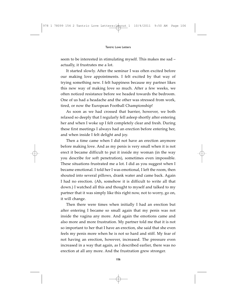seem to be interested in stimulating myself. This makes me sad – actually, it frustrates me a lot.

It started slowly. After the seminar I was often excited before our making love appointments. I felt excited by that way of trying something new. I felt happiness because my partner likes this new way of making love so much. After a few weeks, we often noticed resistance before we headed towards the bedroom. One of us had a headache and the other was stressed from work, tired, or now the European Football Championship!

As soon as we had crossed that barrier, however, we both relaxed so deeply that I regularly fell asleep shortly after entering her and when I woke up I felt completely clear and fresh. During these first meetings I always had an erection before entering her, and when inside I felt delight and joy.

Then a time came when I did not have an erection anymore before making love. And as my penis is very small when it is not erect it became difficult to put it inside my woman (in the way you describe for soft penetration), sometimes even impossible. These situations frustrated me a lot. I did as you suggest when I became emotional. I told her I was emotional, I left the room, then shouted into several pillows, drank water and came back. Again I had no erection. (Ah, somehow it is difficult to write all that down.) I watched all this and thought to myself and talked to my partner that it was simply like this right now, not to worry, go on, it will change.

Then there were times when initially I had an erection but after entering I became so small again that my penis was not inside the vagina any more. And again the emotions came and also more and more frustration. My partner told me that it is not so important to her that I have an erection, she said that she even feels my penis more when he is not so hard and stiff. My fear of not having an erection, however, increased. The pressure even increased in a way that again, as I described earlier, there was no erection at all any more. And the frustration grew stronger.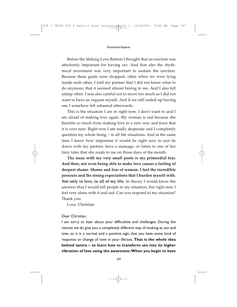Before the Making Love Retreat I thought that an erection was absolutely important for having sex. And that also the rhythmical movement was very important to sustain the erection. Because these goals were dropped, often when we were lying inside each other, I told my partner that I did not know what to do anymore, that it seemed almost boring to me. And I also fell asleep often. I was also careful not to move too much as I did not want to have an orgasm myself. And if we still ended up having one I somehow felt ashamed afterwards.

This is the situation I am in right now. I don't want to and I am afraid of making love again. My woman is sad because she benefits so much from making love in a new way and fears that it is over now. Right now I am really desperate and I completely question my whole being – in all life situations. And at the same time I know how important it would be right now to just lie down with my partner, have a massage, or listen to one of her fairy tales that she reads to me on those days of the month.

**The issue with my very small penis is my primordial fear. And then, not even being able to make love causes a feeling of deepest shame. Shame and fear of woman. I feel the incredible pressure and the strong expectations that I burden myself with. Not only in love, in all of my life.** In theory I would know the answers that I would tell people in my situation, but right now I feel very alone with it and sad. Can you respond to my situation? Thank you.

Love, Christian

# Dear Christian,

I am sorry to hear about your difficulties and challenges. During the retreat we do give you a completely different way of looking at sex and love, so it is a normal and a positive sign, that you have some kind of response or change of view in your life/sex. **That is the whole idea behind tantra – to learn how to transform sex into its higher vibration of love using the awareness. When you begin to have**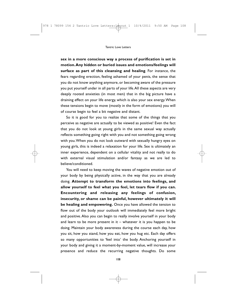**sex in a more conscious way a process of purification is set in motion. Any hidden or buried issues and emotions/feelings will surface as part of this cleansing and healing**. For instance, the fears regarding erection, feeling ashamed of your penis, the sense that you do not know anything anymore, or becoming aware of the pressure you put yourself under in all parts of your life. All these aspects are very deeply rooted anxieties (in most men) that in the big picture have a draining effect on your life energy, which is also your sex energy. When these tensions begin to move (mostly in the form of emotions) you will of course begin to feel a bit negative and distant.

So it is good for you to realize that some of the things that you perceive as negative are actually to be viewed as positive! Even the fact that you do not look at young girls in the same sexual way actually reflects something going right with you and not something going wrong with you. When you do not look outward with sexually hungry eyes on young girls, this is indeed a relaxation for your life. Sex is ultimately an inner experience, dependent on a cellular vitality and not really to do with external visual stimulation and/or fantasy as we are led to believe/conditioned.

You will need to keep moving the waves of negative emotion out of your body by being physically active, in the way that you are already doing. **Attempt to transform the emotions into feelings, and allow yourself to feel what you feel, let tears flow if you can. Encountering and releasing any feelings of confusion, insecurity, or shame can be painful, however ultimately it will be healing and empowering.** Once you have allowed the tension to flow out of the body your outlook will immediately feel more bright and positive. Also you can begin to really involve yourself in your body and learn to be more present in it – whatever it is you happen to be doing. Maintain your body awareness during the course each day, how you sit, how you stand, how you eat, how you hug etc. Each day offers so many opportunities to 'feel into' the body. Anchoring yourself in your body and giving it a moment-by-moment value, will increase your presence and reduce the recurring negative thoughts. Do some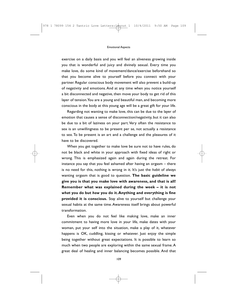exercise on a daily basis and you will feel an aliveness growing inside you that is wonderful and juicy and divinely sexual. Every time you make love, do some kind of movement/dance/exercise beforehand so that you become alive to yourself before you connect with your partner. Regular conscious body movement will also prevent a build-up of negativity and emotions. And at any time when you notice yourself a bit disconnected and negative, then move your body to get rid of this layer of tension. You are a young and beautiful man, and becoming more conscious in the body at this young age will be a great gift for your life.

Regarding not wanting to make love, this can be due to the layer of emotion that causes a sense of disconnection/negativity, but it can also be due to a bit of laziness on your part. Very often the resistance to sex is an unwillingness to be present per se, not actually a resistance to sex. To be present is an art and a challenge and the pleasures of it have to be discovered.

When you get together to make love be sure not to have rules, do not be black and white in your approach with fixed ideas of right or wrong. This is emphasized again and again during the retreat. For instance you say that you feel ashamed after having an orgasm – there is no need for this, nothing is wrong in it. It's just the *habit* of *always* wanting orgasm that is good to question. **The basic guideline we give you is that you make love with awareness, and that is all! Remember what was explained during the week – it is not** *what* **you do but** *how* **you do it. Anything and everything is fine provided it is conscious.** Stay alive to yourself but challenge your sexual habits at the same time. Awareness itself brings about powerful transformation.

Even when you do not feel like making love, make an inner commitment to having more love in your life, make dates with your woman, put your self into the situation, make a play of it, whatever happens is OK, cuddling, kissing or whatever. Just enjoy the simple being together without great expectations. It is possible to learn so much when two people are exploring within the same sexual frame. A great deal of healing and inner balancing becomes possible. And that

109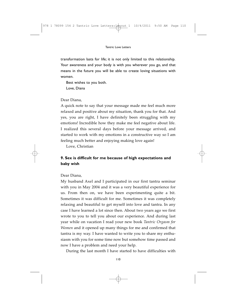transformation lasts for life; it is not only limited to this relationship. Your awareness and your body is with you wherever you go, and that means in the future you will be able to create loving situations with women.

Best wishes to you both. Love, Diana

# Dear Diana,

A quick note to say that your message made me feel much more relaxed and positive about my situation, thank you for that. And yes, you are right, I have definitely been struggling with my emotions! Incredible how they make me feel negative about life. I realized this several days before your message arrived, and started to work with my emotions in a constructive way so I am feeling much better and enjoying making love again!

Love, Christian

# **9. Sex is difficult for me because of high expectations and baby wish**

# Dear Diana,

My husband Axel and I participated in our first tantra seminar with you in May 2004 and it was a very beautiful experience for us. From then on, we have been experimenting quite a bit. Sometimes it was difficult for me. Sometimes it was completely relaxing and beautiful to get myself into love and tantra. In any case I have learned a lot since then. About two years ago we first wrote to you to tell you about our experience. And during last year while on vacation I read your new book *Tantric Orgasm for Women* and it opened up many things for me and confirmed that tantra is my way. I have wanted to write you to share my enthusiasm with you for some time now but somehow time passed and now I have a problem and need your help.

During the last month I have started to have difficulties with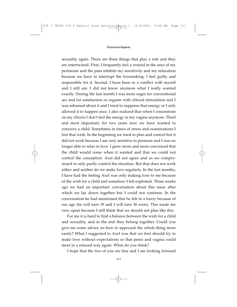sexuality again. There are three things that play a role and they are intertwined. First, I frequently feel a wound in the area of my perineum and the pain inhibits my sensitivity and my relaxation because we have to interrupt the lovemaking. I feel guilty and responsible for it. Second, I have been in a conflict with myself and I still am. I did not know anymore what I really wanted exactly. During the last month I was more eager for conventional sex and for satisfaction or orgasm with clitoral stimulation and I was ashamed about it and I tried to suppress that energy or I only allowed it to happen once. I also realized that when I concentrate on my clitoris I don't feel the energy in my vagina anymore. Third and most important, for two years now we have wanted to conceive a child. Sometimes in times of stress and examinations I lost that wish. In the beginning we tried to plan and control but it did not work because I am very sensitive to pressure and I was no longer able to relax in love. I grew more and more convinced that the child would come when it wanted and that we could not control the conception. Axel did not agree and so we compromised to only partly control the situation. But that does not work either and neither do we make love regularly. In the last months, I have had the feeling Axel was only making love to me because of the wish for a child and somehow I felt exploited. Three weeks ago we had an important conversation about this issue after which we lay down together but I could not continue. In the conversation he had mentioned that he felt in a hurry because of our age (he will turn 39 and I will turn 36 soon). This made me very upset because I still think that we should not plan like this.

For me it is hard to find a balance between the wish for a child and sexuality, and in the end they belong together. Could you give me some advice on how to approach the whole thing more easily? What I suggested to Axel was that we first should try to make love without expectations so that penis and vagina could meet in a relaxed way again. What do you think?

I hope that the two of you are fine and I am looking forward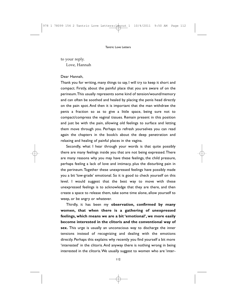to your reply. Love, Hannah

#### Dear Hannah,

Thank you for writing, many things to say, I will try to keep it short and compact. Firstly, about the painful place that you are aware of on the perineum. This usually represents some kind of tension/wound/memory and can often be soothed and healed by placing the penis head directly on the pain spot. And then it is important that the man withdraw the penis a fraction so as to give a little space, being sure not to compact/compress the vaginal tissues. Remain present in this position and just be with the pain, allowing old feelings to surface and letting them move through you. Perhaps to refresh yourselves you can read again the chapters in the book/s about the deep penetration and relaxing and healing of painful places in the vagina.

Secondly, what I hear through your words is that quite possibly there are many feelings inside you that are not being expressed. There are many reasons why you may have these feelings, the child pressure, perhaps feeling a lack of love and intimacy, plus the disturbing pain in the perineum. Together these unexpressed feelings have possibly made you a bit 'low-grade' emotional. So it is good to check yourself on this level. I would suggest that the best way to move with these unexpressed feelings is to acknowledge that they are there, and then create a space to release them, take some time alone, allow yourself to weep, or be angry or whatever.

Thirdly, it has been my **observation, confirmed by many women, that when there is a gathering of unexpressed feelings, which means we are a bit 'emotional', we more easily become interested in the clitoris and the conventional way of sex.** This urge is usually an unconscious way to discharge the inner tensions instead of recognizing and dealing with the emotions directly. Perhaps this explains why recently you find yourself a bit more 'interested' in the clitoris. And anyway there is nothing wrong in being interested in the clitoris. We usually suggest to women who are 'inter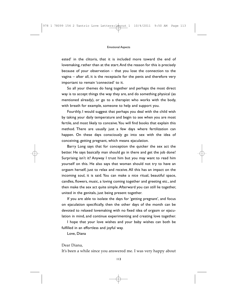ested' in the clitoris, that it is included more toward the end of lovemaking, rather than at the start. And the reason for this is precisely because of your observation – that you lose the connection to the vagina – after all, it is the receptacle for the penis and therefore very important to remain 'connected' to it.

So all your themes do hang together and perhaps the most direct way is to accept things the way they are, and do something physical (as mentioned already), or go to a therapist who works with the body, with breath for example, someone to help and support you.

Fourthly, I would suggest that perhaps you deal with the child wish by taking your daily temperature and begin to see when you are most fertile, and most likely to conceive. You will find books that explain this method. There are usually just a few days where fertilization can happen. On these days consciously go into sex with the idea of conceiving, getting pregnant, which means ejaculation.

Barry Long says that for conception the quicker the sex act the better. He says basically man should go in there and get the job done! Surprising isn't it? Anyway I trust him but you may want to read him yourself on this. He also says that woman should not try to have an orgasm herself, just to relax and receive. All this has an impact on the incoming soul, it is said. You can make a nice ritual, beautiful space, candles, flowers, music, a loving coming together and greeting etc., and then make the sex act quite simple. Afterward you can still lie together, united in the genitals, just being present together.

If you are able to isolate the days for 'getting pregnant', and focus on ejaculation specifically, then the other days of the month can be devoted to relaxed lovemaking with no fixed idea of orgasm or ejaculation in mind, and continue experimenting and creating love together.

I hope that your love wishes and your baby wishes can both be fulfilled in an effortless and joyful way.

Love, Diana

#### Dear Diana,

It's been a while since you answered me. I was very happy about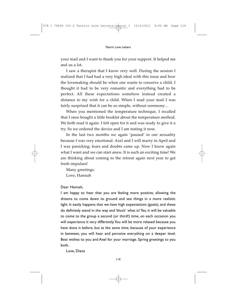your mail and I want to thank you for your support. It helped me and us a lot.

I saw a therapist that I know very well. During the session I realized that I had had a very high ideal with this issue and how the lovemaking should be when one wants to conceive a child. I thought it had to be very romantic and everything had to be perfect. All these expectations somehow instead created a distance to my wish for a child. When I read your mail I was fairly surprised that it can be so simple, without ceremony...

When you mentioned the temperature technique, I recalled that I once bought a little booklet about the temperature method. We both read it again. I felt open for it and was ready to give it a try. So we ordered the device and I am testing it now.

In the last two months we again 'paused' in our sexuality because I was very emotional. Axel and I will marry in April and I was panicking; fears and doubts came up. Now I know again what I want and we can start anew. It is such an exciting time! We are thinking about coming to the retreat again next year to get fresh impulses!

Many greetings. Love, Hannah

# Dear Hannah,

I am happy to hear that you are feeling more positive, allowing the dreams to come down to ground and see things in a more realistic light. It easily happens that we have high expectations (goals), and these do definitely stand in the way and 'block' what is! Yes, it will be valuable to come to the group a second (or third!) time, on each occasion you will experience it very differently. You will be more relaxed because you have done it before, but at the same time, because of your experience in between, you will hear and perceive everything on a deeper level. Best wishes to you and Axel for your marriage. Spring greetings to you both.

Love, Diana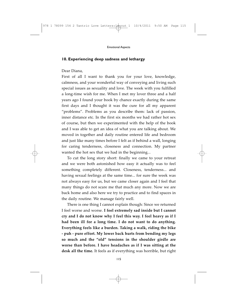# **10. Experiencing deep sadness and lethargy**

# Dear Diana,

First of all I want to thank you for your love, knowledge, calmness, and your wonderful way of conveying and living such special issues as sexuality and love. The week with you fulfilled a long-time wish for me. When I met my lover three and a half years ago I found your book by chance exactly during the same first days and I thought it was the cure for all my apparent "problems". Problems as you describe them: lack of passion, inner distance etc. In the first six months we had rather hot sex of course, but then we experimented with the help of the book and I was able to get an idea of what you are talking about. We moved in together and daily routine entered life and bedroom and just like many times before I felt as if behind a wall, longing for caring tenderness, closeness and connection. My partner wanted the hot sex that we had in the beginning...

To cut the long story short: finally we came to your retreat and we were both astonished how easy it actually was to feel something completely different. Closeness, tenderness... and having sexual feelings at the same time... for sure the week was not always easy for us, but we came closer again and I feel that many things do not scare me that much any more. Now we are back home and also here we try to practice and to find spaces in the daily routine. We manage fairly well.

There is one thing I cannot explain though: Since we returned I feel worse and worse. **I feel extremely sad inside but I cannot cry and I do not know why I feel this way. I feel heavy as if I had been ill for a long time. I do not want to do anything. Everything feels like a burden. Taking a walk, riding the bike - puh - pure effort. My lower back hurts from bending my legs so much and the "old" tensions in the shoulder girdle are worse than before. I have headaches as if I was sitting at the desk all the time.** It feels as if everything was horrible, but right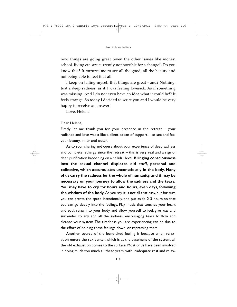now things are going great (even the other issues like money, school, living etc. are currently not horrible for a change!) Do you know this? It tortures me to see all the good, all the beauty and not being able to feel it at all!

I keep on telling myself that things are great - and? Nothing. Just a deep sadness, as if I was feeling lovesick. As if something was missing. And I do not even have an idea what it could be!? It feels strange. So today I decided to write you and I would be very happy to receive an answer!

Love, Helena

#### Dear Helena,

Firstly let me thank you for your presence in the retreat  $-$  your radiance and love was a like a silent ocean of support – to see and feel your beauty, inner and outer.

As to your sharing and query about your experience of deep sadness and complete lethargy since the retreat – this is very real and a sign of deep purification happening on a cellular level. **Bringing consciousness into the sexual channel displaces old stuff, personal and collective, which accumulates unconsciously in the body. Many of us carry the sadness for the whole of humanity, and it may be necessary on your journey to allow the sadness and the tears. You may have to cry for hours and hours, even days, following the wisdom of the body.** As you say, it is not all that easy, but for sure you can create the space intentionally, and put aside 2-3 hours so that you can go deeply into the feelings. Play music that touches your heart and soul, relax into your body, and allow yourself to feel, give way and surrender to any and all the sadness, encouraging tears to flow and cleanse your system. The tiredness you are experiencing can be due to the effort of holding these feelings down, or repressing them.

Another source of the bone-tired feeling is because when relaxation enters the sex center, which is at the basement of the system, all the old exhaustion comes to the surface. Most of us have been involved in doing much too much all these years, with inadequate rest and relax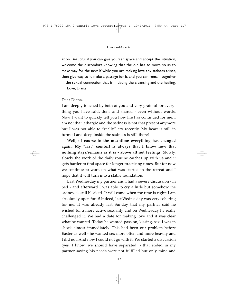ation. Beautiful if you can give yourself space and accept the situation, welcome the discomfort knowing that the old has to move so as to make way for the new. If while you are making love any sadness arises, then give way to it, make a passage for it, and you can remain together in the sexual connection that is initiating the cleansing and the healing.

Love, Diana

# Dear Diana,

I am deeply touched by both of you and very grateful for everything you have said, done and shared - even without words. Now I want to quickly tell you how life has continued for me. I am not that lethargic and the sadness is not that present anymore but I was not able to "really" cry recently. My heart is still in turmoil and deep inside the sadness is still there!

**Well, of course in the meantime everything has changed again. My "last" comfort is always that I know now that nothing stays/remains as it is - above all not feelings.** Slowly, slowly the work of the daily routine catches up with us and it gets harder to find space for longer practicing times. But for now we continue to work on what was started in the retreat and I hope that it will turn into a stable foundation.

Last Wednesday my partner and I had a severe discussion - in bed - and afterward I was able to cry a little but somehow the sadness is still blocked. It will come when the time is right: I am absolutely open for it! Indeed, last Wednesday was very sobering for me. It was already last Sunday that my partner said he wished for a more active sexuality and on Wednesday he really challenged it. We had a date for making love and it was clear what he wanted. Today he wanted passion, kissing, sex. I was in shock almost immediately. This had been our problem before Easter as well - he wanted sex more often and more heavily and I did not. And now I could not go with it. We started a discussion (yes, I know, we should have separated...) that ended in my partner saying his needs were not fulfilled but only mine and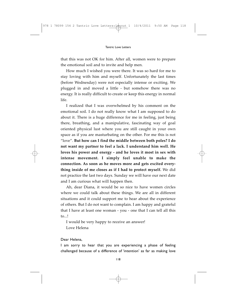that this was not OK for him. After all, women were to prepare the emotional soil and to invite and help men.

How much I wished you were there. It was so hard for me to stay loving with him and myself. Unfortunately the last times (before Wednesday) were not especially intense or exciting. We plugged in and moved a little - but somehow there was no energy. It is really difficult to create or keep this energy in normal life.

I realized that I was overwhelmed by his comment on the emotional soil. I do not really know what I am supposed to do about it. There is a huge difference for me in feeling, just being there, breathing, and a manipulative, fascinating way of goal oriented physical lust where you are still caught in your own space as if you are masturbating on the other. For me this is not "love". **But how can I find the middle between both poles? I do not want my partner to feel a lack. I understand him well. He loves his power and energy - and he loves it most in sex with intense movement. I simply feel unable to make the connection. As soon as he moves more and gets excited everything inside of me closes as if I had to protect myself.** We did not practice the last two days. Sunday we will have our next date and I am curious what will happen then.

Ah, dear Diana, it would be so nice to have women circles where we could talk about these things. We are all in different situations and it could support me to hear about the experience of others. But I do not want to complain. I am happy and grateful that I have at least one woman - you - one that I can tell all this to...!

I would be very happy to receive an answer!

Love Helena

Dear Helena,

I am sorry to hear that you are experiencing a phase of feeling challenged because of a difference of 'intention' as far as making love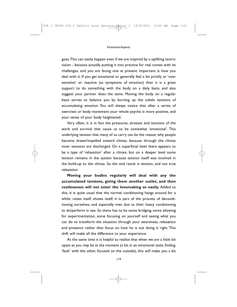goes. This can easily happen even if we are inspired by a uplifting tantric vision - because actually putting it into practice for real comes with its challenges, and you are facing one at present. Important is how you deal with it. If you get emotional or generally feel a bit prickly or 'over sensitive' or reactive (as symptoms of emotion) then it is a great support to do something with the body on a daily basis, and also suggest your partner does the same. Moving the body on a regular basis serves to balance you by burning up the subtle tensions of accumulating emotion. You will always notice that after a series of exercises or body movement your whole psyche is more positive, and your sense of your body heightened.

Very often, it is in fact the pressures, stresses and tensions of the work and survival that cause us to be somewhat 'emotional'. This underlying tension that many of us carry can be the reason why people become drawn/impelled toward climax, because through the climax inner tensions are discharged. On a superficial level there appears to be a type of 'relaxation' after a climax, but on a deeper level some tension remains in the system because tension itself was involved in the build-up to the climax. So the end result is tension, and not true relaxation

**Moving your bodies regularly will deal with any the accumulated tensions, giving them another outlet, and then restlessness will not enter the lovemaking so easily.** Added to this, it is quite usual that the normal conditioning hangs around for a while, raises itself, shows itself; it is part of the process of deconditioning ourselves, and especially men due to their heavy conditioning to do/perform in sex. So there has to be some bridging, some allowing for experimentation, some focusing on yourself and seeing what you can do to transform the situation through your awareness, relaxation and presence rather than focus on how he is not doing it right. This shift will make all the difference to your experience.

At the same time it is helpful to realize that when we are a little bit upset as you may be at the moment (a bit in an emotional state, finding 'fault' with the other, focused on the outside), this will make you a bit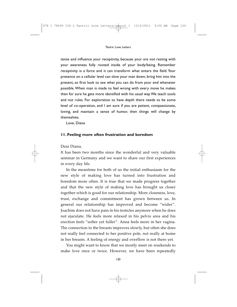tense and influence your receptivity, because your are not resting with your awareness fully rooted inside of your body/being. Remember receptivity is a force and it can transform what enters the field. Your presence on a cellular level can slow your man down, bring him into the present, so first look to see what you can do from your end whenever possible. When man is made to feel wrong with every move he makes then for sure he gets more identified with his usual way. We teach tools and not rules. For exploration to have depth there needs to be some level of co-operation, and I am sure if you are patient, compassionate, loving, and maintain a sense of humor, then things will change by themselves.

Love, Diana

#### **11. Feeling more often frustration and boredom**

#### Dear Diana,

It has been two months since the wonderful and very valuable seminar in Germany and we want to share our first experiences in every day life.

In the meantime for both of us the initial enthusiasm for the new style of making love has turned into frustration and boredom more often. It is true that we made progress together and that the new style of making love has brought us closer together which is good for our relationship. More closeness, love, trust, exchange and commitment has grown between us. In general our relationship has improved and become "wider". Joachim does not have pain in his testicles anymore when he does not ejaculate. He feels more relaxed in his pelvis area and his erection feels "softer yet fuller". Anna feels more in her vagina. The connection to the breasts improves slowly, but often she does not really feel connected to her positive pole, not really at home in her breasts. A feeling of energy and overflow is not there yet.

You might want to know that we mostly meet on weekends to make love once or twice. However, we have been repeatedly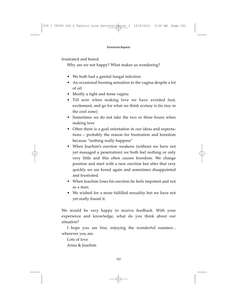frustrated and bored.

Why are we not happy? What makes us wondering?

- We both had a genital fungal infection
- An occasional burning sensation in the vagina despite a lot of oil
- Mostly a tight and tense vagina
- Till now when making love we have avoided lust, excitement, and go for what we think ecstasy is (to stay in the cool zone)
- Sometimes we do not take the two or three hours when making love
- Often there is a goal orientation in our ideas and expectations – probably the reason for frustration and boredom because "nothing really happens"
- When Joachim's erection weakens (without we have not yet managed a penetration) we both feel nothing or only very little and this often causes boredom. We change position and start with a new erection but after that very quickly we are bored again and sometimes disappointed and frustrated.
- When Joachim loses his erection he feels impotent and not as a man.
- We wished for a more fulfilled sexuality but we have not yet really found it.

We would be very happy to receive feedback. With your experience and knowledge, what do you think about our situation?

I hope you are fine, enjoying the wonderful summer... wherever you are.

Lots of love Anna & Joachim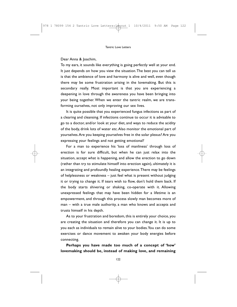Dear Anna & Joachim,

To my ears, it sounds like everything is going perfectly well at your end. It just depends on how you view the situation. The best you can tell us is that the ambience of love and harmony is alive and well, even though there may be some frustration arising in the lovemaking. But this is secondary really. Most important is that you are experiencing a deepening in love through the awareness you have been bringing into your being together. When we enter the tantric realm, we are transforming ourselves, not only improving our sex lives.

It is quite possible that you experienced fungus infections as part of a clearing and cleansing. If infections continue to occur it is advisable to go to a doctor, and/or look at your diet, and ways to reduce the acidity of the body, drink lots of water etc. Also monitor the emotional part of yourselves. Are you keeping yourselves free in the solar plexus? Are you expressing your feelings and not getting emotional?

For a man to experience his 'loss of manliness' through loss of erection is for sure difficult, but when he can just relax into the situation, accept what is happening, and allow the erection to go down (rather than try to stimulate himself into erection again), ultimately it is an integrating and profoundly healing experience. There may be feelings of helplessness or weakness – just feel what is present without judging it or trying to change it. If tears wish to flow, don't hold them back. If the body starts shivering or shaking, co-operate with it. Allowing unexpressed feelings that may have been hidden for a lifetime is an empowerment, and through this process slowly man becomes more of man – with a true male authority, a man who knows and accepts and trusts himself in his depth.

As to your frustration and boredom, this is entirely your choice, you are creating the situation and therefore you can change it. It is up to you each as individuals to remain alive to your bodies. You can do some exercises or dance movement to awaken your body energies before connecting.

**Perhaps you have made too much of a concept of 'how' lovemaking should be, instead of making love, and remaining**

122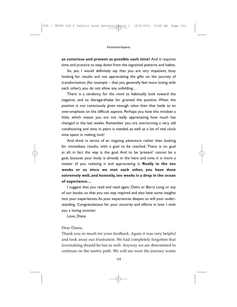**as conscious and present as possible each time!** And it requires time and practice to step down from the ingrained patterns and habits.

So, yes, I would definitely say that you are *very* impatient, busy looking for results and not appreciating the gifts on the journey of transformation (for example – that you generally feel more loving with each other), you do not allow any unfolding…

There is a tendency for the mind to habitually look toward the negative, and to disregard/take for granted the positive. When the positive is not consciously given enough value then that leads to an over-emphasis on the difficult aspects. Perhaps you have this mindset a little, which means you are not really appreciating how much has changed in the last weeks. Remember you are overturning a very old conditioning and time in years is needed, as well as a lot of real clock time spent in making love!

And think in terms of an ongoing adventure rather than looking for immediate results, with a goal to be reached. There is no goal at all; in fact the way is the goal. And to be 'present' cannot be a goal, because your body is already in the here and now, it is more a matter of you realizing it and appreciating it. **Really in the ten weeks or so since we met each other, you have done extremely well, and honestly, ten weeks is a drop in the ocean of experience…** 

I suggest that you read and read again, Osho or Barry Long or any of our books, so that you can stay inspired and also have some insights into your experiences. As your experiences deepen so will your understanding. Congratulations for your sincerity and efforts in love. I wish you a loving summer.

Love, Diana

#### Dear Diana,

Thank you so much for your feedback. Again it was very helpful and took away our frustration. We had completely forgotten that lovemaking should be fun as well. Anyway we are determined to continue on the tantric path. We will see were the journey wants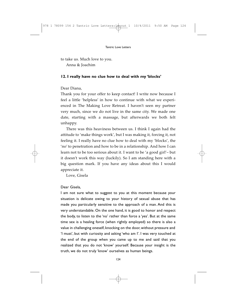to take us. Much love to you. Anna & Joachim

# **12. I really have no clue how to deal with my 'blocks'**

Dear Diana,

Thank you for your offer to keep contact! I write now because I feel a little 'helpless' in how to continue with what we experienced in The Making Love Retreat. I haven't seen my partner very much, since we do not live in the same city. We made one date, starting with a massage, but afterwards we both felt unhappy.

There was this heaviness between us. I think I again had the attitude to 'make things work', but I was making it, forcing it, not feeling it. I really have no clue how to deal with my 'blocks', the 'no' to penetration and how to be in a relationship. And how I can learn not to be too serious about it. I want to be 'a good girl'– but it doesn't work this way (luckily). So I am standing here with a big question mark. If you have any ideas about this I would appreciate it.

Love, Gisela

# Dear Gisela,

I am not sure what to suggest to you at this moment because your situation is delicate owing to your history of sexual abuse that has made you particularly sensitive to the approach of a man. And this is very understandable. On the one hand, it is good to honor and respect the body, to listen to the 'no' rather than force a 'yes'. But at the same time sex is a healing force (when rightly employed) so there is also a value in challenging oneself, knocking on the door, without pressure and 'I must', but with curiosity and asking 'who am I'. I was very touched at the end of the group when you came up to me and said that you realized that you do not 'know' yourself. Because your insight is the truth, we do not truly 'know' ourselves as human beings.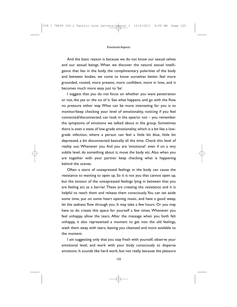And the basic reason is because we do not know our sexual selves and our sexual beings. When we discover the natural sexual intelligence that lies in the body, the complimentary polarities of the body and between bodies, we come to know ourselves better, feel more grounded, rooted, more present, more confident, more in love, and it becomes much more easy just to 'be'.

I suggest that you do not focus on whether you want penetration or not, the yes or the no of it. See what happens, and go with the flow, no pressure either way. What can be more interesting for you is to monitor/keep checking your level of emotionality, noticing if you feel connected/disconnected, can look in the eyes/or not – you remember the symptoms of emotions we talked about in the group. Sometimes there is even a state of low-grade emotionality, which is a bit like a lowgrade infection, where a person can feel a little bit blue, little bit depressed, a bit disconnected basically all the time. Check this level of reality out. Whenever you find you are 'emotional' even if on a *very* subtle level, do something about it, move the body etc. Also when you are together with your partner keep checking what is happening behind the scenes.

Often a store of unexpressed feelings in the body can cause the resistance to wanting to open up. So it is not you that cannot open up, but the tension of the unexpressed feelings lying in between that you are feeling act as a barrier. These are creating the resistance and it is helpful to reach them and release them consciously. You can set aside some time, put on some heart opening music, and have a good weep, let the sadness flow through you. It may take a few hours. Or you may have to do create this space for yourself a few times. Whenever you feel unhappy, allow the tears. After the massage when you both felt unhappy, it also represented a moment to get into the old feelings, wash them away with tears, leaving you cleansed and more available to the moment.

I am suggesting only that you stay fresh with yourself, observe your emotional level, and work with your body consciously to disperse emotions. It sounds like hard work, but not really, because the pleasure

125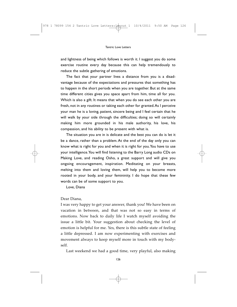and lightness of being which follows is worth it. I suggest you do some exercise routine every day because this can help tremendously to reduce the subtle gathering of emotions.

The fact that your partner lives a distance from you is a disadvantage because of the expectations and pressures that something has to happen in the short periods when you are together. But at the same time different cities gives you space apart from him, time all for you. Which is also a gift. It means that when you do see each other you are fresh, not in any routines or taking each other for granted. As I perceive your man he is a loving, patient, sincere being and I feel certain that he will walk by your side through the difficulties; doing so will certainly making him more grounded in his male authority, his love, his compassion, and his ability to be present with what is.

The situation you are in is delicate and the best you can do is let it be a dance, rather than a problem. At the end of the day only you can know what is right for you and when it is right for you. You have to use your intelligence. You will find listening to the Barry Long audio CDs on Making Love, and reading Osho, a great support and will give you ongoing encouragement, inspiration. Meditating on your breasts, melting into them and loving them, will help you to become more rooted in your body, and your femininity. I do hope that these few words can be of some support to you.

Love, Diana

#### Dear Diana,

I was very happy to get your answer, thank you! We have been on vacation in between, and that was not so easy in terms of emotions. Now back to daily life I watch myself avoiding the issue a little bit. Your suggestion about checking the level of emotion is helpful for me. Yes, there is this subtle state of feeling a little depressed. I am now experimenting with exercises and movement always to keep myself more in touch with my bodyself.

Last weekend we had a good time, very playful, also making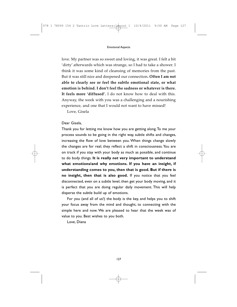love. My partner was so sweet and loving, it was great. I felt a bit 'dirty' afterwards which was strange, so I had to take a shower. I think it was some kind of cleansing of memories from the past. But it was still nice and deepened our connection**. Often I am not able to clearly see or feel the subtle emotional state, or what emotion is behind. I don't feel the sadness or whatever is there. It feels more 'diffused'.** I do not know how to deal with this. Anyway, the week with you was a challenging and a nourishing experience, and one that I would not want to have missed!

Love, Gisela

# Dear Gisela,

Thank you for letting me know how you are getting along. To me your process sounds to be going in the right way, subtle shifts and changes, increasing the flow of love between you. When things change slowly the changes are for real; they reflect a shift in consciousness. You are on track if you stay with your body as much as possible, and continue to do body things. **It is really** *not* **very important to understand what emotions/and why emotions. If you have an insight, if understanding comes to you, then that is good. But if there is no insight, then that is also good.** If you notice that you feel disconnected, even on a subtle level, then get your body moving, and it is perfect that you are doing regular daily movement. This will help disperse the subtle build up of emotions.

For you (and all of us!) the body is the key, and helps you to shift your focus away from the mind and thought, to connecting with the simple here and now. We are pleased to hear that the week was of value to you. Best wishes to you both.

Love, Diana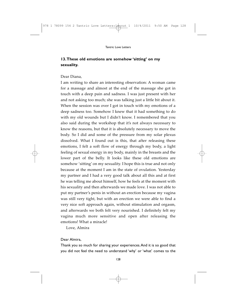# **13. These old emotions are somehow 'sitting' on my sexuality.**

## Dear Diana,

I am writing to share an interesting observation: A woman came for a massage and almost at the end of the massage she got in touch with a deep pain and sadness. I was just present with her and not asking too much; she was talking just a little bit about it. When the session was over I got in touch with my emotions of a deep sadness too. Somehow I knew that it had something to do with my old wounds but I didn't know. I remembered that you also said during the workshop that it's not always necessary to know the reasons, but that it is absolutely necessary to move the body. So I did and some of the pressure from my solar plexus dissolved. What I found out is this, that after releasing these emotions, I felt a soft flow of energy through my body, a light feeling of sexual energy in my body, mainly in the breasts and the lower part of the belly. It looks like these old emotions are somehow 'sitting' on my sexuality. I hope this is true and not only because at the moment I am in the state of ovulation. Yesterday my partner and I had a very good talk about all this and at first he was telling me about himself, how he feels at the moment with his sexuality and then afterwards we made love. I was not able to put my partner's penis in without an erection because my vagina was still very tight, but with an erection we were able to find a very nice soft approach again, without stimulation and orgasm, and afterwards we both felt very nourished. I definitely felt my vagina much more sensitive and open after releasing the emotions! What a miracle!

Love, Almira

# Dear Almira,

Thank you so much for sharing your experiences. And it is so good that you did not feel the need to understand 'why' or 'what' comes to the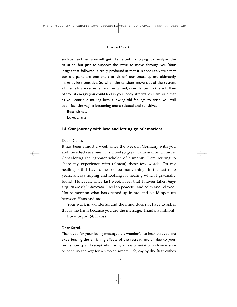surface, and let yourself get distracted by trying to analyze the situation, but just to support the wave to move through you. Your insight that followed is really profound in that it is absolutely true that our old pains are tensions that 'sit on' our sexuality, and ultimately make us less sensitive. So when the tensions move out of the system, all the cells are refreshed and revitalized, as evidenced by the soft flow of sexual energy you could feel in your body afterwards. I am sure that as you continue making love, allowing old feelings to arise, you will soon feel the vagina becoming more relaxed and sensitive.

Best wishes.

Love, Diana

# **14. Our journey with love and letting go of emotions**

# Dear Diana,

It has been almost a week since the week in Germany with you and the effects are *enormous*! I feel so great, calm and much more. Considering the "greater whole" of humanity I am writing to share my experience with (almost) these few words. On my healing path I have done sooooo many things in the last nine years, always hoping and looking for healing which I gradually found. However, since last week I feel that I haven taken *huge steps in the right direction*. I feel so peaceful and calm and relaxed. Not to mention what has opened up in me, and could open up between Hans and me.

Your work is wonderful and the mind does not have to ask if this is the truth because you are the message. Thanks a million!

Love*,* Sigrid (& Hans)

# Dear Sigrid,

Thank you for your loving message. It is wonderful to hear that you are experiencing the enriching effects of the retreat, and all due to your own sincerity and receptivity. Having a new orientation in love is sure to open up the way for a simpler sweeter life, day by day. Best wishes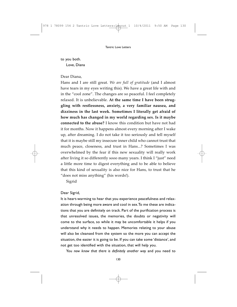to you both. Love, Diana

Dear Diana,

Hans and I are still great. *We are full of gratitude* (and I almost have tears in my eyes writing this). We have a great life with and in the "cool zone". The changes are so peaceful. I feel completely relaxed. It is unbelievable. **At the same time I have been struggling with restlessness, anxiety, a very familiar nausea, and dizziness in the last week. Sometimes I literally get afraid of how much has changed in my world regarding sex. Is it maybe connected to the abuse?** I know this condition but have not had it for months. Now it happens almost every morning after I wake up, after dreaming. I do not take it too seriously and tell myself that it is maybe still my insecure inner child who cannot trust that much peace, closeness, and trust in Hans...? Sometimes I was overwhelmed by the fear if this new sexuality will really work after living it so differently sooo many years. I think I "just" need a little more time to digest everything and to be able to believe that this kind of sexuality is also nice for Hans, to trust that he "does not miss anything" (his words!).

Sigrid

# Dear Sigrid,

It is heart-warming to hear that you experience peacefulness and relaxation through being more aware and cool in sex. To me these are indications that you are definitely on track. Part of the purification process is that unresolved issues, the memories, the doubts or negativity will come to the surface, so while it may be uncomfortable it helps if you understand why it needs to happen. Memories relating to your abuse will also be cleansed from the system so the more you can accept the situation, the easier it is going to be. If you can take some 'distance', and not get too identified with the situation, that will help you.

You *now know that there is definitely another way* and you need to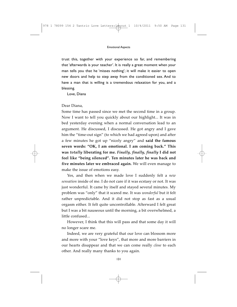trust this, together with your experience so far, and remembering that 'afterwards is your teacher'. It is really a great moment when your man tells you that he 'misses nothing'; it will make it easier to open new doors and help to step away from the conditioned sex. And to have a man that is willing is a tremendous relaxation for you, and a blessing.

Love, Diana

# Dear Diana,

Some time has passed since we met the second time in a group. Now I want to tell you quickly about our highlight... It was in bed yesterday evening when a normal conversation lead to an argument. He discussed, I discussed. He got angry and I gave him the "time-out sign" (to which we had agreed upon) and after a few minutes he got up "nicely angry" and **said the famous seven words: "OK, I am emotional. I am coming back." This was** *totally* **liberating for me.** *Finally, finally, finally* **I did not feel like "being silenced". Ten minutes later he was back and five minutes later we embraced again.** We will even manage to make the issue of emotions easy.

Yes, and then when we made love I suddenly felt a *new sensation* inside of me. I do not care if it was ecstasy or not. It was just wonderful. It came by itself and stayed several minutes. My problem was "only" that it scared me. It was *wonderful* but it felt rather unpredictable. And it did not stop as fast as a usual orgasm either. It felt quite uncontrollable. Afterward I felt great but I was a bit nauseous until the morning, a bit overwhelmed, a little confused...

However, I think that this will pass and that some day it will no longer scare me.

Indeed, we are very grateful that our love can blossom more and more with your "love keys", that more and more barriers in our hearts disappear and that we can come really *close* to each other. And really many thanks to you again.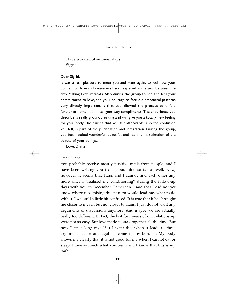Have wonderful summer days. Sigrid

# Dear Sigrid,

It was a real pleasure to meet you and Hans again, to feel how your connection, love and awareness have deepened in the year between the two Making Love retreats. Also during the group to see and feel your commitment to love, and your courage to face old emotional patterns very directly. Important is that you allowed the process to unfold further at home in an intelligent way, compliments! The experience you describe is really groundbreaking and will give you a totally new feeling for your body. The nausea that you felt afterwards, also the confusion you felt, is part of the purification and integration. During the group, you both looked wonderful, beautiful, and radiant - a reflection of the beauty of your beings…

Love, Diana

# Dear Diana,

You probably receive mostly positive mails from people, and I have been writing you from cloud nine so far as well. Now, however, it seems that Hans and I cannot find each other any more since I "realised my conditioning" during the follow-up days with you in December. Back then I said that I did not yet know where recognising this pattern would lead me, what to do with it. I was still a little bit confused. It is true that it has brought me closer to myself but not closer to Hans. I just do not want any arguments or discussions anymore. And maybe we are actually really too different. In fact, the last four years of our relationship were not so easy. But love made us stay together all the time. But now I am asking myself if I want this when it leads to these arguments again and again. I come to my borders. My body shows me clearly that it is not good for me when I cannot eat or sleep. I love so much what you teach and I know that this is my path.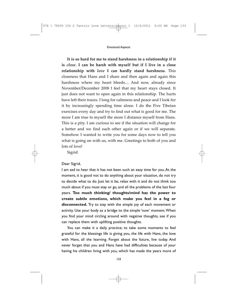**It is so hard for me to stand harshness in a relationship if it is** *close***. I can be harsh with myself but if I live in a close relationship with** *love* **I can hardly stand harshness.** This closeness that Hans and I share and then again and again this harshness where my heart bleeds… And now, already since November/December 2008 I feel that my heart stays closed. It just does not want to open again in this relationship. The hurts have left their traces. I long for calmness and peace and I look for it by increasingly spending time alone. I do the Five Tibetan exercises every day and try to find out what is good for me. The more I am true to myself the more I distance myself from Hans. This is a pity. I am curious to see if the situation will change for a better and we find each other again or if we will separate. Somehow I wanted to write you for some days now to tell you what is going on with us, with me. Greetings to both of you and lots of love!

Sigrid

# Dear Sigrid,

I am sad to hear that it has not been such an easy time for you. At the moment, it is good not to do anything about your situation, do not try to decide what to do. Just let it be, relax with it and do not think too much about if you must stay or go, and all the problems of the last four years. **Too much thinking/ thoughts/mind has the power to create subtle emotions, which make you feel in a fog or disconnected.** Try to stay with the simple joy of each movement or activity. Use your body as a bridge to the simple 'now' moment. When you find your mind circling around with negative thoughts, see if you can replace them with uplifting positive thoughts.

You can make it a daily practice; to take some moments to feel grateful for the blessings life is giving you, the life with Hans, the love with Hans, all the learning. Forget about the future, live today. And never forget that you and Hans have had difficulties because of your having his children living with you, which has made the years more of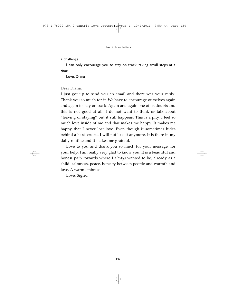a challenge.

I can only encourage you to stay on track, taking small steps at a time.

Love, Diana

Dear Diana,

I just got up to send you an email and there was your reply! Thank you so much for it. We have to encourage ourselves again and again to stay on track. Again and again one of us doubts and this is not good at all! I do not want to think or talk about "leaving or staying" but it still happens. This is a pity. I feel so much love inside of me and that makes me happy. It makes me happy that I never lost love. Even though it sometimes hides behind a hard crust... I will not lose it anymore. It is there in my daily routine and it makes me grateful.

Love to you and thank you so much for your message, for your help. I am really very glad to know you. It is a beautiful and honest path towards where I *always* wanted to be, already as a child: calmness, peace, honesty between people and warmth and love. A warm embrace

Love, Sigrid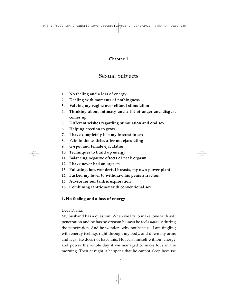# Chapter 4

# Sexual Subjects

- **1. No feeling and a loss of energy**
- **2. Dealing with moments of nothingness**
- **3. Valuing my vagina over clitoral stimulation**
- **4. Thinking about intimacy and a lot of anger and disgust comes up**
- **5. Different wishes regarding stimulation and oral sex**
- **6. Helping erection to grow**
- **7. I have completely lost my interest in sex**
- **8. Pain in the testicles after not ejaculating**
- **9. G-spot and female ejaculation**
- **10. Techniques to build up energy**
- **11. Balancing negative effects of peak orgasm**
- **12. I have never had an orgasm**
- **13. Pulsating, hot, wonderful breasts, my own power plant**
- **14. I asked my lover to withdraw his penis a fraction**
- **15. Advice for our tantric exploration**
- **16. Combining tantric sex with conventional sex**

# **1. No feeling and a loss of energy**

# Dear Diana,

My husband has a question. When we try to make love with soft penetration and he has no orgasm he says he feels *nothing* during the penetration. And he wonders why not because I am tingling with energy feelings right through my body, and down my arms and legs. He does not have this. He feels himself without energy and power the whole day if we managed to make love in the morning. Then at night it happens that he cannot sleep because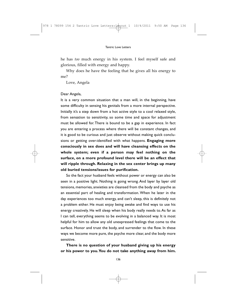he has *too* much energy in his system. I feel myself safe and glorious, filled with energy and happy.

Why does he have the feeling that he gives all his energy to me?

Love, Angela

#### Dear Angela,

It is a very common situation that a man will, in the beginning, have some difficulty in sensing his genitals from a more internal perspective. Initially it's a step down from a hot active style to a cool relaxed style, from sensation to sensitivity, so some time and space for adjustment must be allowed for. There is bound to be a gap in experience. In fact you are entering a process where there will be constant changes, and it is good to be curious and just observe without making quick conclusions or getting over-identified with what happens. **Engaging more consciously in sex does and will have cleansing effects on the whole system; even if a person may feel nothing on the surface, on a more profound level there will be an effect that will ripple through. Relaxing in the sex center brings up many old buried tensions/issues for purification.**

So the fact your husband feels without power or energy can also be seen in a positive light. Nothing is going wrong. And layer by layer old tensions, memories, anxieties are cleansed from the body and psyche as an essential part of healing and transformation. When he later in the day experiences too much energy, and can't sleep, this is definitely not a problem either. He must enjoy being awake and find ways to use his energy creatively. He will sleep when his body really needs to. As far as I can tell, everything seems to be evolving in a balanced way. It is most helpful for him to allow any old unexpressed feelings that come to the surface. Honor and trust the body, and surrender to the flow. In these ways we become more pure, the psyche more clear, and the body more sensitive.

# **There is no question of your husband giving up his energy or his power to you. You do not take anything away from him.**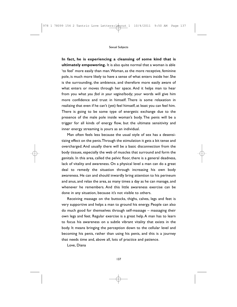**In fact, he is experiencing a cleansing of some kind that is ultimately empowering.** It is also quite normal that a woman is able 'to feel' more easily than man. Woman, as the more receptive, feminine pole, is much more likely to have a sense of what enters inside her. She is the surrounding, the ambience, and therefore more easily aware of what enters or moves through her space. And it helps man to hear from you what *you feel in your vagina*/body; your words will give him more confidence and trust in himself. There is some relaxation in realizing that even if he can't (yet) feel himself, at least you can feel him. There is going to be some type of energetic exchange due to the presence of the male pole inside woman's body. The penis will be a trigger for all kinds of energy flow, but the ultimate sensitivity and inner energy streaming is yours as an individual.

Man often feels less because the usual style of sex has a desensitizing effect on the penis. Through the stimulation it gets a bit tense and overcharged. And usually there will be a basic disconnection from the body tissues, especially the web of muscles that surround and form the genitals. In this area, called the pelvic floor, there is a general deadness, lack of vitality and awareness. On a physical level a man can do a great deal to remedy the situation through increasing his own body awareness. He can and should inwardly bring attention to his perineum and anus, and relax the area, as many times a day as he can manage, and whenever he remembers. And this little awareness exercise can be done in any situation, because it's not visible to others.

Receiving massage on the buttocks, thighs, calves, legs and feet is very supportive and helps a man to ground his energy. People can also do much good for themselves through self-massage – massaging their own legs and feet. Regular exercise is a great help. A man has to learn to focus his awareness on a subtle vibrant vitality that exists in the body. It means bringing the perception down to the cellular level and becoming his penis, rather than using his penis, and this is a journey that needs time and, above all, lots of practice and patience.

Love, Diana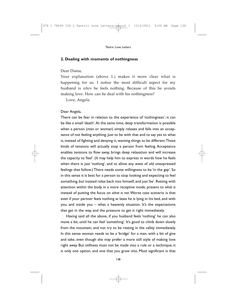# **2. Dealing with moments of nothingness**

Dear Diana,

Your explanation (above 1.) makes it more clear what is happening for us. I notice the most difficult aspect for my husband is *when* he feels nothing. Because of this he avoids making love. How can he deal with his nothingness?

Love, Angela

#### Dear Angela,

There can be fear in relation to the experience of 'nothingness'; it can be like a small 'death'. At the same time, deep transformation is possible when a person (man or woman) simply relaxes and falls into an acceptance of not feeling anything. Just to be with that and to say yes to what is, instead of fighting and denying it, wanting things to be different. These kinds of tensions will actually stop a person from feeling. Acceptance enables tensions to flow away, brings deep relaxation and will increase the capacity to 'feel'. (It may help him to express in words how he feels when there is just 'nothing', and to allow any wave of old unexpressed feelings that follow.) There needs some willingness to be 'in the gap'. So in this sense it is best for a person to stop looking and expecting to feel something, but instead relax back into himself, and just 'be'. Resting with attention within the body in a more receptive mode, present to *what is* instead of putting the focus on *what is not*. Worse case scenario is that even if your partner feels nothing at least he is lying in his bed, and with you, and inside you – what a heavenly situation. It's the expectations that get in the way, and the pressure to get it right immediately.

Having said all the above, if you husband feels 'nothing' he can also move a bit, until he can feel 'something'. It's good to climb down slowly from the mountain, and not try to be resting in the valley immediately. In this sense woman needs to be a 'bridge' for a man, with a bit of give and take, even though she may prefer a more still style of making love right away. But stillness must not be made into a rule or a technique; it is only one option, and one that you grow into. Most significant is that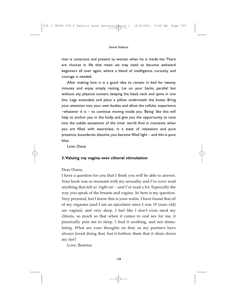man is conscious and present to woman when he is inside her. There are choices in life that mean we may need to become awkward beginners all over again, where a blend of intelligence, curiosity and courage is needed.

After making love it is a good idea to remain in bed for twenty minutes and enjoy simply resting. Lie on your backs, parallel but without any physical contact, keeping the head, neck and spine in one line. Legs extended, and place a pillow underneath the knees. Bring your attention into your own bodies and allow the cellular experience  $-$ whatever it is  $-$  to continue moving inside you. 'Being' like this will help to anchor you in the body, and give you the opportunity to tune into the subtle sensations of the inner world. And in moments when you are filled with awareness, in a state of relaxation and pure presence, boundaries dissolve, you become filled light – and this is pure bliss.

Love, Diana

# **3. Valuing my vagina over clitoral stimulation**

# Dear Diana,

I have a question for you that I think you will be able to answer. Your book was so resonant with my sexuality and I've *never* read anything that felt so 'right on' – and I've read a lot. Especially the way you speak of the breasts and vagina. So here is my question. Very personal, but I know this is your realm. I have found that *all* of my orgasms (and I am an ejaculator since I was 19 years old) are vaginal, and very deep. I feel like I don't even need my clitoris, so much so that when it comes to oral sex for me, it practically puts me to sleep. I find it soothing, and not stimulating. What are your thoughts on that, as my partners have always loved doing that, but it bothers them that it shuts down my fire?

Love, Beatrice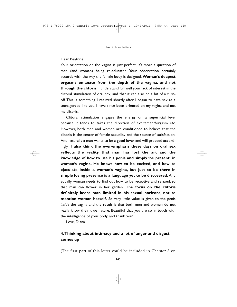Dear Beatrice,

Your orientation on the vagina is just perfect. It's more a question of man (and woman) being re-educated. Your observation certainly accords with the way the female body is designed. **Woman's deepest orgasms emanate from the depth of the vagina, and not through the clitoris.** I understand full well your lack of interest in the clitoral stimulation of oral sex, and that it can also be a bit of a turnoff. This is something I realized shortly after I began to have sex as a teenager; so like you, I have since been oriented on my vagina and not my clitoris.

Clitoral stimulation engages the energy on a superficial level because it tends to takes the direction of excitement/orgasm etc. However, both men and women are conditioned to believe that the clitoris is the center of female sexuality and the source of satisfaction. And naturally a man wants to be a good lover and will proceed accordingly. **I also think the over-emphasis these days on oral sex reflects the reality that man has lost the art and the knowledge of how to use his penis and simply 'be present' in woman's vagina. He knows how to be excited, and how to ejaculate inside a woman's vagina, but just to be there in simple loving presence is a language yet to be discovered.** And equally woman needs to find out how to be receptive and relaxed, so that man can flower in her garden. **The focus on the clitoris definitely keeps man limited in his sexual horizons, not to mention woman herself.** So very little value is given to the penis *inside* the vagina and the result is that both men and women do not really know their true nature. Beautiful that you are so in touch with the intelligence of your body, and thank you!

Love, Diana

# **4. Thinking about intimacy and a lot of anger and disgust comes up**

(The first part of this letter could be included in Chapter 3 on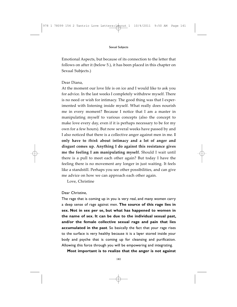Emotional Aspects, but because of its connection to the letter that follows on after it (below 5.), it has been placed in this chapter on Sexual Subjects.)

# Dear Diana,

At the moment our love life is on ice and I would like to ask you for advice. In the last weeks I completely withdrew myself. There is no need or wish for intimacy. The good thing was that I experimented with listening inside myself. What really does nourish me in every moment? Because I notice that I am a master in manipulating myself to various concepts (also the concept to make love every day, even if it is perhaps necessary to be for my own for a few hours). But now several weeks have passed by and I also noticed that there is a collective anger against men in me. **I only have to** *think* **about intimacy and a lot of anger and disgust comes up. Anything I do against this resistance gives me the feeling I am manipulating myself.** Should I wait until there is a pull to meet each other again? But today I have the feeling there is no movement any longer in just waiting. It feels like a standstill. Perhaps you see other possibilities, and can give me advice on how we can approach each other again.

Love, Christine

# Dear Christine,

The rage that is coming up in you is very real, and many women carry a deep sense of rage against men. **The source of this rage lies in sex. Not in sex per se, but what has happened to women in the name of sex. It can be due to the individual sexual past, and/or the female collective sexual rage and pain that lies accumulated in the past**. So basically the fact that your rage rises to the surface is very healthy because it is a layer stored inside your body and psyche that is coming up for cleansing and purification. Allowing this force through you will be empowering and integrating.

**Most important is to realize that the anger is not against**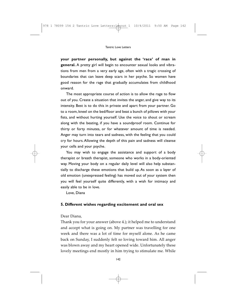**your partner personally, but against the 'race' of man in general.** A pretty girl will begin to encounter sexual looks and vibrations from men from a very early age, often with a tragic crossing of boundaries that can leave deep scars in her psyche. So women have good reason for the rage that gradually accumulates from childhood onward.

The most appropriate course of action is to allow the rage to flow out of you. Create a situation that invites the anger, and give way to its intensity. Best is to do this in private and apart from your partner. Go to a room, kneel on the bed/floor and beat a bunch of pillows with your fists, and without hurting yourself. Use the voice to shout or scream along with the beating, if you have a soundproof room. Continue for thirty or forty minutes, or for whatever amount of time is needed. Anger may turn into tears and sadness, with the feeling that you could cry for hours. Allowing the depth of this pain and sadness will cleanse your cells and your psyche.

You may wish to engage the assistance and support of a body therapist or breath therapist, someone who works in a body-oriented way. Moving your body on a regular daily level will also help substantially to discharge these emotions that build up. As soon as a layer of old emotion (unexpressed feeling) has moved out of your system then you will feel yourself quite differently, with a wish for intimacy and easily able to be in love.

Love, Diana

#### **5. Different wishes regarding excitement and oral sex**

#### Dear Diana,

Thank you for your answer (above 4.); it helped me to understand and accept what is going on. My partner was travelling for one week and there was a lot of time for myself alone. As he came back on Sunday, I suddenly felt so loving toward him. All anger was blown away and my heart opened wide. Unfortunately these lovely meetings end mostly in him trying to stimulate me. While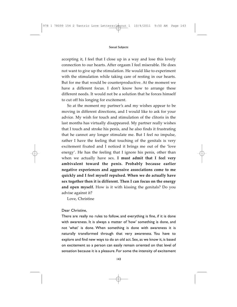accepting it, I feel that I close up in a way and lose this lovely connection to our hearts. After orgasm I feel miserable. He does not want to give up the stimulation. He would like to experiment with the stimulation while taking care of resting in our hearts. But for me that would be counterproductive. At the moment we have a different focus. I don't know how to arrange these different needs. It would not be a solution that he forces himself to cut off his longing for excitement.

So at the moment my partner's and my wishes appear to be moving in different directions, and I would like to ask for your advice. My wish for touch and stimulation of the clitoris in the last months has virtually disappeared. My partner really wishes that I touch and stroke his penis, and he also finds it frustrating that he cannot any longer stimulate me. But I feel no impulse, rather I have the feeling that touching of the genitals is very excitement fixated and I noticed it brings me out of the 'love energy'. He has the feeling that I ignore his penis, other than when we actually have sex. **I must admit that I feel very ambivalent toward the penis. Probably because earlier negative experiences and aggressive associations come to me quickly and I feel myself repulsed. When we do actually have sex together then it is different. Then I can focus on the energy and open myself.** How is it with kissing the genitals? Do you advise against it?

Love, Christine

# Dear Christine,

There are really no rules to follow, and everything is fine, if it is done with awareness. It is always a matter of 'how' something is done, and not 'what' is done. When something is done with awareness it is naturally transformed through that very awareness. You have to explore and find new ways to do an old act. Sex, as we know it, is based on excitement so a person can easily remain oriented on that level of sensation because it is a pleasure. For some the intensity of excitement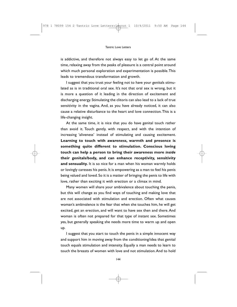is addictive, and therefore not always easy to let go of. At the same time, relaxing away from the peaks of pleasure is a central point around which much personal exploration and experimentation is possible. This leads to tremendous transformation and growth.

I suggest that you trust your feeling not to have your genitals stimulated as is in traditional oral sex. It's not that oral sex is wrong, but it is more a question of it leading in the direction of excitement and discharging energy. Stimulating the clitoris can also lead to a lack of true sensitivity in the vagina. And, as you have already noticed, it can also cause a relative disturbance to the heart and love connection. This is a life-changing insight.

At the same time, it is nice that you do have genital touch rather than avoid it. Touch gently, with respect, and with the intention of increasing 'aliveness' instead of stimulating and causing excitement. **Learning to touch with awareness, warmth and presence is something quite different to stimulation. Conscious loving touch can help a person to bring their awareness more** *inside* **their genitals/body, and can enhance receptivity, sensitivity and sensuality.** It is so nice for a man when his woman warmly holds or lovingly caresses his penis. It is empowering as a man to feel his penis being valued and loved. So it is a matter of bringing the penis to life with love, rather than exciting it with erection or a climax in mind.

Many women will share your ambivalence about touching the penis, but this will change as you find ways of touching and making love that are not associated with stimulation and erection. Often what causes woman's ambivalence is the fear that when she touches him, he will get excited, get an erection, and will want to have sex then and there. And woman is often not prepared for that type of instant sex. Sometimes yes, but generally speaking she needs more time to warm up and open up.

I suggest that you start to touch the penis in a simple innocent way and support him in moving away from the conditioning/idea that genital touch equals stimulation and intensity. Equally a man needs to learn to touch the breasts of women with love and not stimulation. And to hold

144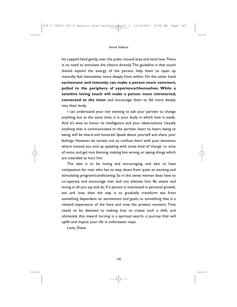his cupped hand gently over the pubic mound area and send love. There is no need to stimulate the clitoris directly. The guideline is that touch should *expand* the energy of the person, help them to open up inwardly, feel themselves more deeply from within. On the other hand **excitement and intensity can make a person more extrovert, pulled to the periphery of experience/themselves. While a sensitive loving touch will make a person more introverted, connected to the inner** and encourage them to fall more deeply into their body.

I can understand your not wanting to ask your partner to change anything; but at the same time, it is your body in which love is made. And it's wise to honor its intelligence and your observations. Usually anything that is communicated to the partner, heart to heart, being to being, will be heard and honored. Speak about yourself and share your feelings. However be certain not to confuse them with your emotions where instead you end up speaking with some kind of 'charge' or tone of voice, and get into blaming, making him wrong, or saying things which are intended to hurt him.

The idea is to be loving and encouraging, and also to have compassion for man who has to step down from quite an exciting and stimulating program/conditioning. So in this sense woman does have to co-operate and encourage man and not alienate him. Be aware and loving in all you say and do. If a person is interested in personal growth, sex and love, then the way is to gradually transform sex from something dependent on excitement and goals, to something that is a relaxed experience of the here and now, the present moment. Time needs to be devoted to making love to create such a shift, and ultimately this inward turning is a spiritual search, a journey that will uplift and inspire your life in unforeseen ways.

Love, Diana

145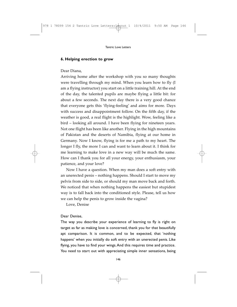# **6. Helping erection to grow**

#### Dear Diana,

Arriving home after the workshop with you so many thoughts were travelling through my mind. When you learn how to fly (I am a flying instructor) you start on a little training hill. At the end of the day, the talented pupils are maybe flying a little bit: for about a few seconds. The next day there is a very good chance that everyone gets this 'flying-feeling' and aims for more. Days with success and disappointment follow. On the fifth day, if the weather is good, a real flight is the highlight. Wow, feeling like a bird – looking all around. I have been flying for nineteen years. Not one flight has been like another. Flying in the high mountains of Pakistan and the deserts of Namibia, flying at our home in Germany. Now I know, flying is for me a path to my heart. The longer I fly, the more I can and want to learn about it. I think for me learning to make love in a new way will be much the same. How can I thank you for all your energy, your enthusiasm, your patience, and your love?

Now I have a question. When my man does a soft entry with an unerected penis – nothing happens. Should I start to move my pelvis from side to side, or should my man move back and forth. We noticed that when nothing happens the easiest but stupidest way is to fall back into the conditioned style. Please, tell us how we can help the penis to grow inside the vagina?

Love, Denise

#### Dear Denise,

The way you describe your experience of learning to fly is right on target as far as making love is concerned, thank you for that beautifully apt comparison. It is common, and to be expected, that 'nothing happens' when you initially do soft entry with an unerected penis. Like flying, you have to find your wings. And this requires time and practice. You need to start out with appreciating simple inner sensations, being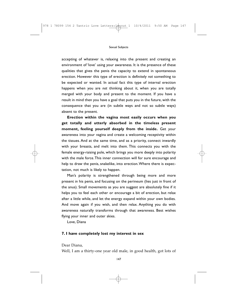accepting of whatever is, relaxing into the present and creating an environment of 'love' using your awareness. It is the presence of these qualities that gives the penis the capacity to extend in spontaneous erection. However this type of erection is definitely *not* something to be expected or wanted. In actual fact this type of internal erection happens when you are *not* thinking about it, when you are totally merged with your body and present to the moment. If you have a result in mind then you have a goal that puts you in the future, with the consequence that you are (in subtle ways and not so subtle ways) absent to the present.

**Erection within the vagina most easily occurs when you get totally and utterly absorbed in the timeless present moment, feeling yourself deeply from the inside.** Get your awareness into your vagina and create a welcoming receptivity within the tissues. And at the same time, and as a priority, connect inwardly with your breasts, and melt into them. This connects you with the female energy-raising pole, which brings you more deeply into polarity with the male force. This inner connection will for sure encourage and help to draw the penis, snakelike, into erection. Where there is expectation, not much is likely to happen.

Man's polarity is strengthened through being more and more present *in* his penis, and focusing on the perineum (lies just in front of the anus). Small movements as you are suggest are absolutely fine if it helps you to feel each other or encourage a bit of erection, but relax after a little while, and let the energy expand within your own bodies. And move again if you wish, and then relax. Anything you do with awareness naturally transforms through that awareness. Best wishes flying your inner and outer skies.

Love, Diana

# **7. I have completely lost my interest in sex**

#### Dear Diana,

Well, I am a thirty-one year old male, in good health, got lots of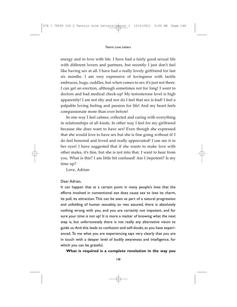energy and in love with life. I have had a fairly good sexual life with different lovers and partners, but recently I just don't feel like having sex at all. I have had a really lovely girlfriend for last six months. I am very expressive of lovingness with tactile embraces, hugs, cuddles, but when comes to sex it's just not there. I can get an erection, although sometimes not for long! I went to doctors and had medical check-up! My testosterone level is high apparently! I am not shy and nor do I feel that sex is bad! I feel a palpable loving feeling and passion for life! And my heart feels compassionate more than ever before!

In one way I feel calmer, collected and caring with everything in relationships of all kinds. In other way I feel for my girlfriend because she does want to have sex! Even though she expressed that she would love to have sex but she is fine going without it! I do feel honored and loved and really appreciated! I can see it in her eyes! I have suggested that if she wants to make love with other males, it's fine, but she is not into that. I want to hear from you. What is this? I am little bit confused! Am I impotent? Is my time up?

Love, Adrian

# Dear Adrian,

It can happen that at a certain point in many people's lives that the efforts involved in conventional sex does cause sex to lose its charm, its pull, its attraction. This can be seen as part of a natural progression and unfolding of human sexuality, so rest assured, there is absolutely nothing wrong with you, and you are certainly not impotent, and for sure your time is not up! It is more a matter of knowing what the next step is, but unfortunately there is not really any alternative vision to guide us. And this leads to confusion and self-doubt, as you have experienced. To me what you are experiencing says very clearly that you are in touch with a deeper level of bodily awareness and intelligence, for which you can be grateful.

**What is required is a complete revolution in the way you**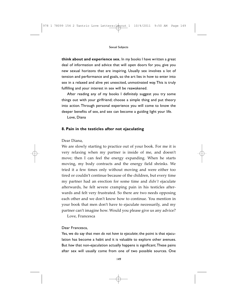**think about and experience sex.** In my books I have written a great deal of information and advice that will open doors for you, give you new sexual horizons that are inspiring. Usually sex involves a lot of tension and performance and goals, so the art lies in how to enter into sex in a relaxed and alive yet unexcited, unmotivated way. This is truly fulfilling and your interest in sex will be reawakened.

After reading any of my books I definitely suggest you try some things out with your girlfriend; choose a simple thing and put theory into action. Through personal experience you will come to know the deeper benefits of sex, and sex can become a guiding light your life.

Love, Diana

# **8. Pain in the testicles after not ejaculating**

#### Dear Diana,

We are slowly starting to practice out of your book. For me it is very relaxing when my partner is inside of me, and doesn't move; then I can feel the energy expanding. When he starts moving, my body contracts and the energy field shrinks. We tried it a few times only without moving and were either too tired or couldn't continue because of the children, but every time my partner had an erection for some time and *didn't* ejaculate afterwards, he felt severe cramping pain in his testicles afterwards and felt very frustrated. So there are two needs opposing each other and we don't know how to continue. You mention in your book that men don't have to ejaculate necessarily, and my partner can't imagine how. Would you please give us any advice?

Love, Francesca

#### Dear Francesca,

Yes, we do say that men *do not have to ejaculate*; the point is that ejaculation has become a habit and it is valuable to explore other avenues. But *how* that non-ejaculation actually happens is significant. These pains after sex will usually come from one of two possible sources. One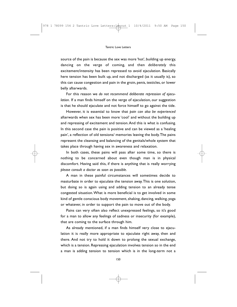source of the pain is because the sex was more 'hot', building up energy, dancing on the verge of coming, and then *deliberately* this excitement/intensity has been repressed to avoid ejaculation. Basically here tension has been built up, and not discharged (as it usually is), so this can cause congestion and pain in the groin, penis, testicles, or lower belly afterwards.

For this reason we *do not recommend deliberate repression of ejaculation*. If a man finds himself on the verge of ejaculation, our suggestion is that he should ejaculate and not force himself to go against the tide.

However, it is essential to know that *pain can also be experienced* afterwards when sex has been more 'cool' and without the building up and repressing of excitement and tension. And this is what is confusing. In this second case the pain is positive and can be viewed as a 'healing pain', a reflection of old tensions/ memories leaving the body. The pains represent the cleansing and balancing of the genitals/whole system that takes place through having sex in awareness and relaxation.

In both cases, these pains will pass after some time, so there is nothing to be concerned about even though man is in physical discomfort. Having said this, if there is anything that is really worrying *please consult a doctor as soon as possible*.

A man in these painful circumstances will sometimes decide to masturbate in order to ejaculate the tension away. This is one solution, but doing so is again using and adding tension to an already tense congested situation. What is more beneficial is to get involved in some kind of gentle conscious body movement, shaking, dancing, walking, yoga or whatever, in order to support the pain to move out of the body.

Pains can very often also reflect unexpressed feelings, so it's good for a man to allow any feelings of sadness or insecurity (for example), that are coming to the surface through him.

As already mentioned, if a man finds himself very close to ejaculation it is really more appropriate to ejaculate right away, then and there. And not try to hold it down to prolong the sexual exchange, which is a tension. Repressing ejaculation involves tension so in the end a man is adding tension to tension which is in the long-term not a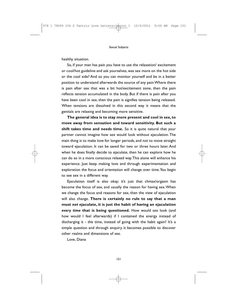healthy situation.

So, if your man has pain you have to use the relaxation/ excitement or cool/hot guideline and ask yourselves, was sex more on the hot side or the cool side? And so you can monitor yourself and be in a better position to understand afterwards the source of any pain: Where there is pain after sex that was a bit hot/excitement zone, then the pain reflects tension accumulated in the body. But if there is pain after you have been cool in sex, then the pain is signifies tension being released. When tensions are dissolved in this second way it means that the genitals are relaxing and becoming more sensitive.

**The general idea is to stay more present and cool in sex, to move away from sensation and toward sensitivity. But such a shift takes time and needs time.** So it is quite natural that your partner cannot imagine how sex would look without ejaculation. The main thing is to make love for longer periods, and not to move straight toward ejaculation. It can be saved for two or three hours later. And when he does finally decide to ejaculate, then he can explore how he can do so in a more conscious relaxed way. This alone will enhance his experience. Just keep making love and through experimentation and exploration the focus and orientation will change over time. You begin to see sex in a different way.

Ejaculation itself is also okay; it's just that climax/orgasm has become the focus of sex, and usually the reason for having sex. When we change the focus and reasons for sex, then the view of ejaculation will also change. **There is certainly no rule to say that a man must** *not* **ejaculate, it is just the habit of having an ejaculation** *every time* **that is being questioned.** How would sex look (and how would I feel afterwards) if I contained the energy instead of discharging it - *this* time, instead of going with the habit again? It's a simple question and through enquiry it becomes possible to discover other realms and dimensions of sex.

Love, Diana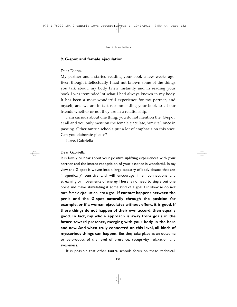# **9. G-spot and female ejaculation**

#### Dear Diana,

My partner and I started reading your book a few weeks ago. Even though intellectually I had not known some of the things you talk about, my body knew instantly and in reading your book I was 'reminded' of what I had always known in my body. It has been a most wonderful experience for my partner, and myself, and we are in fact recommending your book to all our friends whether or not they are in a relationship.

I am curious about one thing: you do not mention the 'G-spot' at all and you only mention the female ejaculate, 'amrita', once in passing. Other tantric schools put a lot of emphasis on this spot. Can you elaborate please?

Love, Gabriella

#### Dear Gabriella,

It is lovely to hear about your positive uplifting experiences with your partner, and the instant recognition of your essence is wonderful. In my view the G-spot is woven into a large tapestry of body tissues that are 'magnetically' sensitive and will encourage inner connections and streaming or movements of energy. There is no need to single out one point and make stimulating it some kind of a goal. Or likewise do not turn female ejaculation into a goal. **If contact happens between the penis and the G-spot naturally through the position for example, or if a woman ejaculates without effort, it is good. If these things do not happen of their own accord, then equally good. In fact, my whole approach is away from goals in the future toward presence, merging with your body in the here and now. And when truly connected on this level, all kinds of mysterious things can happen.** But they take place as an outcome or by-product of the level of presence, receptivity, relaxation and awareness.

It is possible that other tantra schools focus on these 'technical'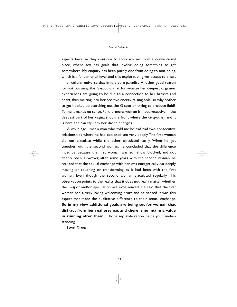aspects because they continue to approach sex from a conventional place, where sex has goals that involve doing something to get somewhere. My enquiry has been purely one from doing to non-doing, which is a fundamental level, and this exploration gives access to a vast inner cellular universe that in it is pure paradise. Another good reason for not pursuing the G-spot is that for woman her deepest orgasmic experiences are going to be due to a connection to her breasts and heart, thus melting into her positive energy raising pole, so why bother to get hooked up searching out the G-spot or trying to produce fluid? To me it makes no sense. Furthermore, woman is most receptive in the deepest part of her vagina (not the front where the G-spot is), and it is here she can tap into her divine energies.

A while ago I met a man who told me he had had two consecutive relationships where he had explored sex very deeply. The first woman did not ejaculate while the other ejaculated easily. When he got together with the second woman, he concluded that the difference must be because the first woman was somehow blocked, and not deeply open. However, after some years with the second woman, he realized that the sexual exchange with her was energetically *not* deeply moving or touching or transforming as it had been with the first woman. Even though the second woman ejaculated regularly. This observation points to the reality that it does not really matter whether the G-spot and/or ejaculation are experienced. He said that the first woman had a very loving welcoming heart and he sensed it was this aspect that made the qualitative difference to their sexual exchange. **So in my view additional goals are being set for woman that distract from her real essence, and there is no intrinsic value in running after them.** I hope my elaboration helps your understanding.

Love, Diana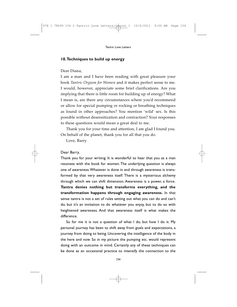# **10. Techniques to build up energy**

#### Dear Diana,

I am a man and I have been reading with great pleasure your book *Tantric Orgasm for Women* and it makes perfect sense to me. I would, however, appreciate some brief clarifications. Are you implying that there is little room for building up of energy? What I mean is, are there any circumstances where you'd recommend or allow for special pumping or rocking or breathing techniques as found in other approaches? You mention 'wild' sex. Is this possible without desensitization and contraction? Your responses to these questions would mean a great deal to me.

Thank you for your time and attention, I am glad I found you. On behalf of the planet, thank you for all that you do.

Love, Barry

#### Dear Barry,

Thank you for your writing. It is wonderful to hear that you as a man resonate with the book for women. The underlying question is always one of awareness. Whatever is done in and through awareness is transformed by that very awareness itself. There is a mysterious alchemy through which we can shift dimension. Awareness is a power, a force. **Tantra denies nothing but transforms everything, and the transformation happens through engaging awareness.** In that sense tantra is not a set of rules setting out what you can do and can't do, but it's an invitation to do whatever you enjoy, but to do so with heightened awareness. And that awareness itself is what makes the difference.

So for me it is not a question of what I do, but how I do it. My personal journey has been to shift away from goals and expectations, a journey from doing to being. Uncovering the intelligence of the body in the here and now. So in my picture the pumping etc. would represent doing with an outcome in mind. Certainly any of these techniques can be done as an occasional practice to intensify the connection to the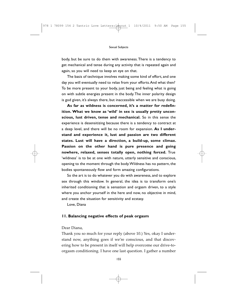body, but be sure to do them with awareness. There is a tendency to get mechanical and tense during any activity that is repeated again and again, so you will need to keep an eye on that.

The basis of technique involves making some kind of effort, and one day you will eventually need to relax from your efforts. And what then? To be more present to your body, just being and feeling what is going on with subtle energies present in the body. The inner polarity design is god given, it's always there, but inaccessible when we are busy doing.

**As far as wildness is concerned, it's a matter for redefinition. What we know as 'wild' in sex is usually pretty unconscious, lust driven, tense and mechanical.** So in this sense the experience is desensitizing because there is a tendency to contract at a deep level, and there will be no room for expansion. **As I understand and experience it, lust and passion are two different states. Lust will have a direction, a build-up, some climax. Passion on the other hand is pure presence and going nowhere, relaxed, senses totally open, nothing forced.** True 'wildness' is to be at one with nature, utterly sensitive and conscious, opening to the moment through the body. Wildness has no pattern, the bodies spontaneously flow and form amazing configurations.

So the art is to do whatever you do with awareness, and to explore sex through this window. In general, the idea is to transform one's inherited conditioning that is sensation and orgasm driven, to a style where you anchor yourself in the here and now, no objective in mind, and create the situation for sensitivity and ecstasy.

Love, Diana

#### **11. Balancing negative effects of peak orgasm**

#### Dear Diana,

Thank you so much for your reply (above 10.) Yes, okay I understand now, anything goes if we're conscious, and that discovering how to be present in itself will help overcome our drive-toorgasm conditioning. I have one last question. I gather a number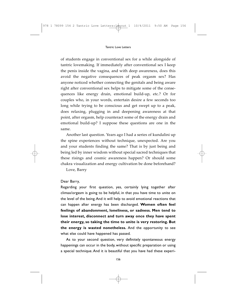of students engage in conventional sex for a while alongside of tantric lovemaking. If immediately after conventional sex I keep the penis inside the vagina, and with deep awareness, does this avoid the negative consequences of peak orgasm sex? Has anyone noticed whether connecting the genitals and being aware right after conventional sex helps to mitigate some of the consequences like energy drain, emotional build-up, etc.? Or for couples who, in your words, entertain desire a few seconds too long while trying to be conscious and get swept up to a peak, does relaxing, plugging in and deepening awareness at that point, after orgasm, help counteract some of the energy drain and emotional build-up? I suppose these questions are one in the same.

Another last question. Years ago I had a series of kundalini up the spine experiences without technique, unexpected. Are you and your students finding the same? That is by just being and being led by inner wisdom without special sacred techniques that these risings and cosmic awareness happen? Or should some chakra visualization and energy cultivation be done beforehand?

Love, Barry

# Dear Barry,

Regarding your first question, yes, certainly lying together after climax/orgasm is going to be helpful, in that you have time to unite on the level of the being. And it will help to avoid emotional reactions that can happen after energy has been discharged. **Women often feel feelings of abandonment, loneliness, or sadness. Men tend to lose interest, disconnect and turn away once they have spent their energy, so taking the time to unite is very restoring. But the energy is wasted nonetheless.** And the opportunity to see what else could have happened has passed.

As to your second question, very definitely spontaneous energy happenings can occur in the body, without specific preparation or using a special technique. And it is beautiful that you have had these experi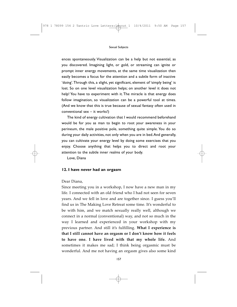ences spontaneously. Visualization can be a help but not essential, as you discovered. Imagining light, or gold, or streaming can ignite or prompt inner energy movements, at the same time visualization then easily becomes a focus for the attention and a subtle form of inactive 'doing'. Through this, a slight, yet significant, element of 'simply being' is lost. So on one level visualization helps; on another level it does not help! You have to experiment with it. The miracle is that energy does follow imagination, so visualization can be a powerful tool at times. (And we know that this is true because of sexual fantasy often used in conventional  $sex - it$  works!)

The kind of energy cultivation that I would recommend beforehand would be for you as man to begin to root your awareness in your perineum, the male positive pole, something quite simple. You do so during your daily activities, not only when you are in bed. And generally, you can cultivate your energy level by doing some exercises that you enjoy. Choose anything that helps you to direct and root your attention to the subtle inner realms of your body.

Love, Diana

# **12. I have never had an orgasm**

#### Dear Diana,

Since meeting you in a workshop, I now have a new man in my life. I connected with an old friend who I had not seen for seven years. And we fell in love and are together since. I guess you'll find us in The Making Love Retreat some time. It's wonderful to be with him, and we match sexually really well, although we connect in a normal (conventional) way, and not so much in the way I learned and experienced in your workshop with my previous partner. And still it's fulfilling. **What I experience is that I still cannot have an orgasm or I don't know how it feels to have one. I have lived with that my whole life.** And sometimes it makes me sad; I think being orgasmic must be wonderful. And me not having an orgasm gives also some kind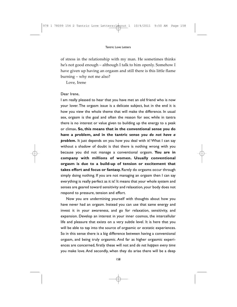of stress in the relationship with my man. He sometimes thinks he's not good enough – although I talk to him openly. Somehow I have given up having an orgasm and still there is this little flame burning – why not me also?

Love, Irene

#### Dear Irene,

I am really pleased to hear that you have met an old friend who is now your lover. The orgasm issue is a delicate subject, but in the end it is how you view the whole theme that will make the difference. In usual sex, orgasm is the goal and often the reason for sex; while in tantra there is no interest or value given to building up the energy to a peak or climax**. So, this means that in the conventional sense you do have a problem, and in the tantric sense** *you do not have a problem.* It just depends on you how you deal with it! What I can say without a shadow of doubt is that there is nothing wrong with you because you did not manage a conventional orgasm. **You are in company with millions of women. Usually conventional orgasm is due to a build-up of tension or excitement that takes effort and focus or fantasy.** Rarely do orgasms occur through simply doing nothing. If you are not managing an orgasm then I can say everything is really perfect as it is! It means that your whole system and senses are geared toward sensitivity and relaxation, your body does not respond to pressure, tension and effort.

Now you are undermining yourself with thoughts about how you have never had an orgasm. Instead you can use that same energy and invest it in your awareness, and go for relaxation, sensitivity, and expansion. Develop an interest in your inner cosmos, the intercellular life and pleasure that exists on a very subtle level. It is here that you will be able to tap into the source of orgasmic or ecstatic experiences. So in this sense there is a big difference between having a conventional orgasm, and being truly orgasmic. And far as higher orgasmic experiences are concerned, firstly these will not and *do not happen every time* you make love. And secondly, when they do arise there will be a deep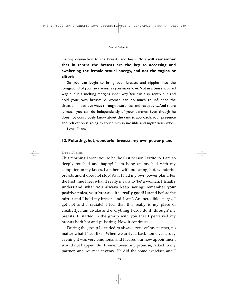melting connection to the breasts and heart. **You will remember that in tantra the breasts are the key to accessing and awakening the female sexual energy, and not the vagina or clitoris.** 

So you can begin to bring your breasts and nipples into the foreground of your awareness as you make love. Not in a tense focused way, but in a melting merging inner way. You can also gently cup and hold your own breasts. A woman can do much to influence the situation in positive ways through awareness and receptivity. And there is much you can do independently of your partner. Even though he does not consciously know about the tantric approach, your presence and relaxation is going to touch him in invisible and mysterious ways.

Love, Diana

#### **13. Pulsating, hot, wonderful breasts, my own power plant**

Dear Diana,

This morning I want you to be the first person I write to. I am so deeply touched and happy! I am lying on my bed with my computer on my knees. I am here with pulsating, hot, wonderful breasts and it does not stop! As if I had my own power plant. For the first time I feel what it really means to 'be' a woman. **I finally understand what you always keep saying: remember your positive poles, your breasts - it is really good!** I stand before the mirror and I hold my breasts and I 'am'. An incredible energy, I get hot and I radiate! I feel that this really is my place of creativity. I am awake and everything I do, I do it 'through' my breasts. It started in the group with you that I perceived my breasts both hot and pulsating. Now it continues!

During the group I decided to always 'receive' my partner, no matter what I 'feel like'. When we arrived back home yesterday evening it was very emotional and I feared our new appointment would not happen. But I remembered my promise, talked to my partner, and we met anyway. He did the some exercises and I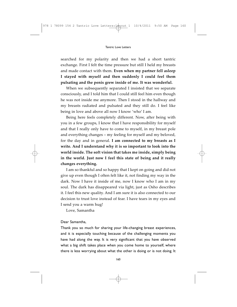searched for my polarity and then we had a short tantric exchange. First I felt the time pressure but still I held my breasts and made contact with them. **Even when my partner fell asleep I stayed with myself and then suddenly I could feel them pulsating and the penis grew inside of me. It was wonderful.** 

When we subsequently separated I insisted that we separate consciously, and I told him that I could still feel him even though he was not inside me anymore. Then I stood in the hallway and my breasts radiated and pulsated and they still do. I feel like being in love and above all now I know 'who' I am.

Being here feels completely different. Now, after being with you in a few groups, I know that I have responsibility for myself and that I really only have to come to myself, in my breast pole and everything changes – my feeling for myself and my beloved, for the day and in general. **I am connected to my breasts as I write. And I understand why it is so important to look into the world inside. The soft vision that takes me inside, simply being in the world. Just now I feel this state of being and it really changes everything.**

I am so thankful and so happy that I kept on going and did not give up even though I often felt like it, not finding my way in the dark. Now I have it inside of me, now I know who I am in my soul. The dark has disappeared via light, just as Osho describes it. I feel this new quality. And I am sure it is also connected to our decision to trust love instead of fear. I have tears in my eyes and I send you a warm hug!

Love, Samantha

# Dear Samantha,

Thank you so much for sharing your life-changing breast experiences, and it is especially touching because of the challenging moments you have had along the way. It is very significant that you have observed what a big shift takes place when you come home to yourself, where there is less worrying about what the other is doing or is not doing. It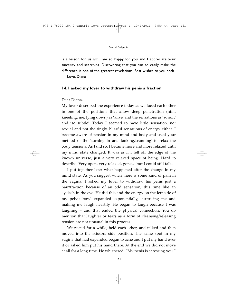is a lesson for us all! I am so happy for you and I appreciate your sincerity and searching. Discovering that you can so easily make the difference is one of the greatest revelations. Best wishes to you both.

Love, Diana

# **14. I asked my lover to withdraw his penis a fraction**

# Dear Diana,

My lover described the experience today as we faced each other in one of the positions that allow deep penetration (him, kneeling; me, lying down) as 'alive' and the sensations as 'so soft' and 'so subtle'. Today I seemed to have little sensation, not sexual and not the tingly, blissful sensations of energy either. I became aware of tension in my mind and body and used your method of the 'turning in and looking/scanning' to relax the body tensions. As I did so, I became more and more relaxed until my mind state changed. It was as if I fell off the edge of the known universe, just a very relaxed space of being. Hard to describe. Very open, very relaxed, gone… but I could still talk.

I put together later what happened after the change in my mind state. As you suggest when there is some kind of pain in the vagina, I asked my lover to withdraw his penis just a hair/fraction because of an odd sensation, this time like an eyelash in the eye. He did this and the energy on the left side of my pelvic bowl expanded exponentially, surprising me and making me laugh heartily. He began to laugh because I was laughing – and that ended the physical connection. You do mention that laughter or tears as a form of cleansing/releasing tension are not unusual in this process.

We rested for a while, held each other, and talked and then moved into the scissors side position. The same spot in my vagina that had expanded began to ache and I put my hand over it or asked him put his hand there. At the end we did not move at all for a long time. He whispered, "My penis is caressing you."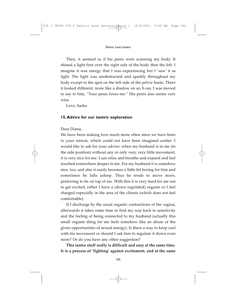Then, it seemed as if his penis were scanning my body. It shined a light first over the right side of the body then the left. I imagine it was energy that I was experiencing but I 'saw' it as light. The light was unobstructed and sparkly throughout my body except in the spot on the left side of the pelvic basin. There it looked different, more like a shadow on an X-ray. I was moved to say to him, "Your penis loves me." His penis also seems very wise.

Love, Sasha

# **15. Advice for our tantric exploration**

Dear Diana,

We have been making love much more often since we have been to your retreat, which could not have been imagined earlier. I would like to ask for your advice: when my husband is in me (in the side position) without any or only very, very little movement, it is very nice for me. I can relax and breathe and expand and feel touched somewhere deeper in me. For my husband it is somehow nice, too, and also it easily becomes a little bit boring for him and sometimes he falls asleep. Thus he tends to move more, preferring to lie on top of me. With this it is very hard for me not to get excited, either I have a (down regulated) orgasm or I feel charged especially in the area of the clitoris (which does not feel comfortable).

If I discharge by the usual orgastic contractions of the vagina, afterwards it takes some time to find my way back to sensitivity and the feeling of being connected to my husband (actually this small orgasm thing for me feels somehow like an abuse of the given opportunities of sexual energy). Is there a way to keep cool with his movement or should I ask him to regulate it down even more? Or do you have any other suggestion?

**This tantra stuff really is difficult and easy at the same time. It is a process of 'fighting' against excitement, and at the same**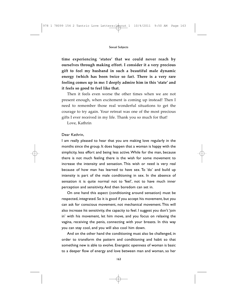**time experiencing 'states' that we could never reach by ourselves through making effort. I consider it a very precious gift to feel my husband in such a beautiful male dynamic energy (which has been twice so far). There is a very rare feeling comes up in me: I deeply admire him in this 'state' and it feels so good to feel like that.**

Then it feels even worse the other times when we are not present enough, when excitement is coming up instead! Then I need to remember those real wonderful situations to get the courage to try again. Your retreat was one of the most precious gifts I ever received in my life. Thank you so much for that!

Love, Kathrin

#### Dear Kathrin,

I am really pleased to hear that you are making love regularly in the months since the group. It does happen that a woman is happy with the simplicity, less effort and being less active. While for the man, because there is not much feeling there is the wish for some movement to increase the intensity and sensation. This wish or need is very real because of how man has learned to have sex. To 'do' and build up intensity is part of the male conditioning in sex. In the absence of sensation it is quite normal not to 'feel', not to have much inner perception and sensitivity. And then boredom can set in.

On one hand this aspect (conditioning around sensation) must be respected, integrated. So it is good if you accept his movement, but you can ask for conscious movement, not mechanical movement. This will also increase *his* sensitivity, the capacity to feel. I suggest you don't 'join in' with his movement, let him move, and you focus on relaxing the vagina, receiving the penis, connecting with your breasts. In this way you can stay cool, and you will also cool him down.

And on the other hand the conditioning must also be challenged, in order to transform the pattern and conditioning and habit so that something new is able to evolve. Energetic openness of woman is basic to a deeper flow of energy and love between man and woman, so her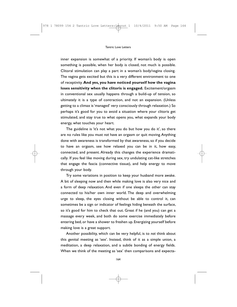inner expansion is somewhat of a priority. If woman's body is open something is possible, when her body is closed, not much is possible. Clitoral stimulation can play a part in a woman's body/vagina closing. The vagina gets excited but this is a very different environment to one of receptivity. **And yes, you have noticed yourself how the vagina loses sensitivity when the clitoris is engaged.** Excitement/orgasm in conventional sex usually happens through a build-up of tension, so ultimately it is a type of contraction, and not an expansion. (Unless getting to a climax is 'managed' very consciously through relaxation.) So perhaps it's good for you to avoid a situation where your clitoris get stimulated, and stay true to what opens you, what expands your body energy, what touches your heart.

The guideline is 'it's not what you do but how you do it', so there are no rules like you must *not* have an orgasm or quit moving. Anything done with awareness is transformed by that awareness, so if you decide to have an orgasm, see how relaxed you can be in it, how easy, connected, and present. Already this changes the experience dramatically. If you feel like moving during sex, try undulating cat-like stretches that engage the fascia (connective tissue), and help energy to move through your body.

Try some variations in position to keep your husband more awake. A bit of sleeping now and then while making love is also very nice and a form of deep relaxation. And even if one sleeps the other can stay connected to his/her own inner world. The deep and overwhelming urge to sleep, the eyes closing without be able to control it, can sometimes be a sign or indicator of feelings hiding beneath the surface, so it's good for him to check that out. Great if he (and you) can get a massage every week, and both do some exercise immediately before entering bed, or have a shower to freshen up. Energizing yourself before making love is a great support.

Another possibility, which can be very helpful, is to *not* think about this genital meeting as 'sex'. Instead, think of it as a simple union, a meditation, a deep relaxation, and a subtle bonding of energy fields. When we think of the meeting as 'sex' then comparisons and expecta-

164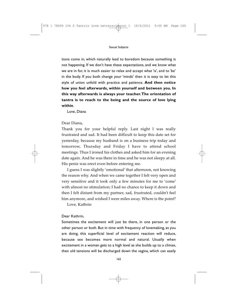tions come in, which naturally lead to boredom because something is not happening. If we don't have these expectations, and we know what we are in for, it is much easier to relax and accept what 'is', and to 'be' in the body. If you both change your 'minds' then it is easy to let this style of union unfold with practice and patience. **And then notice how you feel afterwards, within yourself and between you. In this way afterwards is always your teacher. The orientation of tantra is to reach to the being and the source of love lying within**.

Love, Diana

#### Dear Diana,

Thank you for your helpful reply. Last night I was really frustrated and sad. It had been difficult to keep this date set for yesterday, because my husband is on a business trip today and tomorrow, Thursday and Friday I have to attend school meetings. Thus I ironed his clothes and asked him for an evening date again. And he was there in time and he was not sleepy at all. His penis was erect even before entering me.

I guess I was slightly 'emotional' that afternoon, not knowing the reason why. And when we came together I felt very open and very sensitive and it took only a few minutes for me to 'come' with almost no stimulation; I had no chance to keep it down and then I felt distant from my partner, sad, frustrated, couldn't feel him anymore, and wished I were miles away. Where is the point?

Love, Kathrin

# Dear Kathrin,

Sometimes the excitement will just be there, in one person or the other person or both. But in time with frequency of lovemaking, as you are doing, this superficial level of excitement reaction will reduce, because sex becomes more normal and natural. Usually when excitement in a woman gets to a high level as she builds up to a climax, then old tensions will be discharged down the vagina, which can easily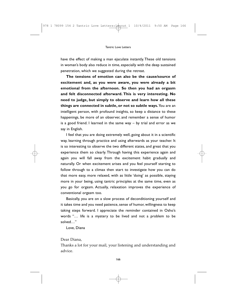have the effect of making a man ejaculate instantly. These old tensions in woman's body also reduce in time, especially with the deep sustained penetration, which we suggested during the retreat.

**The tensions of emotion can also be the cause/source of excitement and, as you were aware, you were already a bit emotional from the afternoon. So then you had an orgasm and felt disconnected afterward. This is very interesting. No need to judge, but simply to observe and learn how all these things are connected in subtle, or not so subtle ways.**You are an intelligent person, with profound insights, so keep a distance to these happenings, be more of an observer, and remember a sense of humor is a good friend. I learned in the same way – by trial and error as we say in English.

I feel that you are doing extremely well, going about it in a scientific way, learning through practice and using afterwards as your teacher. It is so interesting to observe the two different states, and great that you experience them so clearly. Through having this experience again and again you will fall away from the excitement habit gradually and naturally. Or when excitement arises and you feel yourself starting to follow through to a climax then start to investigate how you can do that more easy, more relaxed, with as little 'doing' as possible, staying more in your being, using tantric principles at the same time, even as you go for orgasm. Actually, relaxation improves the experience of conventional orgasm too.

Basically, you are on a slow process of deconditioning yourself and it takes time and you need patience, sense of humor, willingness to keep taking steps forward. I appreciate the reminder contained in Osho's words "… life is a mystery to be lived and not a problem to be solved…"

Love, Diana

#### Dear Diana,

Thanks a lot for your mail, your listening and understanding and advice.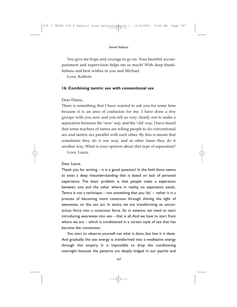You give me hope and courage to go on. Your heartful accompaniment and supervision helps me so much! With deep thankfulness and best wishes to you and Michael.

Love, Kathrin

# **16. Combining tantric sex with conventional sex**

# Dear Diana,

There is something that I have wanted to ask you for some time because it is an area of confusion for me. I have done a few groups with you now and you tell us very clearly not to make a separation between the 'new' way and the 'old' way. I have heard that some teachers of tantra are telling people to do conventional sex and tantric sex parallel with each other. By this is meant that sometimes they do it one way, and at other times they do it another way. What is your opinion about this type of separation?

Love, Laura

# Dear Laura,

Thank you for writing  $-$  it is a good question! In the field there seems to exist a deep misunderstanding that is based on lack of personal experience. The basic problem is that people make a separation between one and the other where in reality no separation exists. Tantra is not a technique – not something that you 'do' – rather it is a process of becoming more conscious through shining the light of awareness on the sex act. In tantra we are transforming an unconscious force into a conscious force. So in essence, we need to start introducing awareness into sex – that is all. And we have to start from where we are – which is conditioned in a certain style of sex that has become the convention.

You start to observe yourself not *what* is done, but *how* it is done. And gradually the sex energy is transformed into a meditative energy through this enquiry. It is impossible to drop the conditioning overnight because the patterns are deeply lodged in our psyche and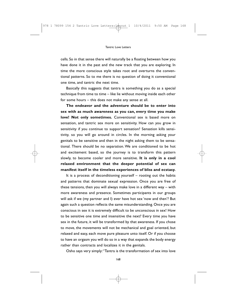cells*.* So in that sense there will naturally be a floating between how you have done it in the past and the new track that you are exploring. In time the more conscious style takes root and overturns the conventional patterns. So to me there is no question of doing it conventional one time, and tantric the next time.

Basically this suggests that tantra is something you do as a special technique from time to time – like lie without moving inside each other for some hours – this does not make any sense at all.

**The endeavor and the adventure should be to enter into sex with as much awareness as you can, every time you make love! Not only sometimes.** Conventional sex is based more on sensation, and tantric sex more on sensitivity. How can you grow in sensitivity if you continue to support sensation? Sensation kills sensitivity, so you will go around in circles. In the morning asking your genitals to be sensitive and then in the night asking them to be sensational. There should be no separation. We are conditioned to be hot and excitement based, so the journey is to transform this pattern slowly, to become cooler and more sensitive. **It is only in a cool relaxed environment that the deeper potential of sex can manifest itself in the timeless experiences of bliss and ecstasy.**

It is a process of deconditioning yourself – rooting out the habits and patterns that dominate sexual expression. Once you are free of these tensions, then you will always make love in a different way – with more awareness and presence. Sometimes participants in our groups will ask if we (my partner and I) ever have hot sex 'now and then'? But again such a question reflects the same misunderstanding. Once you are conscious in sex it is extremely difficult to be unconscious in sex! How to be sensitive one time and insensitive the next? Every time you have sex in the future, it will be transformed by that awareness. If you chose to move, the movements will not be mechanical and goal oriented, but relaxed and easy, each move pure pleasure unto itself. Or if you choose to have an orgasm you will do so in a way that expands the body energy rather than contracts and localizes it in the genitals.

Osho says very simply: "Tantra is the transformation of sex into love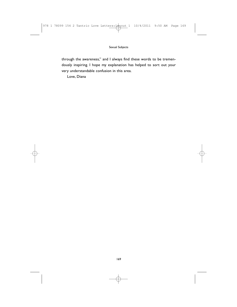through the awareness," and I always find these words to be tremendously inspiring. I hope my explanation has helped to sort out your very understandable confusion in this area.

Love, Diana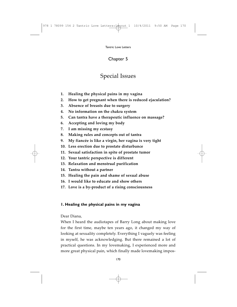# Chapter 5

# Special Issues

- **1. Healing the physical pains in my vagina**
- **2. How to get pregnant when there is reduced ejaculation?**
- **3. Absence of breasts due to surgery**
- **4. No information on the chakra system**
- **5. Can tantra have a therapeutic influence on massage?**
- **6. Accepting and loving my body**
- **7. I am missing my ecstasy**
- **8. Making rules and concepts out of tantra**
- **9. My fiancée is like a virgin, her vagina is very tight**
- **10. Less erection due to prostate disturbance**
- **11. Sexual satisfaction in spite of prostate tumor**
- **12. Your tantric perspective is different**
- **13. Relaxation and menstrual purification**
- **14. Tantra without a partner**
- **15. Healing the pain and shame of sexual abuse**
- **16. I would like to educate and show others**
- **17. Love is a by-product of a rising consciousness**

# **1. Healing the physical pains in my vagina**

Dear Diana,

When I heard the audiotapes of Barry Long about making love for the first time, maybe ten years ago, it changed my way of looking at sexuality completely. Everything I vaguely was feeling in myself, he was acknowledging. But there remained a lot of practical questions. In my lovemaking, I experienced more and more great physical pain, which finally made lovemaking impos-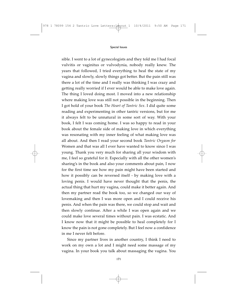sible. I went to a lot of gynecologists and they told me I had focal vulvitis or vaginitus or vulvodynia, nobody really knew. The years that followed, I tried everything to heal the state of my vagina and slowly, slowly things got better. But the pain still was there a lot of the time and I really was thinking I was crazy and getting really worried if I ever would be able to make love again. The thing I loved doing most. I moved into a new relationship where making love was still not possible in the beginning. Then I got hold of your book *The Heart of Tantric Sex*. I did quite some reading and experimenting in other tantric versions, but for me it always felt to be unnatural in some sort of way. With your book, I felt I was coming home. I was so happy to read in your book about the female side of making love in which everything was resonating with my inner feeling of what making love was all about. And then I read your second book *Tantric Orgasm for* Women and that was all I ever have wanted to know since I was young. Thank you very much for sharing all your wisdom with me, I feel so grateful for it. Especially with all the other women's sharing's in the book and also your comments about pain*,* I now for the first time see how my pain might have been started and how it possibly can be reversed itself - by making love with a loving penis. I would have never thought that the penis, the actual thing that hurt my vagina, could make it better again. And then my partner read the book too, so we changed our way of lovemaking and then I was more open and I could receive his penis. And when the pain was there, we could stop and wait and then slowly continue. After a while I was open again and we could make love several times without pain. I was ecstatic. And I know now that it might be possible to heal completely for I know the pain is not gone completely. But I feel now a confidence in me I never felt before.

Since my partner lives in another country, I think I need to work on my own a lot and I might need some massage of my vagina. In your book you talk about massaging the vagina. You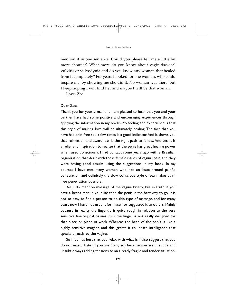mention it in one sentence. Could you please tell me a little bit more about it? What more do you know about vaginitis/vocal vulvitis or vulvodynia and do you know any woman that healed from it completely? For years I looked for one woman, who could inspire me, by showing me she did it. No woman was there, but I keep hoping I will find her and maybe I will be that woman.

Love, Zoe

#### Dear Zoe,

Thank you for your e-mail and I am pleased to hear that you and your partner have had some positive and encouraging experiences through applying the information in my books. My feeling and experience is that this style of making love will be ultimately healing. The fact that you have had pain-free sex a few times is a good indicator. And it shows you that relaxation and awareness is the right path to follow. And yes, it is a relief and inspiration to realize that the penis has great healing power when used consciously. I had contact some years ago with a Brazilian organization that dealt with these female issues of vaginal pain, and they were having good results using the suggestions in my book. In my courses I have met many women who had an issue around painful penetration, and definitely the slow conscious style of sex makes painfree penetration possible.

Yes, I do mention massage of the vagina briefly; but in truth, if you have a loving man in your life then the penis is the best way to go. It is not so easy to find a person to do this type of massage, and for many years now I have not used it for myself or suggested it to others. Mainly because in reality the fingertip is quite rough in relation to the very sensitive fine vaginal tissues, plus the finger is not really designed for that place or piece of work. Whereas the head of the penis is like a highly sensitive magnet, and this grants it an innate intelligence that speaks directly to the vagina.

So I feel it's best that you relax with what is. I also suggest that you do not masturbate (if you are doing so) because you are in subtle and unsubtle ways adding tensions to an already fragile and tender situation.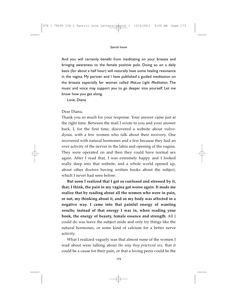#### Special Issues

And you will certainly benefit from meditating on your breasts and bringing awareness to the female positive pole. Doing so on a daily basis (for about a half hour) will naturally have some healing resonance in the vagina. My partner and I have published a guided meditation on the breasts especially for women called *MaLua Light Meditation*. The music and voice may support you to go deeper into yourself. Let me know how you get along.

Love, Diana

## Dear Diana,

Thank you so much for your response. Your answer came just at the right time. Between the mail I wrote to you and your answer back, I, for the first time, discovered a website about vulvodynia, with a few women who talk about their recovery. One recovered with natural hormones and a few because they had an over activity of the nerves in the labia and opening of the vagina. They were operated on and then they could have normal sex again. After I read that, I was extremely happy and I looked really deep into that website, and a whole world opened up, about other doctors having written books about the subject, which I never had seen before.

**But soon I realized that I got so confused and stressed by it, that, I think, the pain in my vagina got worse again. It made me realize that by reading about all the women who were in pain, or not, my thinking about it, and so my body was affected in a negative way. I came into that painful energy of wanting results; instead of that energy I was in, when reading your book, the energy of beauty, female essence and strength.** All I could do was leave the subject aside and only try things like the natural hormones, or some kind of calcium for a better nerve activity.

What I realized vaguely was that almost none of the women I read about were talking about *the way they practiced sex*, that it could be a cause for their pain, or that a loving penis could be the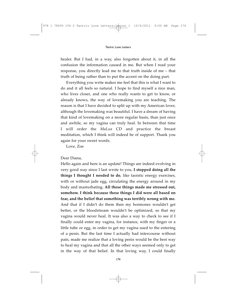healer. But I had, in a way, also forgotten about it, in all the confusion the information caused in me. But when I read your response, you directly lead me to that truth inside of me – that truth of being rather than to put the accent on the doing part.

Everything you write makes me feel that this is what I want to do and it all feels so natural. I hope to find myself a nice man, who lives closer, and one who really wants to get to know, or already knows, the way of lovemaking you are teaching. The reason is that I have decided to split up with my American lover, although the lovemaking was beautiful. I have a dream of having that kind of lovemaking on a more regular basis, than just once and awhile, so my vagina can truly heal. In between that time I will order the *MaLua* CD and practice the breast meditation, which I think will indeed be of support. Thank you again for your sweet words.

Love, Zoe

## Dear Diana,

Hello again and here is an update! Things are indeed evolving in very good way since I last wrote to you**. I stopped doing all the things I thought I needed to do**, like taoistic energy exercises, with or without jade egg, circulating the energy around in my body and masturbating**. All these things made me stressed out, somehow. I think because these things I did were all based on fear, and the belief that something was terribly wrong with me.** And that if I didn't do them then my hormones wouldn't get better, or the bloodstream wouldn't be optimized, so that my vagina would never heal. It was also a way to check to see if I finally could enter my vagina, for instance, with my finger or a little tube or egg, in order to get my vagina used to the entering of a penis. But the last time I actually had intercourse without pain, made me realize that a loving penis would be the best way to heal my vagina and that all the other ways seemed only to get in the way of that belief. In that loving way, I could finally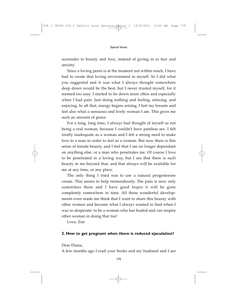surrender to beauty and love, instead of giving in to fear and anxiety.

Since a loving penis is at the moment not within reach, I have had to create that loving environment in myself. So I did what you suggested and it was what I always thought somewhere deep down would be the best, but I never trusted myself, for it seemed too easy. I started to lie down more often and especially when I had pain. Just doing nothing and feeling, relaxing, and enjoying. In all that, energy begins arising, I feel my breasts and feel also what a sensuous and lively woman I am. This gives me such an amount of peace.

For a long, long time, I always had thought of myself as not being a real woman, because I couldn't have painless sex. I felt totally inadequate as a woman and I felt a strong need to make love to a man in order to feel as a woman. But now there is this sense of female beauty, and I feel that I am no longer dependant on anything else, or a man who penetrates me. Of course I love to be penetrated in a loving way, but I see that there is such beauty in me beyond that, and that always will be available for me at any time, or any place.

The only thing I tried was to use a natural progesterone cream. This seems to help tremendously. The pain is now only sometimes there and I have good hopes it will be gone completely somewhere in time. All these wonderful developments even made me think that I want to share this beauty with other women and become what I always wanted to find when I was so desperate: to be a woman who has healed and can inspire other woman in doing that too!

Love, Zoe

## **2. How to get pregnant when there is reduced ejaculation?**

## Dear Diana,

A few months ago I read your books and my husband and I are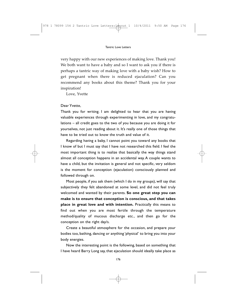very happy with our new experiences of making love. Thank you! We both want to have a baby and so I want to ask you if there is perhaps a tantric way of making love with a baby wish? How to get pregnant when there is reduced ejaculation? Can you recommend any books about this theme? Thank you for your inspiration!

Love, Yvette

#### Dear Yvette,

Thank you for writing. I am delighted to hear that you are having valuable experiences through experimenting in love, and my congratulations – all credit goes to the two of you because you are doing it for yourselves, not just reading about it. It's really one of those things that have to be tried out to know the truth and value of it.

Regarding having a baby, I cannot point you toward any books that I know of but I must say that I have not researched this field. I feel the most important thing is to realize that basically the way things stand almost all conception happens in an accidental way. A couple wants to have a child, but the invitation is general and not specific, very seldom is the moment for conception (ejaculation) consciously planned and followed through on.

Most people, if you ask them (which I do in my groups), will say that subjectively they felt abandoned at some level, and did not feel truly welcomed and wanted by their parents. **So one great step you can make is to ensure that conception is conscious, and that takes place in great love and with intention.** Practically this means to find out when you are most fertile through the temperature method/quality of mucous discharge etc., and then go for the conception on the right day/s.

Create a beautiful atmosphere for the occasion, and prepare your bodies too, bathing, dancing or anything 'physical' to bring you into your body energies.

Now the interesting point is the following, based on something that I have heard Barry Long say, that ejaculation should ideally take place as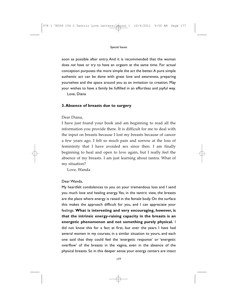soon as possible after entry. And it is recommended that the woman does *not* have or try to have an orgasm at the same time. For actual conception purposes the more simple the act the better. A pure simple authentic act can be done with great love and awareness, preparing yourselves and the space around you as an invitation to creation. May your wishes to have a family be fulfilled in an effortless and joyful way.

Love, Diana

## **3. Absence of breasts due to surgery**

Dear Diana,

I have just found your book and am beginning to read all the information you provide there. It is difficult for me to deal with the input on breasts because I lost my breasts because of cancer a few years ago. I felt so much pain and sorrow at the loss of femininity that I have avoided sex since then. I am finally beginning to heal and open to love again, but I really feel the absence of my breasts. I am just learning about tantra. What of my situation?

Love, Wanda

## Dear Wanda,

My heartfelt condolences to you on your tremendous loss and I send you much love and healing energy. Yes, in the tantric view, the breasts are the place where energy is raised in the female body. On the surface this makes the approach difficult for you, and I can appreciate your feelings. **What is interesting and very encouraging, however, is that the intrinsic energy-raising capacity in the breasts is an energetic phenomenon and not something purely physical.** I did not know this for a fact at first, but over the years I have had several women in my courses, in a similar situation to yours, and each one said that they could feel the 'energetic response' or 'energetic overflow' of the breasts in the vagina, even in the absence of the physical breasts. So in this deeper sense your energy centers are intact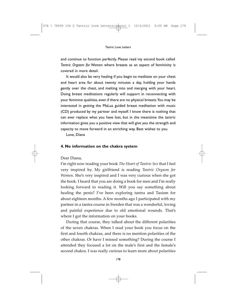and continue to function perfectly. Please read my second book called *Tantric Orgasm for Women* where breasts as an aspect of femininity is covered in more detail.

It would also be very healing if you begin to meditate on your chest and heart area for about twenty minutes a day, holding your hands gently over the chest, and melting into and merging with your heart. Doing breast meditations regularly will support in reconnecting with your feminine qualities, even if there are no physical breasts. You may be interested in getting the MaLua guided breast meditation with music (CD) produced by my partner and myself. I know there is nothing that can ever replace what you have lost, but in the meantime the tantric information gives you a positive view that will give you the strength and capacity to move forward in an enriching way. Best wishes to you.

Love, Diana

#### **4. No information on the chakra system**

#### Dear Diana,

I'm right now reading your book *The Heart of Tantric Sex* that I feel very inspired by. My girlfriend is reading *Tantric Orgasm for Women*. She's very inspired and I was very curious when she got the book. I heard that you are doing a book for men and I'm really looking forward to reading it. Will you say something about healing the penis? I've been exploring tantra and Taoism for about eighteen months. A few months ago I participated with my partner in a tantra course in Sweden that was a wonderful, loving and painful experience due to old emotional wounds. That's where I got the information on your books.

During that course, they talked about the different polarities of the seven chakras. When I read your book you focus on the first and fourth chakras, and there is no mention polarities of the other chakras. Or have I missed something? During the course I attended they focused a lot on the male's first and the female's second chakra. I was really curious to learn more about polarities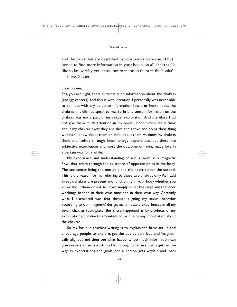and the parts that are described in your books were useful but I hoped to find more information in your books on all chakras. I'd like to know why you chose not to mention them in the books?

Love, Xavier

#### Dear Xavier,

Yes, you are right, there is virtually no information about the chakras (energy centers), and this is with intention. I personally was never able to connect with any objective information I read or heard about the chakras – it did not speak to me. So in this sense information on the chakras was not a part of my sexual exploration. And therefore I do not give them much attention in my books. I don't even really think about my chakras ever; they are alive and active and doing their thing whether I know about them or think about them. At times my chakras show themselves through inner energy experiences, but these are subjective experiences and more the outcome of having made love in a certain way for a while.

My experience and understanding of sex is more as a 'magnetic flow' that arises through the existence of opposite poles in the body. The sex center being the one pole and the heart center the second. This is the reason for my referring to these two chakras only. As I said already, chakras are present and functioning in your body whether you know about them or not. You have simply to set the stage and the inner workings happen in their own time and in their own way. Certainly what I discovered was that through aligning my sexual behavior according to our 'magnetic' design, many notable experiences in all my seven chakras took place. But these happened as by-products of my explorations, not due to any intention or due to any information about the chakras.

So my focus in teaching/writing is to explain the basic set-up and encourage people to explore, get the bodies polarized and 'magnetically aligned', and then see what happens. Too much information can give readers an excess of food for thought that eventually gets in the way as expectations and goals, and a person gets waylaid and loses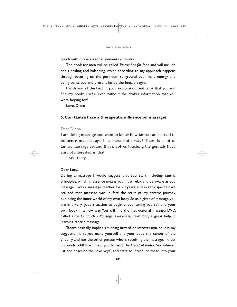touch with more essential elements of tantra.

The book for men will be called *Tantric Sex for Men* and will include penis healing and balancing, which according to my approach happens through focusing on the perineum to ground your male energy and being conscious and present inside the female vagina.

I wish you all the best in your exploration, and trust that you will find my books useful, even without the chakra information that you were hoping for!

Love, Diana

#### **5. Can tantra have a therapeutic influence on massage?**

#### Dear Diana,

I am doing massage and want to know how tantra can be used to influence my massage in a therapeutic way? There is a lot of tantric massage around that involves touching the genitals but I am not interested in that.

Love, Lucy

#### Dear Lucy,

During a massage I would suggest that you start including tantric principles, which in essence means you must relax and be aware as you massage. I was a massage teacher for 20 years, and in retrospect I have realized that massage was in fact the start of my tantric journey, exploring the inner world of my own body. So as a giver of massage you are in a very good situation to begin encountering yourself and your own body in a new way. You will find the instructional massage DVD, called *Time for Touch - Massage, Awareness, Relaxation,* a great help in learning tantric massage.

Tantra basically implies a turning inward or introversion, so it is my suggestion that you make yourself and your body the center of the enquiry and not the other person who is receiving the massage. I know it sounds odd! It will help you to read *The Heart of Tantric Sex*, where I list and describe the 'love keys', and start to introduce these into your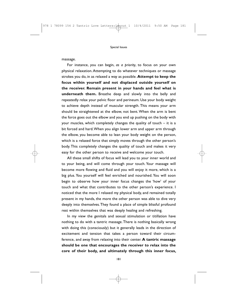massage.

For instance, you can begin, *as a priority*, to focus on your own physical relaxation. Attempting to do whatever techniques or massage strokes you do, in as relaxed a way as possible. **Attempt to keep the focus within yourself and not displaced outside yourself on the receiver. Remain present in your hands and feel what is underneath them.** Breathe deep and slowly into the belly and repeatedly relax your pelvic floor and perineum. Use your body weight to achieve depth instead of muscular strength. This means your arm should be straightened at the elbow, not bent. When the arm is bent the force goes out the elbow and you end up pushing on the body with your muscles, which completely changes the quality of touch – it is a bit forced and hard. When you align lower arm and upper arm through the elbow, you become able to lean your body weight on the person, which is a relaxed force that simply moves through the other person's body. This completely changes the quality of touch and makes it very easy for the other person to receive and welcome your touch.

All these small shifts of focus will lead you to your inner world and to your being, and will come through your touch. Your massage will become more flowing and fluid and you will enjoy it more, which is a big plus. You yourself will feel enriched and nourished. You will soon begin to observe how your inner focus changes the 'how' of your touch and what that contributes to the other person's experience. I noticed that the more I relaxed my physical body, and remained totally present in my hands, the more the other person was able to dive very deeply into themselves. They found a place of simple blissful profound rest within themselves that was deeply healing and refreshing.

In my view the genitals and sexual stimulation or titillation have nothing to do with a tantric massage. There is nothing basically wrong with doing this (consciously) but it generally leads in the direction of excitement and tension that takes a person toward their circumference, and away from relaxing into their center. **A tantric massage should be one that encourages the receiver to relax into the core of their body, and ultimately through this inner focus,**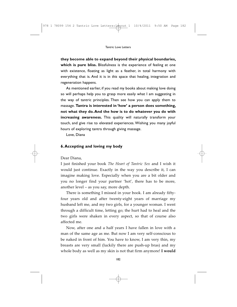**they become able to expand beyond their physical boundaries, which is pure bliss.** Blissfulness is the experience of feeling at one with existence, floating as light as a feather, in total harmony with everything that is. And it is in *this* space that healing, integration and regeneration happens.

As mentioned earlier, if you read my books about making love doing so will perhaps help you to grasp more easily what I am suggesting in the way of tantric principles. Then see how you can apply them to massage. **Tantra is interested in 'how' a person does something, not what they do. And the how is to do whatever you do with increasing awareness.** This quality will naturally transform your touch, and give rise to elevated experiences. Wishing you many joyful hours of exploring tantra through giving massage.

Love, Diana

#### **6. Accepting and loving my body**

Dear Diana,

I just finished your book *The Heart of Tantric Sex* and I wish it would just continue. Exactly in the way you describe it, I can imagine making love. Especially when you are a bit older and you no longer find your partner 'hot', there has to be more, another level – as you say, more depth.

There is something I missed in your book. I am already fiftyfour years old and after twenty-eight years of marriage my husband left me, and my two girls, for a younger woman. I went through a difficult time, letting go; the hurt had to heal and the two girls were shaken in every aspect, so that of course also affected me.

Now, after one and a half years I have fallen in love with a man of the same age as me. But now I am very self-conscious to be naked in front of him. You have to know, I am very thin, my breasts are very small (luckily there are push-up bras) and my whole body as well as my skin is not that firm anymore! **I would**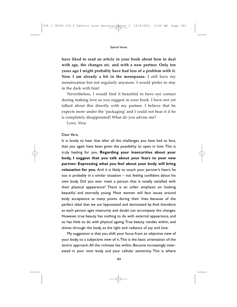**have liked to read an article in your book about how to deal with age, the changes etc. and with a new partner. Only ten years ago I might probably have had less of a problem with it. Now I am already a bit in the menopause.** I still have my menstruation but not regularly anymore. I would prefer to stay in the dark with him!

Nevertheless, I would find it beautiful to have eye contact during making love as you suggest in your book. I have not yet talked about this directly with my partner. I believe that he expects more under the 'packaging' and I could not bear it if he is completely disappointed! What do you advise me?

Love, Vera

#### Dear Vera,

It is lovely to hear that after all the challenges you have had to face, that you again have been given the possibility to open in love. This is truly healing for you. **Regarding your insecurities about your body, I suggest that you talk about your fears to your new partner. Expressing what you feel about your body will bring relaxation for you.** And it is likely to touch your partner's heart; he too is probably in a similar situation – not feeling confident about his own body. Did you ever meet a person that is totally satisfied with their physical appearance? There is an unfair emphasis on looking beautiful and eternally young. Most women will face issues around body acceptance at many points during their lives because of the perfect ideal that we are hypnotized and dominated by. And therefore as each person ages insecurity and doubt can accompany the changes. However, true beauty has nothing to do with external appearance, and so has little to do with physical ageing. True beauty resides within, and shines through the body, as the light and radiance of joy and love.

My suggestion is that you shift your focus from an objective view of your body, to a subjective view of it. This is the basic orientation of the tantric approach. All the richness lies within. Become increasingly interested in your *inner* body and your cellular sensitivity. This is where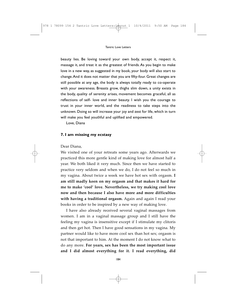beauty lies. Be loving toward your own body, accept it, respect it, massage it, and treat it as the greatest of friends. As you begin to make love in a new way, as suggested in my book, your body will also start to change. And it does not matter that you are fifty-four. Great changes are still possible at any age, the body is always totally ready to co-operate with your awareness. Breasts grow, thighs slim down, a unity exists in the body, quality of serenity arises, movement becomes graceful, all as reflections of self- love and inner beauty. I wish you the courage to trust in your inner world, and the readiness to take steps into the unknown. Doing so will increase your joy and zest for life, which in turn will make you feel youthful and uplifted and empowered.

Love, Diana

## **7. I am missing my ecstasy**

## Dear Diana,

We visited one of your retreats some years ago. Afterwards we practiced this more gentle kind of making love for almost half a year. We both liked it very much. Since then we have started to practice very seldom and when we do, I do not feel so much in my vagina. About twice a week we have hot sex with orgasm. **I am still madly keen on my orgasm and that makes it hard for me to make 'cool' love. Nevertheless, we try making cool love now and then because I also have more and more difficulties with having a traditional orgasm.** Again and again I read your books in order to be inspired by a new way of making love.

I have also already received several vaginal massages from women. I am in a vaginal massage group and I still have the feeling my vagina is insensitive except if I stimulate my clitoris and then get hot. Then I have good sensations in my vagina. My partner would like to have more cool sex than hot sex; orgasm is not that important to him. At the moment I do not know what to do any more. **For years, sex has been the most important issue and I did almost everything for it. I read everything, did**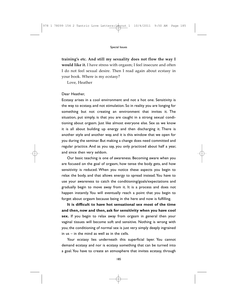**training's etc. And still my sexuality does not flow the way I would like it.** I have stress with orgasm; I feel insecure and often I do not feel sexual desire. Then I read again about ecstasy in your book. Where is my ecstasy?

Love, Heather

#### Dear Heather,

Ecstasy arises in a cool environment and not a hot one. Sensitivity is the way to ecstasy, and not stimulation. So in reality you are longing for something but not creating an environment that invites it. The situation, put simply, is that you are caught in a strong sexual conditioning about orgasm. Just like almost everyone else. Sex as we know it is all about building up energy and then discharging it. There is another style and another way, and it is this window that we open for you during the seminar. But making a change does need committed and regular practice. And as you say, you only practiced about half a year, and since then very seldom.

Our basic teaching is one of awareness. Becoming aware when you are focused on the goal of orgasm, how tense the body gets, and how sensitivity is reduced. When you notice these aspects you begin to relax the body, and that allows energy to spread instead. You have to use your awareness to catch the conditioning/goals/expectations and gradually begin to move away from it. It is a process and does not happen instantly. You will eventually reach a point that you begin to forget about orgasm because being in the here and now is fulfilling.

**It is difficult to have hot sensational sex most of the time and then, now and then, ask for sensitivity when you have cool sex.** If you begin to relax away from orgasm in general then your vaginal tissues will become soft and sensitive. Nothing is wrong with you; the conditioning of normal sex is just very simply deeply ingrained in us – in the mind as well as in the cells.

Your ecstasy lies underneath this superficial layer. You cannot demand ecstasy and nor is ecstasy something that can be turned into a goal. You have to create an atmosphere that invites ecstasy, through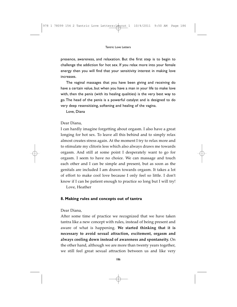presence, awareness, and relaxation. But the first step is to begin to challenge the addiction for hot sex. If you relax more into your female energy then you will find that your sensitivity interest in making love increases.

The vaginal massages that you have been giving and receiving do have a certain value, but when you have a man in your life to make love with, then the penis (with its healing qualities) is the very best way to go. The head of the penis is a powerful catalyst and is designed to do very deep resensitizing, softening and healing of the vagina.

Love, Diana

#### Dear Diana,

I can hardly imagine forgetting about orgasm. I also have a great longing for hot sex. To leave all this behind and to simply relax almost creates stress again. At the moment I try to relax more and to stimulate my clitoris less which also always draws me towards orgasm. And still at some point I desperately want to go for orgasm. I seem to have no choice. We can massage and touch each other and I can be simple and present, but as soon as the genitals are included I am drawn towards orgasm. It takes a lot of effort to make cool love because I only feel so little. I don't know if I can be patient enough to practice so long but I will try!

Love, Heather

## **8. Making rules and concepts out of tantra**

#### Dear Diana,

After some time of practice we recognized that we have taken tantra like a new concept with rules, instead of being present and aware of what is happening. **We started thinking that it is necessary to avoid sexual attraction, excitement, orgasm and always cooling down instead of awareness and spontaneity.** On the other hand, although we are more than twenty years together, we still feel great sexual attraction between us and like very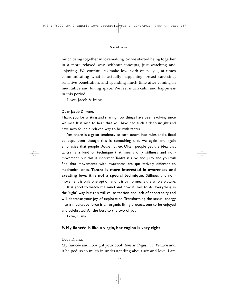much being together in lovemaking. So we started being together in a more relaxed way, without concepts, just watching and enjoying. We continue to make love with open eyes, at times communicating what is actually happening, breast caressing, sensitive penetration, and spending much time after coming in meditative and loving space. We feel much calm and happiness in this period.

Love, Jacob & Irene

#### Dear Jacob & Irene,

Thank you for writing and sharing how things have been evolving since we met. It is nice to hear that you have had such a deep insight and have now found a relaxed way to be with tantra.

Yes, there is a great tendency to turn tantra into rules and a fixed concept; even though this is something that we again and again emphasize that people *should not do*. Often people get the idea that tantra is a kind of technique that means only stillness and nonmovement, but this is incorrect. Tantra is alive and juicy and you will find that movements with awareness are qualitatively different to mechanical ones. **Tantra is more interested in awareness and creating love; it is not a special technique.** Stillness and nonmovement is only one option and it is by no means the whole picture.

It is good to watch the mind and how it likes to do everything in the 'right' way, but this will cause tension and lack of spontaneity and will decrease your joy of exploration. Transforming the sexual energy into a meditative force is an organic living process, one to be enjoyed and celebrated. All the best to the two of you.

Love, Diana

## **9. My fiancée is like a virgin, her vagina is very tight**

#### Dear Diana,

My fiancée and I bought your book *Tantric Orgasm for Women* and it helped us so much in understanding about sex and love. I am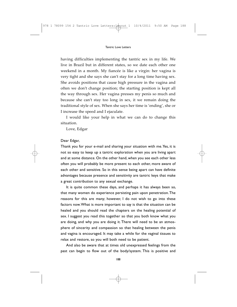having difficulties implementing the tantric sex in my life. We live in Brazil but in different states, so we date each other one weekend in a month. My fiancée is like a virgin: her vagina is very tight and she says she can't stay for a long time having sex. She avoids positions that cause high pressure in the vagina and often we don't change position; the starting position is kept all the way through sex. Her vagina presses my penis so much and because she can't stay too long in sex, it we remain doing the traditional style of sex. When she says her time is 'ending', she or I increase the speed and I ejaculate.

I would like your help in what we can do to change this situation.

Love, Edgar

#### Dear Edgar,

Thank you for your e-mail and sharing your situation with me. Yes, it is not so easy to keep up a tantric exploration when you are living apart and at some distance. On the other hand, when you see each other less often you will probably be more present to each other, more aware of each other and sensitive. So in this sense being apart can have definite advantages because presence and sensitivity are tantric keys that make a great contribution to any sexual exchange.

It is quite common these days, and perhaps it has always been so, that many women do experience persisting pain upon penetration. The reasons for this are many; however, I do not wish to go into these factors now. What is more important to say is that the situation can be healed and you should read the chapters on the healing potential of sex. I suggest you read this together so that you both know what you are doing, and why you are doing it. There will need to be an atmosphere of sincerity and compassion so that healing between the penis and vagina is encouraged. It may take a while for the vaginal tissues to relax and restore, so you will both need to be patient.

And also be aware that at times old unexpressed feelings from the past can begin to flow out of the body/system. This is positive and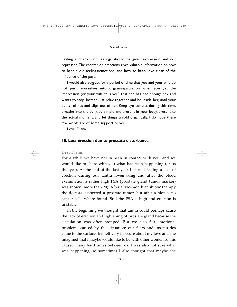healing and any such feelings should be given expression and not repressed. The chapter on emotions gives valuable information on how to handle old feelings/emotions, and how to keep love clear of the influence of the past.

I would also suggest for a period of time that you and your wife do not push yourselves into orgasm/ejaculation when you get the impression (or your wife tells you) that she has had enough sex and wants to stop. Instead just relax together and be inside her, until your penis relaxes and slips out of her. Keep eye contact during this time, breathe into the belly, be simple and present in your body, present to the actual moment, and let things unfold organically. I do hope these few words are of some support to you.

Love, Diana

#### **10. Less erection due to prostate disturbance**

Dear Diana,

For a while we have not in been in contact with you, and we would like to share with you what has been happening for us this year. At the end of the last year I started feeling a lack of erection during our tantra lovemaking and after the blood examination a rather high PSA (prostate gland tumor marker) was shown (more than 20). After a two-month antibiotic therapy the doctors suspected a prostate tumor, but after a biopsy no cancer cells where found. Still the PSA is high and erection is unstable.

In the beginning we thought that tantra could perhaps cause the lack of erection and tightening of prostate gland because the ejaculation was often stopped. But we also felt emotional problems caused by this situation: our fears and insecurities come to the surface. Iris felt very insecure about my love and she imagined that I maybe would like to be with other women so this caused many hard times between us. I was also not sure what was happening, so sometimes I also thought that maybe she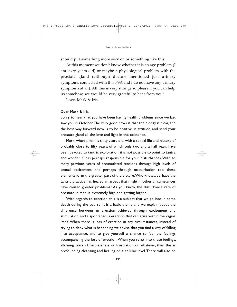should put something more sexy on or something like this.

At this moment we don't know whether it is an age problem (I am sixty years old) or maybe a physiological problem with the prostate gland (although doctors mentioned just urinary symptoms connected with this PSA and I do not have any urinary symptoms at all). All this is very strange so please if you can help us somehow, we would be very grateful to hear from you!

Love, Mark & Iris

#### Dear Mark & Iris,

Sorry to hear that you have been having health problems since we last saw you in October. The very good news is that the biopsy is clear, and the best way forward now is to be positive in attitude, and send your prostate gland all the love and light in the existence.

Mark, when a man is sixty years old, with a sexual life and history of probably close to fifty years, of which only two and a half years have been devoted to tantric exploration, it is not possible to point to tantra and wonder if it is perhaps responsible for your disturbances. With so many previous years of accumulated tensions through high levels of sexual excitement, and perhaps through masturbation too, these elements form the greater part of the picture. Who knows, perhaps the tantric practice has healed an aspect that might in other circumstances have caused greater problems? As you know, the disturbance rate of prostate in men is extremely high and getting higher.

With regards to erection, this is a subject that we go into in some depth during the course. It is a basic theme and we explain about the difference between an erection achieved through excitement and stimulation, and a spontaneous erection that can arise within the vagina itself. When there is loss of erection in any circumstances, instead of trying to deny what is happening we advise that you find a way of falling into acceptance, and to give yourself a chance to feel the feelings accompanying the loss of erection. When you relax into these feelings, allowing tears of helplessness or frustration or whatever, then this is profounding cleansing and healing on a cellular level. There will also be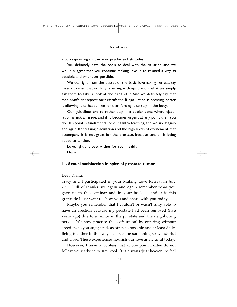a corresponding shift in your psyche and attitudes.

You definitely have the tools to deal with the situation and we would suggest that you continue making love in as relaxed a way as possible and whenever possible.

We do, right from the outset of the basic lovemaking retreat, say clearly to men that nothing is wrong with ejaculation; what we simply ask them to take a look at the habit of it. And we definitely say that men *should not repress their ejaculation*. If ejaculation is pressing, better is allowing it to happen rather than forcing it to stay in the body.

Our guidelines are to rather stay in a cooler zone where ejaculation is not an issue, and if it becomes urgent at any point then you do. This point is fundamental to our tantra teaching, and we say it again and again. Repressing ejaculation and the high levels of excitement that accompany it is not great for the prostate, because tension is being added to tension.

Love, light and best wishes for your health.

Diana

#### **11. Sexual satisfaction in spite of prostate tumor**

#### Dear Diana,

Tracy and I participated in your Making Love Retreat in July 2009. Full of thanks, we again and again remember what you gave us in this seminar and in your books – and it is this gratitude I just want to show you and share with you today.

Maybe you remember that I couldn't or wasn't fully able to have an erection because my prostate had been removed (five years ago) due to a tumor in the prostate and the neighboring nerves. We now practice the 'soft union' by entering without erection, as you suggested, as often as possible and at least daily. Being together in this way has become something so wonderful and close. These experiences nourish our love anew until today.

However, I have to confess that at one point I often do not follow your advice to stay cool. It is always 'just heaven' to feel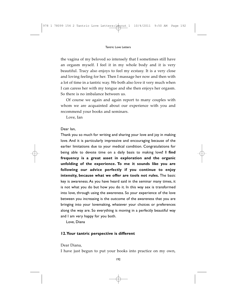the vagina of my beloved so intensely that I sometimes still have an orgasm myself. I feel it in my whole body and it is very beautiful. Tracy also enjoys to feel my ecstasy. It is a very close and loving feeling for her. Then I massage her now and then with a lot of time in a tantric way. We both also love it very much when I can caress her with my tongue and she then enjoys her orgasm. So there is no imbalance between us.

Of course we again and again report to many couples with whom we are acquainted about our experience with you and recommend your books and seminars.

Love, Ian

Dear Ian,

Thank you so much for writing and sharing your love and joy in making love. And it is particularly impressive and encouraging because of the earlier limitations due to your medical condition. Congratulations for being able to devote time on a daily basis to making love**! I find frequency is a great asset in exploration and the organic unfolding of the experience. To me it sounds like you are following our advice perfectly if you continue to enjoy intensity, because what we offer are tools not rules.** The basic key is awareness. As you have heard said in the seminar many times, it is not what you do but how you do it. In this way sex is transformed into love, through using the awareness. So your experience of the love between you increasing is the outcome of the awareness that you are bringing into your lovemaking, whatever your choices or preferences along the way are. So everything is moving in a perfectly beautiful way and I am very happy for you both.

Love, Diana

## **12. Your tantric perspective is different**

## Dear Diana,

I have just begun to put your books into practice on my own,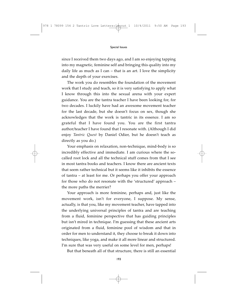since I received them two days ago, and I am so enjoying tapping into my magnetic, feminine self and bringing this quality into my daily life as much as I can – that is an art. I love the simplicity and the depth of your exercises.

The work you do resembles the foundation of the movement work that I study and teach, so it is very satisfying to apply what I know through this into the sexual arena with your expert guidance. You are the tantra teacher I have been looking for, for two decades. I luckily have had an awesome movement teacher for the last decade, but she doesn't focus on sex, though she acknowledges that the work is tantric in its essence. I am so grateful that I have found you. You are the first tantra author/teacher I have found that I resonate with. (Although I did enjoy *Tantric Quest* by Daniel Odier, but he doesn't teach as directly as you do.)

Your emphasis on relaxation, non-technique, mind-body is so incredibly effective and immediate. I am curious where the socalled root lock and all the technical stuff comes from that I see in most tantra books and teachers. I know there are ancient texts that seem rather technical but it seems like it inhibits the essence of tantra – at least for me. Or perhaps you offer your approach for those who do not resonate with the 'structured' approach – the more paths the merrier?

Your approach is more feminine, perhaps and, just like the movement work, isn't for everyone, I suppose. My sense, actually, is that you, like my movement teacher, have tapped into the underlying universal principles of tantra and are teaching from a fluid, feminine perspective that has guiding principles but isn't mired in technique. I'm guessing that these ancient arts originated from a fluid, feminine pool of wisdom and that in order for men to understand it, they choose to break it down into techniques, like yoga, and make it all more linear and structured. I'm sure that was very useful on some level for men, perhaps!

But that beneath all of that structure, there is still an essential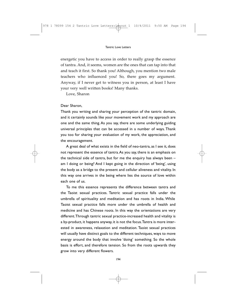energetic you have to access in order to really grasp the essence of tantra. And, it seems, women are the ones that can tap into that and teach it first. So thank you! Although, you mention two male teachers who influenced you! So, there goes my argument. Anyway, if I never get to witness you in person, at least I have your very well written books! Many thanks.

Love, Sharon

#### Dear Sharon,

Thank you writing and sharing your perception of the tantric domain, and it certainly sounds like your movement work and my approach are one and the same thing. As you say, there are some underlying guiding universal principles that can be accessed in a number of ways. Thank you too for sharing your evaluation of my work, the appreciation, and the encouragement.

A great deal of what exists in the field of neo-tantra, as I see it, does not represent the essence of tantra. As you say, there is an emphasis on the technical side of tantra, but for me the enquiry has always been – am I doing or being? And I kept going in the direction of 'being', using the body as a bridge to the present and cellular aliveness and vitality. In this way one arrives in the being where lies the source of love within each one of us.

To me this essence represents the difference between tantra and the Taoist sexual practices. Tantric sexual practice falls under the umbrella of spirituality and meditation and has roots in India. While Taoist sexual practice falls more under the umbrella of health and medicine and has Chinese roots. In this way the orientations are very different. Through tantric sexual practice-increased health and vitality is a by-product, it happens anyway, it is not the focus. Tantra is more interested in awareness, relaxation and meditation. Taoist sexual practices will usually have distinct goals to the different techniques, ways to move energy around the body that involve 'doing' something. So the whole basis is effort, and therefore tension. So from the roots upwards they grow into very different flowers.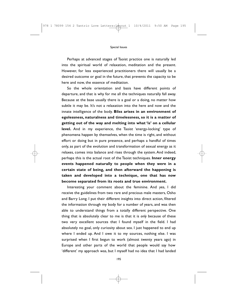Perhaps at advanced stages of Taoist practice one is naturally led into the spiritual world of relaxation, meditation and the present. However, for less experienced practitioners there will usually be a desired outcome or goal in the future, that prevents the capacity to be here and now, the essence of meditation.

So the whole orientation and basis have different points of departure, and that is why for me all the techniques naturally fall away. Because at the base usually there is a goal or a doing, no matter how subtle it may be. It's not a relaxation into the here and now and the innate intelligence of the body. **Bliss arises in an environment of egolessness, naturalness and timelessness, so it is a matter of getting out of the way and melting into what 'is' on a cellular level.** And in my experience, the Taoist 'energy-locking' type of phenomena happen by themselves, when the time is right, and without effort or doing but in pure presence, and perhaps a handful of times only, as part of the evolution and transformation of sexual energy as it relaxes, comes into balance and rises through the system. And indeed, perhaps this is the actual root of the Taoist techniques. **Inner energy events happened naturally to people when they were in a certain state of being, and then afterward the happening is taken and developed into a technique, one that has now become separated from its roots and true environment.** 

Interesting your comment about the feminine. And yes, I did receive the guidelines from two rare and precious male masters, Osho and Barry Long. I put their different insights into direct action, filtered the information through my body for a number of years, and was then able to understand things from a totally different perspective. One thing that is absolutely clear to me is that it is *only* because of these two very excellent sources that I found myself in the field. I had absolutely no goal, only curiosity about sex. I just happened to end up where I ended up. And I owe it to my sources, nothing else. I was surprised when I first begun to work (almost twenty years ago) in Europe and other parts of the world that people would say how 'different' my approach was, but I myself had no idea that I had landed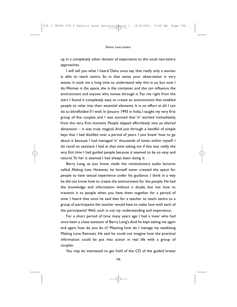up in a completely other domain of experience to the usual neo-tantra approaches.

I will tell you what I heard Osho once say: that really only a woman is able to teach tantra. So in that sense your observation is very astute. It took me a long time to understand why this is so, but now I do. Woman is the space, she is the container, and she can influence the environment and anyone who moves through it. For me right from the start I found it completely easy to create an environment that enabled people to relax into their essential elements. It is no effort at all; I can do so blindfolded if I wish. In January 1993 in India, I taught my very first group of five couples and I was stunned that 'it' worked immediately, from the very first moment. People slipped effortlessly into an altered dimension – it was truly magical. And just through a handful of simple keys that I had distilled over a period of years. I just 'knew' how to go about it because I had managed 'it' thousands of times within myself. I do recall an assistant I had at that time asking me if this was really the *very first* time I had guided people because it seemed to be so easy and natural. To her it seemed I had always been doing it.

Barry Long, as you know, made the revolutionary audio lectures called *Making Love*. However, he himself never created the space for people to have sexual experience under his guidance. I think in a way he did not know how to create the environment for the people. He had the knowledge and information without a doubt, but not how to transmit it to people when you have them together for a period of time. I heard that once he said that for a teacher to teach tantra to a group of participants the teacher would have to make love with each of the participants! Well, such is not my understanding and experience.

For a short period of time many years ago I had a lover who had once been a close assistant of Barry Long's. And he kept asking me again and again, how do you do it? Meaning how do I manage my weeklong Making Love Retreats. He said he could not imagine how the practical information could be put into action in real life with a group of couples.

You may be interested to get hold of the CD of the guided breast

196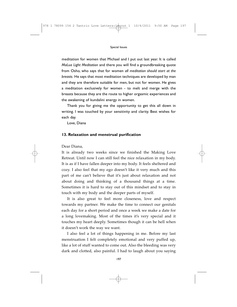meditation for women that Michael and I put out last year. It is called *MaLua Light Meditation* and there you will find a groundbreaking quote from Osho, who says that for women *all meditation should start at the breasts.* He says that most meditation techniques are developed by man and they are therefore suitable for men, but not for women. He gives a meditation exclusively for women - to melt and merge with the breasts because they are the route to higher orgasmic experiences and the awakening of kundalini energy in women.

Thank you for giving me the opportunity to get this all down in writing. I was touched by your sensitivity and clarity. Best wishes for each day.

Love, Diana

## **13. Relaxation and menstrual purification**

Dear Diana,

It is already two weeks since we finished the Making Love Retreat. Until now I can still feel the nice relaxation in my body. It is as if I have fallen deeper into my body. It feels sheltered and cozy. I also feel that my ego doesn't like it very much and this part of me can't believe that it's just about relaxation and not about doing and thinking of a thousand things at a time. Sometimes it is hard to stay out of this mindset and to stay in touch with my body and the deeper parts of myself.

It is also great to feel more closeness, love and respect towards my partner. We make the time to connect our genitals each day for a short period and once a week we make a date for a long lovemaking. Most of the times it's very special and it touches my heart deeply. Sometimes though it can be hell when it doesn't work the way we want.

I also feel a lot of things happening in me. Before my last menstruation I felt completely emotional and very puffed up, like a lot of stuff wanted to come out. Also the bleeding was very dark and clotted, also painful. I had to laugh about you saying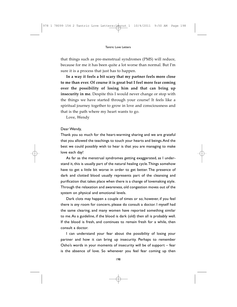that things such as pre-menstrual syndromes (PMS) will reduce, because for me it has been quite a lot worse than normal. But I'm sure it is a process that just has to happen.

**In a way it feels a bit scary that my partner feels more close to me than ever. Of course it is great but I feel more fear coming over the possibility of losing him and that can bring up insecurity in me.** Despite this I would never change or stop with the things we have started through your course! It feels like a spiritual journey together to grow in love and consciousness and that is the path where my heart wants to go.

Love, Wendy

#### Dear Wendy,

Thank you so much for the heart-warming sharing and we are grateful that you allowed the teachings to touch your hearts and beings. And the best we could possibly wish to hear is that you are managing to make love each day!

As far as the menstrual syndromes getting exaggerated, as I understand it, this is usually part of the natural healing cycle. Things somehow have to get a little bit worse in order to get better. The presence of dark and clotted blood usually represents part of the cleansing and purification that takes place when there is a change of lovemaking style. Through the relaxation and awareness, old congestion moves out of the system on physical and emotional levels.

Dark clots may happen a couple of times or so; however, if you feel there is *any* room for concern, please do consult a doctor. I myself had the same clearing, and many women have reported something similar to me. As a guideline, if the blood is dark (old) then all is probably well. If the blood is fresh, and continues to remain fresh for a while, then consult a doctor.

I can understand your fear about the possibility of losing your partner and how it can bring up insecurity. Perhaps to remember Osho's words in your moments of insecurity will be of support – fear is the absence of love. So whenever you feel fear coming up then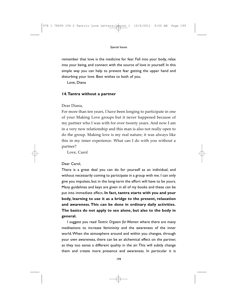remember that love is the medicine for fear. Fall into your body, relax into your being, and connect with the source of love in yourself. In this simple way you can help to prevent fear getting the upper hand and disturbing your love. Best wishes to both of you.

Love, Diana

## **14. Tantra without a partner**

## Dear Diana,

For more than ten years, I have been longing to participate in one of your Making Love groups but it never happened because of my partner who I was with for over twenty years. And now I am in a very new relationship and this man is also not really open to do the group. Making love is my real nature; it was always like this in my inner experience. What can I do with you without a partner?

Love, Carol

## Dear Carol,

There is a great deal you can do for yourself as an individual, and without necessarily coming to participate in a group with me. I can only give you impulses, but in the long-term the effort will have to be yours. Many guidelines and keys are given in all of my books and these can be put into immediate effect**. In fact, tantra starts with you and your body, learning to use it as a bridge to the present, relaxation and awareness. This can be done in ordinary daily activities. The basics do not apply to sex alone, but also to the body in general.** 

I suggest you read *Tantric Orgasm for Women* where there are many meditations to increase femininity and the awareness of the inner world. When the atmosphere around and within you changes, through your own awareness, there can be an alchemical effect on the partner, as they too sense a different quality in the air. This will subtly change them and create more presence and awareness. In particular it is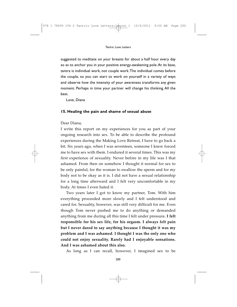suggested to meditate on your breasts for about a half hour every day so as to anchor you in your positive energy-awakening pole. At its base, tantra is individual work, not couple work. The individual comes before the couple, so you can start to work on yourself in a variety of ways and observe how the intensity of your awareness transforms any given moment. Perhaps in time your partner will change his thinking. All the best.

Love, Diana

#### **15. Healing the pain and shame of sexual abuse**

Dear Diana,

I write this report on my experiences for you as part of your ongoing research into sex. To be able to describe the profound experiences during the Making Love Retreat, I have to go back a bit. Six years ago, when I was seventeen, someone I knew forced me to have sex with them. I endured it several times. This was my first experience of sexuality. Never before in my life was I that ashamed. From then on somehow I thought it normal for sex to be only painful, for the woman to swallow the sperm and for my body not to be okay as it is. I did not have a sexual relationship for a long time afterward and I felt very uncomfortable in my body. At times I even hated it.

Two years later I got to know my partner, Tom. With him everything proceeded more slowly and I felt understood and cared for. Sexuality, however, was still very difficult for me. Even though Tom never pushed me to do anything or demanded anything from me during all this time I felt under pressure**. I felt responsible for his sex life, for his orgasm. I always felt pain but I never dared to say anything because I thought it was my problem and I was ashamed. I thought I was the only one who could not enjoy sexuality. Rarely had I enjoyable sensations. And I was ashamed about this also.**

As long as I can recall, however, I imagined sex to be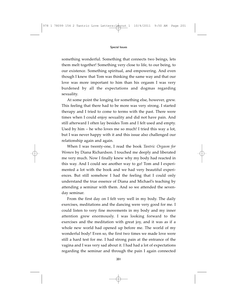something wonderful. Something that connects two beings, lets them melt together! Something very close to life, to our being, to our existence. Something spiritual, and empowering. And even though I knew that Tom was thinking the same way and that our love was more important to him than his orgasm I was very burdened by all the expectations and dogmas regarding sexuality.

At some point the longing for something else, however, grew. This feeling that there had to be more was very strong. I started therapy and I tried to come to terms with the past. There were times when I could enjoy sexuality and did not have pain. And still afterward I often lay besides Tom and I felt used and empty. Used by him – he who loves me so much! I tried this way a lot, but I was never happy with it and this issue also challenged our relationship again and again.

When I was twenty-one, I read the book *Tantric Orgasm for Women* by Diana Richardson. I touched me deeply and liberated me very much. Now I finally knew why my body had reacted in this way. And I could see another way to go! Tom and I experimented a lot with the book and we had very beautiful experiences. But still somehow I had the feeling that I could only understand the true essence of Diana and Michael's teaching by attending a seminar with them. And so we attended the sevenday seminar.

From the first day on I felt very well in my body. The daily exercises, meditations and the dancing were very good for me. I could listen to very fine movements in my body and my inner attention grew enormously. I was looking forward to the exercises and the meditation with great joy, and it was as if a whole new world had opened up before me. The world of my wonderful body! Even so, the first two times we made love were still a hard test for me. I had strong pain at the entrance of the vagina and I was very sad about it. I had had a lot of expectations regarding the seminar and through the pain I again connected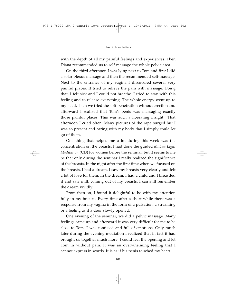with the depth of all my painful feelings and experiences. Then Diana recommended us to self-massage the whole pelvic area.

On the third afternoon I was lying next to Tom and first I did a solar plexus massage and then the recommended self-massage. Next to the entrance of my vagina I discovered several very painful places. It tried to relieve the pain with massage. Doing that, I felt sick and I could not breathe. I tried to stay with this feeling and to release everything. The whole energy went up to my head. Then we tried the soft penetration without erection and afterward I realized that Tom's penis was massaging exactly those painful places. This was such a liberating insight!! That afternoon I cried often. Many pictures of the rape surged but I was so present and caring with my body that I simply could let go of them.

One thing that helped me a lot during this week was the concentration on the breasts. I had done the guided *MaLua Light Meditation* (CD) for women before the seminar, but it seems to me be that only during the seminar I really realized the significance of the breasts. In the night after the first time when we focused on the breasts, I had a dream. I saw my breasts very clearly and felt a lot of love for them. In the dream, I had a child and I breastfed it and saw milk coming out of my breasts. I can still remember the dream vividly.

From then on, I found it delightful to be with my attention fully in my breasts. Every time after a short while there was a response from my vagina in the form of a pulsation, a streaming or a feeling as if a door slowly opened.

One evening of the seminar, we did a pelvic massage. Many feelings came up and afterward it was very difficult for me to be close to Tom. I was confused and full of emotions. Only much later during the evening mediation I realized that in fact it had brought us together much more. I could feel the opening and let Tom in without pain. It was an overwhelming feeling that I cannot express in words. It is as if his penis touched my heart!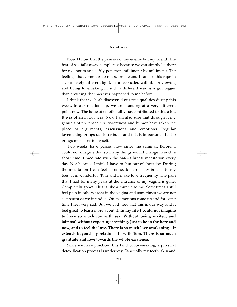Now I know that the pain is not my enemy but my friend. The fear of sex falls away completely because we can simply lie there for two hours and softly penetrate millimeter by millimeter. The feelings that come up do not scare me and I can see this rape in a completely different light. I am reconciled with it. For viewing and living lovemaking in such a different way is a gift bigger than anything that has ever happened to me before.

I think that we both discovered our true qualities during this week. In our relationship, we are standing at a very different point now. The issue of emotionality has contributed to this a lot. It was often in our way. Now I am also sure that through it my genitals often tensed up. Awareness and humor have taken the place of arguments, discussions and emotions. Regular lovemaking brings us closer but – and this is important – it also brings me closer to myself.

Two weeks have passed now since the seminar. Before, I could not imagine that so many things would change in such a short time. I meditate with the *MaLua* breast meditation every day. Not because I think I have to, but out of sheer joy. During the meditation I can feel a connection from my breasts to my toes. It is wonderful! Tom and I make love frequently. The pain that I had for many years at the entrance of my vagina is gone. Completely gone! This is like a miracle to me. Sometimes I still feel pain in others areas in the vagina and sometimes we are not as present as we intended. Often emotions come up and for some time I feel very sad. But we both feel that this is our way and it feel great to learn more about it. **In my life I could not imagine to have so much joy with sex. Without being excited, and (almost) without expecting anything. Just to be in the here and now, and to feel the love. There is so much love awakening – it extends beyond my relationship with Tom. There is so much gratitude and love towards the whole existence.**

Since we have practiced this kind of lovemaking, a physical detoxification process is underway. Especially my teeth, skin and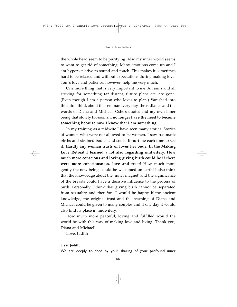the whole head seem to be purifying. Also my inner world seems to want to get rid of something. Many emotions come up and I am hypersensitive to sound and touch. This makes it sometimes hard to be relaxed and without expectations during making love. Tom's love and patience, however, help me very much.

One more thing that is very important to me: All aims and all striving for something far distant, future plans etc. are gone. (Even though I am a person who loves to plan.) Vanished into thin air. I think about the seminar every day, the radiance and the words of Diana and Michael, Osho's quotes and my own inner being that slowly blossoms**. I no longer have the need to become something because now I know that I am something.**

In my training as a midwife I have seen many stories. Stories of women who were not allowed to be women. I saw traumatic births and strained bodies and souls. It hurt me each time to see it. **Hardly any woman trusts or loves her body. In the Making Love Retreat I learned a lot also regarding midwifery. How much more conscious and loving giving birth could be if there were more consciousness, love and trust!** How much more gently the new beings could be welcomed on earth! I also think that the knowledge about the 'inner magnet' and the significance of the breasts could have a decisive influence to the process of birth. Personally I think that giving birth cannot be separated from sexuality and therefore I would be happy if the ancient knowledge, the original trust and the teaching of Diana and Michael could be given to many couples and if one day it would also find its place in midwifery.

How much more peaceful, loving and fulfilled would the world be with this way of making love and living! Thank you, Diana and Michael!

Love, Judith

## Dear Judith,

We are deeply touched by your sharing of your profound inner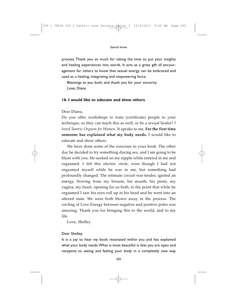process. Thank you so much for taking the time to put your insights and healing experiences into words. It acts as a great gift of encouragement for others to know that sexual energy can be embraced and used as a healing, integrating and empowering force.

Blessings to you both, and thank you for your sincerity. Love, Diana

## **16. I would like to educate and show others**

Dear Diana,

Do you offer workshops to train (certificate) people in your technique, so they can teach this as well, or be a sexual healer? *I loved Tantric Orgasm for Women.* It speaks to me. **For the first time someone has explained what my body needs.** I would like to educate and show others.

We have done some of the exercises in your book. The other day he decided to try something during sex, and I am going to be blunt with you. He sucked on my nipple while entered in me and orgasmed. I felt this electric circle, even though I had not orgasmed myself while he was in me, but something had profoundly changed. The intimate circuit was tender, ignited an energy, flowing from my breasts, his mouth, his penis, my vagina, my heart, opening for us both, to the point that while he orgasmed I saw his eyes roll up in his head and he went into an altered state. We were both blown away in the process. The circling of Love Energy between negative and positive poles was amazing. Thank you for bringing this to the world, and to my life.

Love, Shelley

## Dear Shelley,

It is a joy to hear my book resonated within you and has explained what your body needs. What is most beautiful is that you are open and receptive to seeing and feeling your body in a completely new way.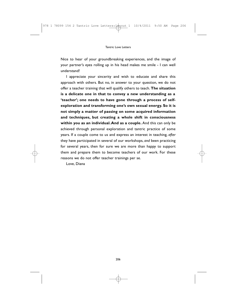Nice to hear of your groundbreaking experiences, and the image of your partner's eyes rolling up in his head makes me smile - I can well understand!

I appreciate your sincerity and wish to educate and share this approach with others. But no, in answer to your question, we do not offer a teacher training that will qualify others to teach. **The situation is a delicate one in that to convey a new understanding as a 'teacher'; one needs to have gone through a process of selfexploration and transforming one's own sexual energy. So it is not simply a matter of passing on some acquired information and techniques, but creating a whole shift in consciousness within you as an individual. And as a couple.** And this can only be achieved through personal exploration and tantric practice of some years. If a couple come to us and express an interest in teaching, *after* they have participated in several of our workshops, *and* been practicing for several years, then for sure we are more than happy to support them and prepare them to become teachers of our work. For these reasons we do not offer teacher trainings per se.

Love, Diana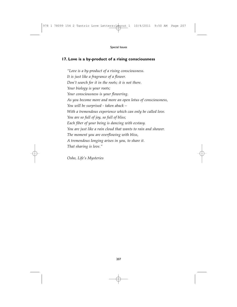## **17. Love is a by-product of a rising consciousness**

*"Love is a by-product of a rising consciousness. It is just like a fragrance of a flower. Don't search for it in the roots; it is not there. Your biology is your roots; Your consciousness is your flowering. As you become more and more an open lotus of consciousness, You will be surprised - taken aback – With a tremendous experience which can only be called love. You are so full of joy, so full of bliss; Each fiber of your being is dancing with ecstasy. You are just like a rain cloud that wants to rain and shower. The moment you are overflowing with bliss, A tremendous longing arises in you, to share it. That sharing is love."*

*Osho, Life's Mysteries*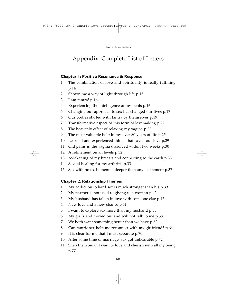# Appendix: Complete List of Letters

## **Chapter 1: Positive Resonance & Response**

- 1. The combination of love and spirituality is really fulfilling p.14
- 2. Shown me a way of light through life p.15
- 3. I am tantra! p.16
- 4. Experiencing the intelligence of my penis p.16
- 5. Changing our approach to sex has changed our lives p.17
- 6. Our bodies started with tantra by themselves p.19
- 7. Transformative aspect of this form of lovemaking p.22
- 8. The heavenly effect of relaxing my vagina p.22
- 9. The most valuable help in my over 80 years of life p.25
- 10. Learned and experienced things that saved our love p.29
- 11. Old pains in the vagina dissolved within two weeks p.30
- 12. A refinement on all levels p.32
- 13. Awakening of my breasts and connecting to the earth p.33
- 14. Sexual healing for my arthritis p.33
- 15. Sex with no excitement is deeper than any excitement p.37

## **Chapter 2: Relationship Themes**

- 1. My addiction to hard sex is much stronger than his p.39
- 2. My partner is not used to giving to a woman p.42
- 3. My husband has fallen in love with someone else p.47
- 4. New love and a new chance p.51
- 5. I want to explore sex more than my husband p.55
- 6. My girlfriend moved out and will not talk to me p.58
- 7. We both want something better than we have p.62
- 8. Can tantric sex help me reconnect with my girlfriend? p.64
- 9. It is clear for me that I must separate p.70
- 10. After some time of marriage, sex got unbearable p.72
- 11. She's the woman I want to love and cherish with all my being p.77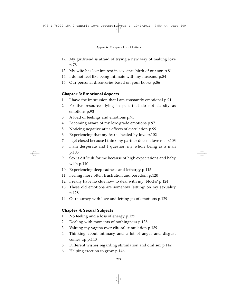- 12. My girlfriend is afraid of trying a new way of making love p.78
- 13. My wife has lost interest in sex since birth of our son p.81
- 14. I do not feel like being intimate with my husband p.84
- 15. Our personal discoveries based on your books p.86

## **Chapter 3: Emotional Aspects**

- 1. I have the impression that I am constantly emotional p.91
- 2. Positive resources lying in past that do not classify as emotions p.93
- 3. A load of feelings and emotions p.95
- 4. Becoming aware of my low-grade emotions p.97
- 5. Noticing negative after-effects of ejaculation p.99
- 6. Experiencing that my fear is healed by love p.102
- 7. I get closed because I think my partner doesn't love me p.103
- 8. I am desperate and I question my whole being as a man p.105
- 9. Sex is difficult for me because of high expectations and baby wish p.110
- 10. Experiencing deep sadness and lethargy p.115
- 11. Feeling more often frustration and boredom p.120
- 12. I really have no clue how to deal with my 'blocks' p.124
- 13. These old emotions are somehow 'sitting' on my sexuality p.128
- 14. Our journey with love and letting go of emotions p.129

## **Chapter 4: Sexual Subjects**

- 1. No feeling and a loss of energy p.135
- 2. Dealing with moments of nothingness p.138
- 3. Valuing my vagina over clitoral stimulation p.139
- 4. Thinking about intimacy and a lot of anger and disgust comes up p.140
- 5. Different wishes regarding stimulation and oral sex p.142
- 6. Helping erection to grow p.146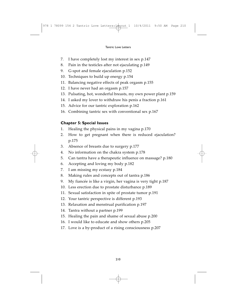- 7. I have completely lost my interest in sex p.147
- 8. Pain in the testicles after not ejaculating p.149
- 9. G-spot and female ejaculation p.152
- 10. Techniques to build up energy p.154
- 11. Balancing negative effects of peak orgasm p.155
- 12. I have never had an orgasm p.157
- 13. Pulsating, hot, wonderful breasts, my own power plant p.159
- 14. I asked my lover to withdraw his penis a fraction p.161
- 15. Advice for our tantric exploration p.162
- 16. Combining tantric sex with conventional sex p.167

## **Chapter 5: Special Issues**

- 1. Healing the physical pains in my vagina p.170
- 2. How to get pregnant when there is reduced ejaculation? p.175
- 3. Absence of breasts due to surgery p.177
- 4. No information on the chakra system p.178
- 5. Can tantra have a therapeutic influence on massage? p.180
- 6. Accepting and loving my body p.182
- 7. I am missing my ecstasy p.184
- 8. Making rules and concepts out of tantra p.186
- 9. My fiancée is like a virgin, her vagina is very tight p.187
- 10. Less erection due to prostate disturbance p.189
- 11. Sexual satisfaction in spite of prostate tumor p.191
- 12. Your tantric perspective is different p.193
- 13. Relaxation and menstrual purification p.197
- 14. Tantra without a partner p.199
- 15. Healing the pain and shame of sexual abuse p.200
- 16. I would like to educate and show others p.205
- 17. Love is a by-product of a rising consciousness p.207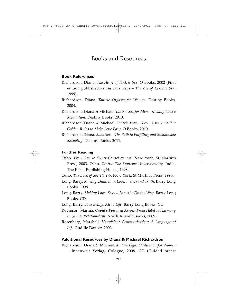# Books and Resources

#### **Book References**

- Richardson, Diana. *The Heart of Tantric Sex*. O Books, 2002 (First edition published as *The Love Keys – The Art of Ecstatic Sex*, 1999).
- Richardson, Diana. *Tantric Orgasm for Women*. Destiny Books, 2004.
- Richardson, Diana & Michael. *Tantric Sex for Men Making Love a Meditation*. Destiny Books, 2010.
- Richardson, Diana & Michael. *Tantric Love Feeling vs. Emotion: Golden Rules to Make Love Easy*. O Books, 2010.
- Richardson, Diana. *Slow Sex The Path to Fulfilling and Sustainable Sexuality*. Destiny Books, 2011.

#### **Further Reading**

- Osho. *From Sex to Super-Consciousness.* New York, St Martin's Press, 2003. Osho. *Tantra: The Supreme Understanding.* India, The Rebel Publishing House, 1998.
- Osho. *The Book of Secrets 1-5*. New York, St Martin's Press, 1998.
- Long, Barry. *Raising Children in Love, Justice and Truth*. Barry Long Books, 1998.
- Long, Barry. *Making Love: Sexual Love the Divine Way*. Barry Long Books, CD.
- Long, Barry. *Love Brings All to Life*. Barry Long Books, CD.
- Robinson, Marnia. *Cupid's Poisoned Arrow: From Habit to Harmony in Sexual Relationships*. North Atlantic Books, 2009.
- Rosenberg, Marshall. *Nonviolent Communication: A Language of Life*. Puddle Dancer, 2003.

#### **Additional Resources by Diana & Michael Richardson**

Richardson, Diana & Michael. *MaLua Light Meditation for Women*

– Innenwelt Verlag, Cologne, 2008. CD (Guided breast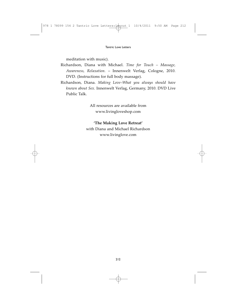meditation with music).

- Richardson, Diana with Michael. *Time for Touch Massage, Awareness, Relaxation.* – Innenwelt Verlag, Cologne, 2010. DVD. (Instructions for full body massage).
- Richardson, Diana. *Making Love–What you always should have known about Sex*. Innenwelt Verlag, Germany, 2010. DVD Live Public Talk.

All resources are available from www.livingloveshop.com

### **'The Making Love Retreat'**

with Diana and Michael Richardson www.livinglove.com